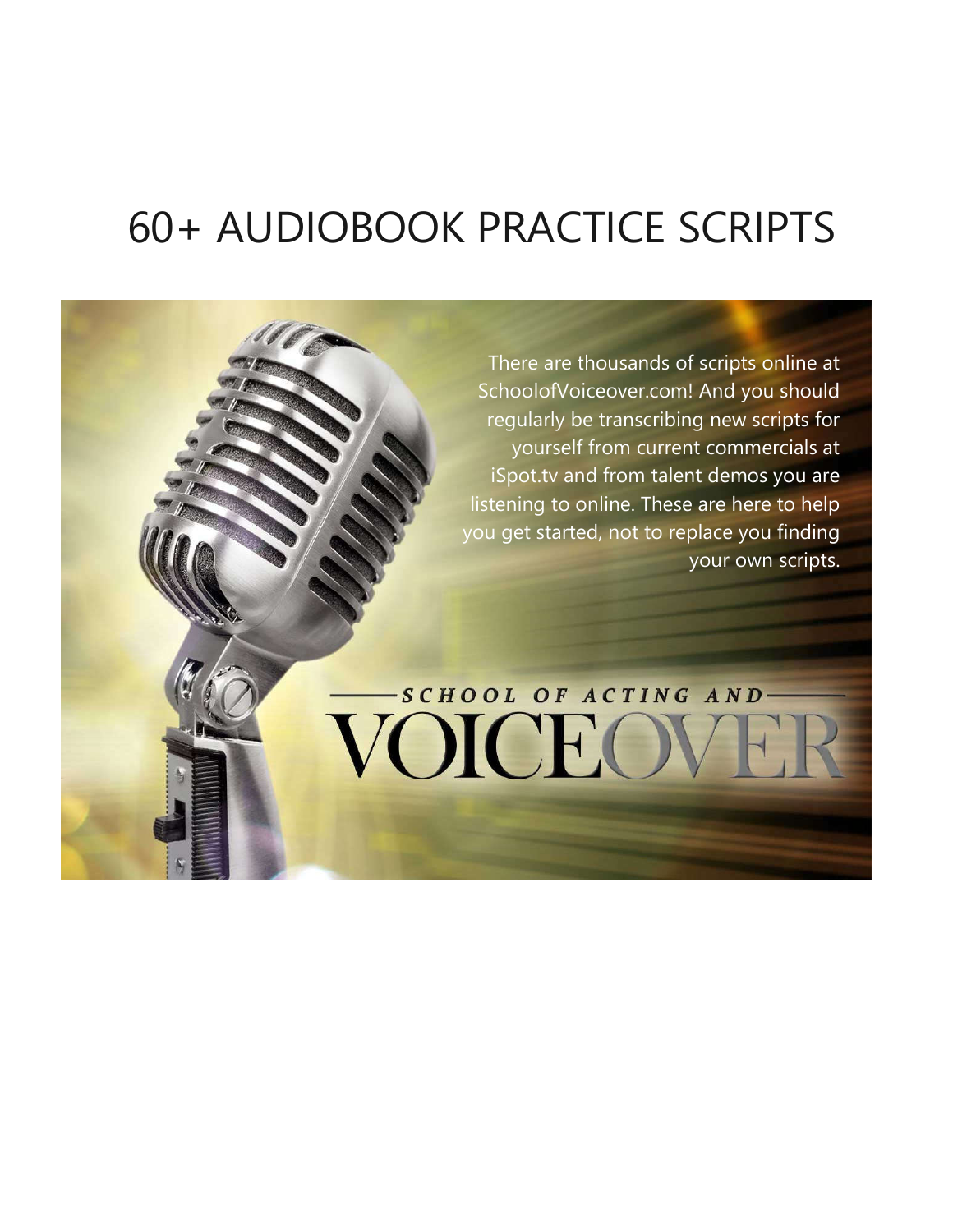## 60+ AUDIOBOOK PRACTICE SCRIPTS

There are thousands of scripts online at SchoolofVoiceover.com! And you should regularly be transcribing new scripts for yourself from current commercials at iSpot.tv and from talent demos you are listening to online. These are here to help you get started, not to replace you finding your own scripts.

# -SCHOOL OF ACTING AND-VOICEOVE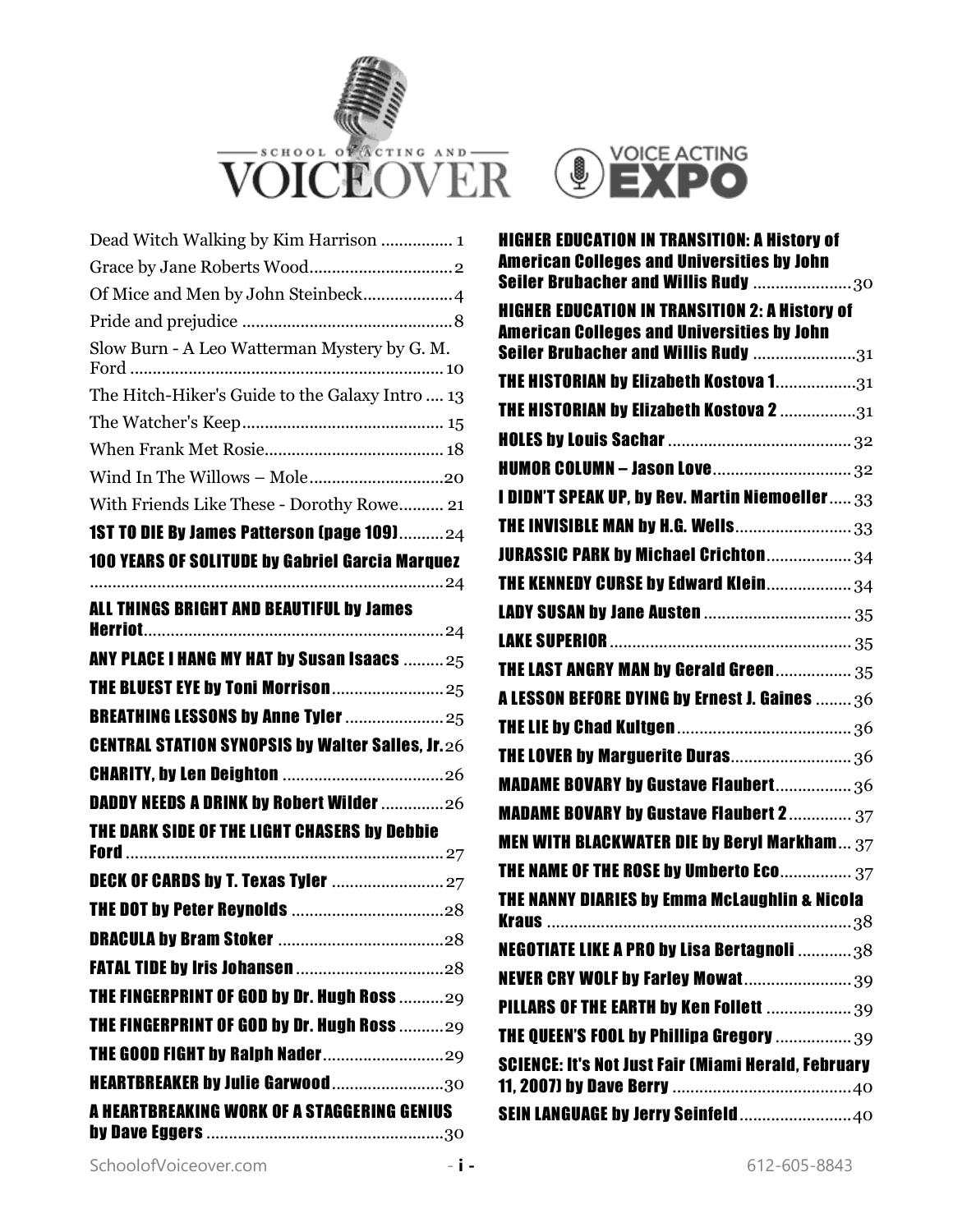

| Of Mice and Men by John Steinbeck 4                      |  |  |
|----------------------------------------------------------|--|--|
|                                                          |  |  |
| Slow Burn - A Leo Watterman Mystery by G. M.             |  |  |
| The Hitch-Hiker's Guide to the Galaxy Intro 13           |  |  |
|                                                          |  |  |
|                                                          |  |  |
| Wind In The Willows - Mole20                             |  |  |
| With Friends Like These - Dorothy Rowe 21                |  |  |
| 1ST TO DIE By James Patterson (page 109124               |  |  |
| 100 YEARS OF SOLITUDE by Gabriel Garcia Marquez          |  |  |
|                                                          |  |  |
| ALL THINGS BRIGHT AND BEAUTIFUL by James                 |  |  |
|                                                          |  |  |
| ANY PLACE I HANG MY HAT by Susan Isaacs $25$             |  |  |
|                                                          |  |  |
|                                                          |  |  |
| <b>CENTRAL STATION SYNOPSIS by Walter Salles, Jr. 26</b> |  |  |
|                                                          |  |  |
| <b>DADDY NEEDS A DRINK by Robert Wilder 26</b>           |  |  |
| THE DARK SIDE OF THE LIGHT CHASERS by Debbie             |  |  |
|                                                          |  |  |
|                                                          |  |  |
|                                                          |  |  |
|                                                          |  |  |
|                                                          |  |  |
| THE FINGERPRINT OF GOD by Dr. Hugh Ross 29               |  |  |
| <b>THE FINGERPRINT OF GOD by Dr. Hugh Ross 29</b>        |  |  |
|                                                          |  |  |
| <b>HEARTBREAKER by Julie Garwood 30</b>                  |  |  |
| A HEARTBREAKING WORK OF A STAGGERING GENIUS              |  |  |
|                                                          |  |  |



| <b>HIGHER EDUCATION IN TRANSITION: A History of</b><br>American Colleges and Universities by John<br><b>Seiler Brubacher and Willis Rudy 30</b>   |
|---------------------------------------------------------------------------------------------------------------------------------------------------|
| <b>HIGHER EDUCATION IN TRANSITION 2: A History of</b><br><b>American Colleges and Universities by John</b><br>Seiler Brubacher and Willis Rudy 31 |
| THE HISTORIAN by Elizabeth Kostova 131                                                                                                            |
| THE HISTORIAN by Elizabeth Kostova 2 31                                                                                                           |
|                                                                                                                                                   |
| <b>HUMOR COLUMN - Jason Love</b> 32                                                                                                               |
| I DIDN'T SPEAK UP, by Rev. Martin Niemoeller $33$                                                                                                 |
|                                                                                                                                                   |
| <b>JURASSIC PARK by Michael Crichton 34</b>                                                                                                       |
| THE KENNEDY CURSE by Edward Kiein34                                                                                                               |
|                                                                                                                                                   |
|                                                                                                                                                   |
| THE LAST ANGRY MAN by Gerald Green $35$                                                                                                           |
| A LESSON BEFORE DYING by Ernest J. Gaines $\ldots \ldots 36$                                                                                      |
|                                                                                                                                                   |
| <b>THE LOVER by Marguerite Duras</b> 36                                                                                                           |
| <b>MADAME BOVARY by Gustave Flaubert36</b>                                                                                                        |
| <b>MADAME BOVARY by Gustave Flaubert 2 37</b>                                                                                                     |
| MEN WITH BLACKWATER DIE by Beryl Markham $37$                                                                                                     |
| THE NAME OF THE ROSE by Umberto Eco $37$                                                                                                          |
| THE NANNY DIARIES by Emma McLaughlin & Nicola                                                                                                     |
| <b>Kraus</b><br>.38                                                                                                                               |
| <b>NEGOTIATE LIKE A PRO by Lisa Bertagnoli 38</b>                                                                                                 |
| <b>NEVER CRY WOLF by Farley Mowat39</b>                                                                                                           |
| PILLARS OF THE EARTH by Ken Follett 39                                                                                                            |
| THE QUEEN'S FOOL by Phillipa Gregory 39                                                                                                           |
| <b>SCIENCE: It's Not Just Fair (Miami Herald, February</b>                                                                                        |
|                                                                                                                                                   |
| <b>SEIN LANGUAGE by Jerry Seinfeld 40</b>                                                                                                         |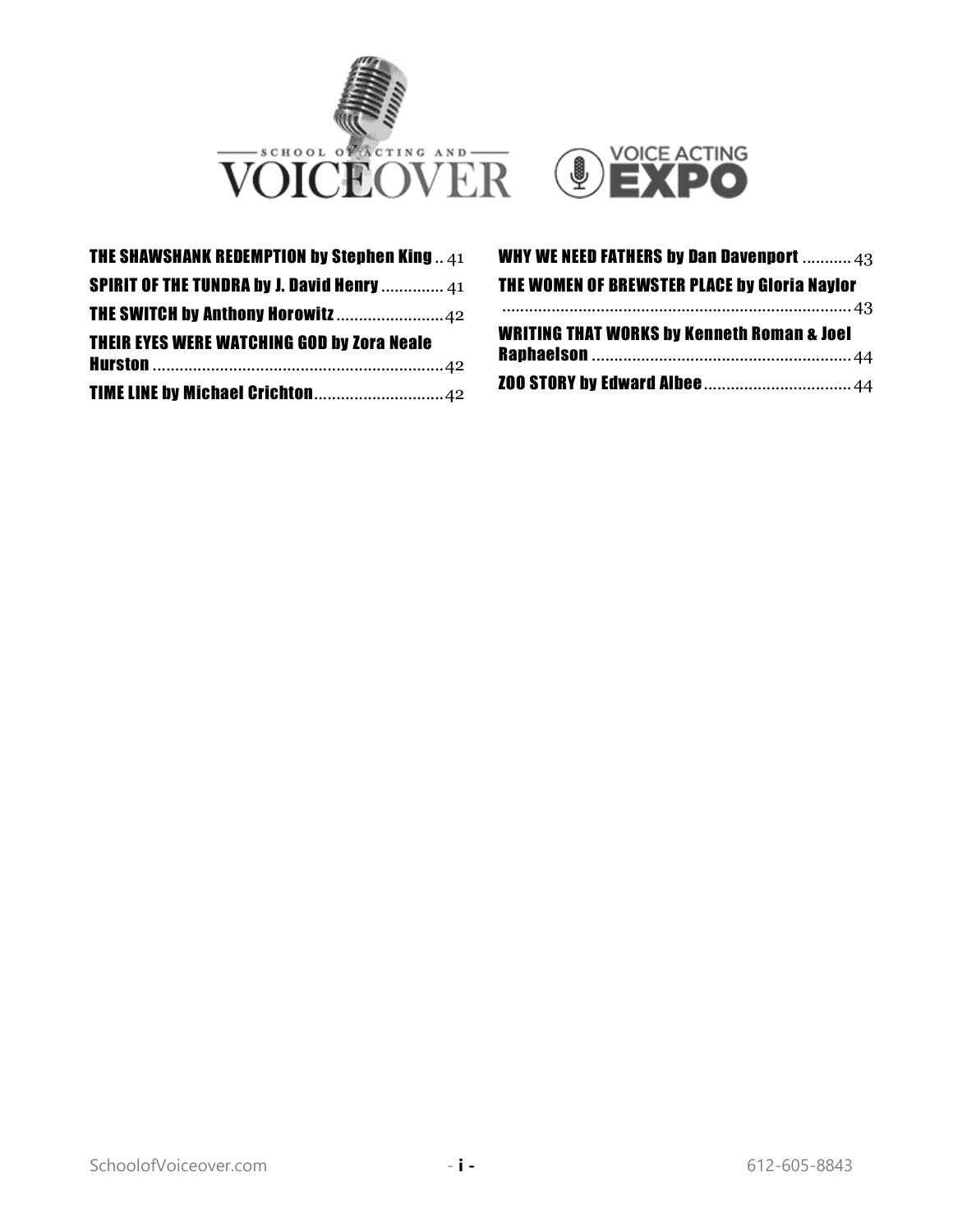



| <b>THE SHAWSHANK REDEMPTION by Stephen King41</b> | <b>WHY WE NEED FATHERS by Dan Davenport  43</b>       |
|---------------------------------------------------|-------------------------------------------------------|
| <b>SPIRIT OF THE TUNDRA by J. David Henry  41</b> | THE WOMEN OF BREWSTER PLACE by Gloria Naylor          |
| <b>THE SWITCH by Anthony Horowitz42</b>           |                                                       |
| THEIR EYES WERE WATCHING GOD by Zora Neale        | <b>WRITING THAT WORKS by Kenneth Roman &amp; Joel</b> |
|                                                   |                                                       |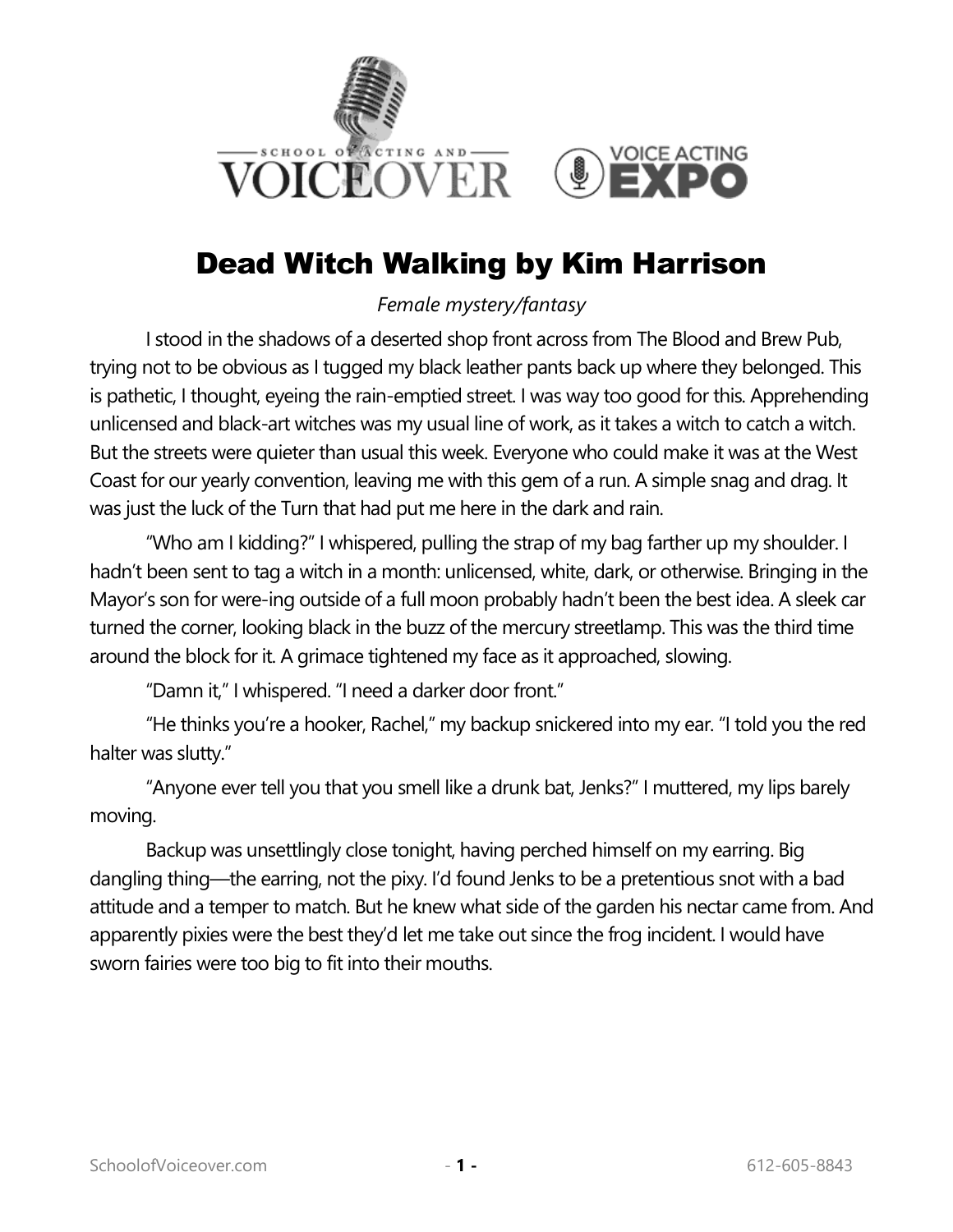

#### Dead Witch Walking by Kim Harrison

*Female mystery/fantasy* 

I stood in the shadows of a deserted shop front across from The Blood and Brew Pub, trying not to be obvious as I tugged my black leather pants back up where they belonged. This is pathetic, I thought, eyeing the rain-emptied street. I was way too good for this. Apprehending unlicensed and black-art witches was my usual line of work, as it takes a witch to catch a witch. But the streets were quieter than usual this week. Everyone who could make it was at the West Coast for our yearly convention, leaving me with this gem of a run. A simple snag and drag. It was just the luck of the Turn that had put me here in the dark and rain.

"Who am I kidding?" I whispered, pulling the strap of my bag farther up my shoulder. I hadn't been sent to tag a witch in a month: unlicensed, white, dark, or otherwise. Bringing in the Mayor's son for were-ing outside of a full moon probably hadn't been the best idea. A sleek car turned the corner, looking black in the buzz of the mercury streetlamp. This was the third time around the block for it. A grimace tightened my face as it approached, slowing.

"Damn it," I whispered. "I need a darker door front."

"He thinks you're a hooker, Rachel," my backup snickered into my ear. "I told you the red halter was slutty."

"Anyone ever tell you that you smell like a drunk bat, Jenks?" I muttered, my lips barely moving.

Backup was unsettlingly close tonight, having perched himself on my earring. Big dangling thing—the earring, not the pixy. I'd found Jenks to be a pretentious snot with a bad attitude and a temper to match. But he knew what side of the garden his nectar came from. And apparently pixies were the best they'd let me take out since the frog incident. I would have sworn fairies were too big to fit into their mouths.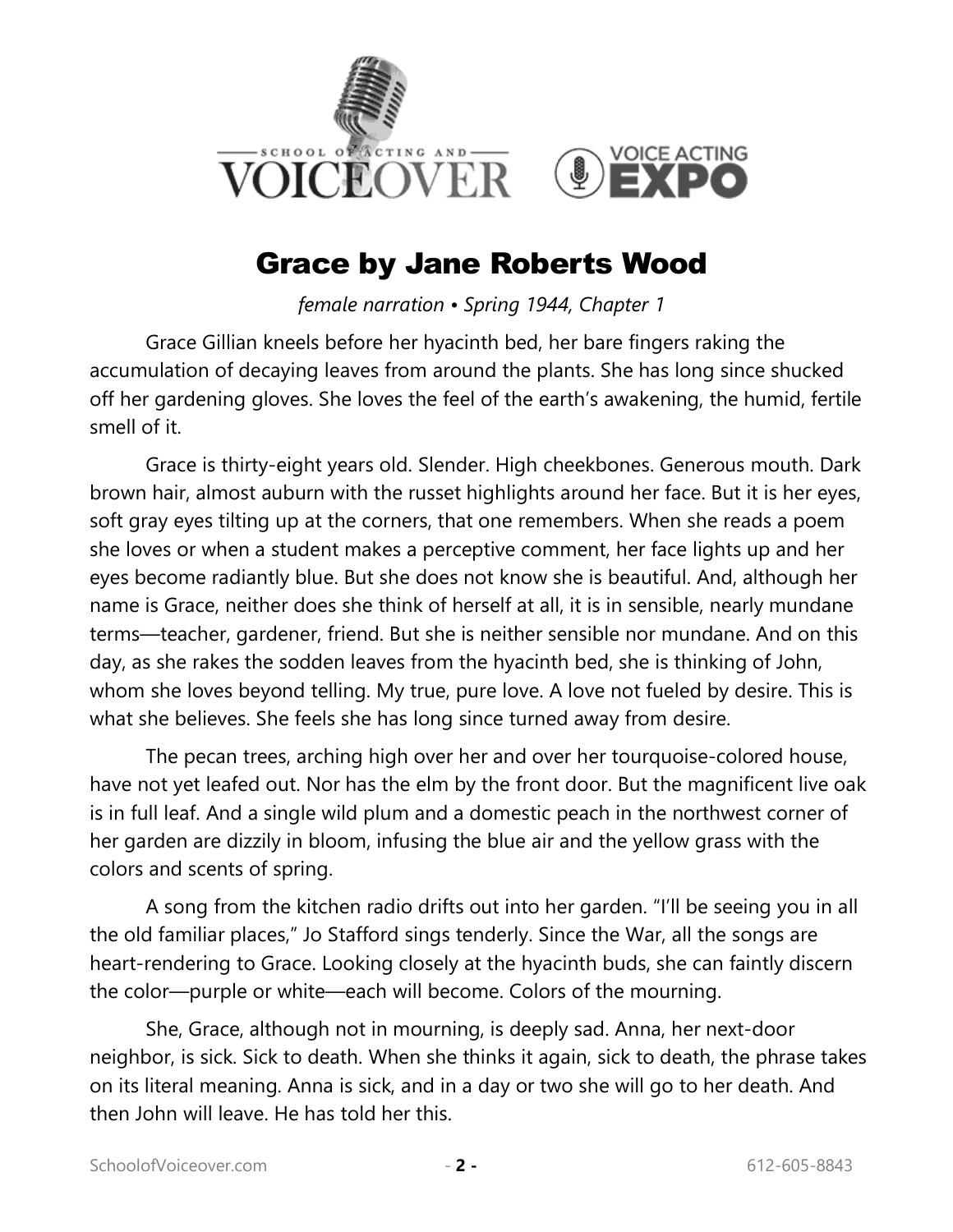

#### Grace by Jane Roberts Wood

*female narration • Spring 1944, Chapter 1* 

Grace Gillian kneels before her hyacinth bed, her bare fingers raking the accumulation of decaying leaves from around the plants. She has long since shucked off her gardening gloves. She loves the feel of the earth's awakening, the humid, fertile smell of it.

Grace is thirty-eight years old. Slender. High cheekbones. Generous mouth. Dark brown hair, almost auburn with the russet highlights around her face. But it is her eyes, soft gray eyes tilting up at the corners, that one remembers. When she reads a poem she loves or when a student makes a perceptive comment, her face lights up and her eyes become radiantly blue. But she does not know she is beautiful. And, although her name is Grace, neither does she think of herself at all, it is in sensible, nearly mundane terms—teacher, gardener, friend. But she is neither sensible nor mundane. And on this day, as she rakes the sodden leaves from the hyacinth bed, she is thinking of John, whom she loves beyond telling. My true, pure love. A love not fueled by desire. This is what she believes. She feels she has long since turned away from desire.

The pecan trees, arching high over her and over her tourquoise-colored house, have not yet leafed out. Nor has the elm by the front door. But the magnificent live oak is in full leaf. And a single wild plum and a domestic peach in the northwest corner of her garden are dizzily in bloom, infusing the blue air and the yellow grass with the colors and scents of spring.

A song from the kitchen radio drifts out into her garden. "I'll be seeing you in all the old familiar places," Jo Stafford sings tenderly. Since the War, all the songs are heart-rendering to Grace. Looking closely at the hyacinth buds, she can faintly discern the color—purple or white—each will become. Colors of the mourning.

She, Grace, although not in mourning, is deeply sad. Anna, her next-door neighbor, is sick. Sick to death. When she thinks it again, sick to death, the phrase takes on its literal meaning. Anna is sick, and in a day or two she will go to her death. And then John will leave. He has told her this.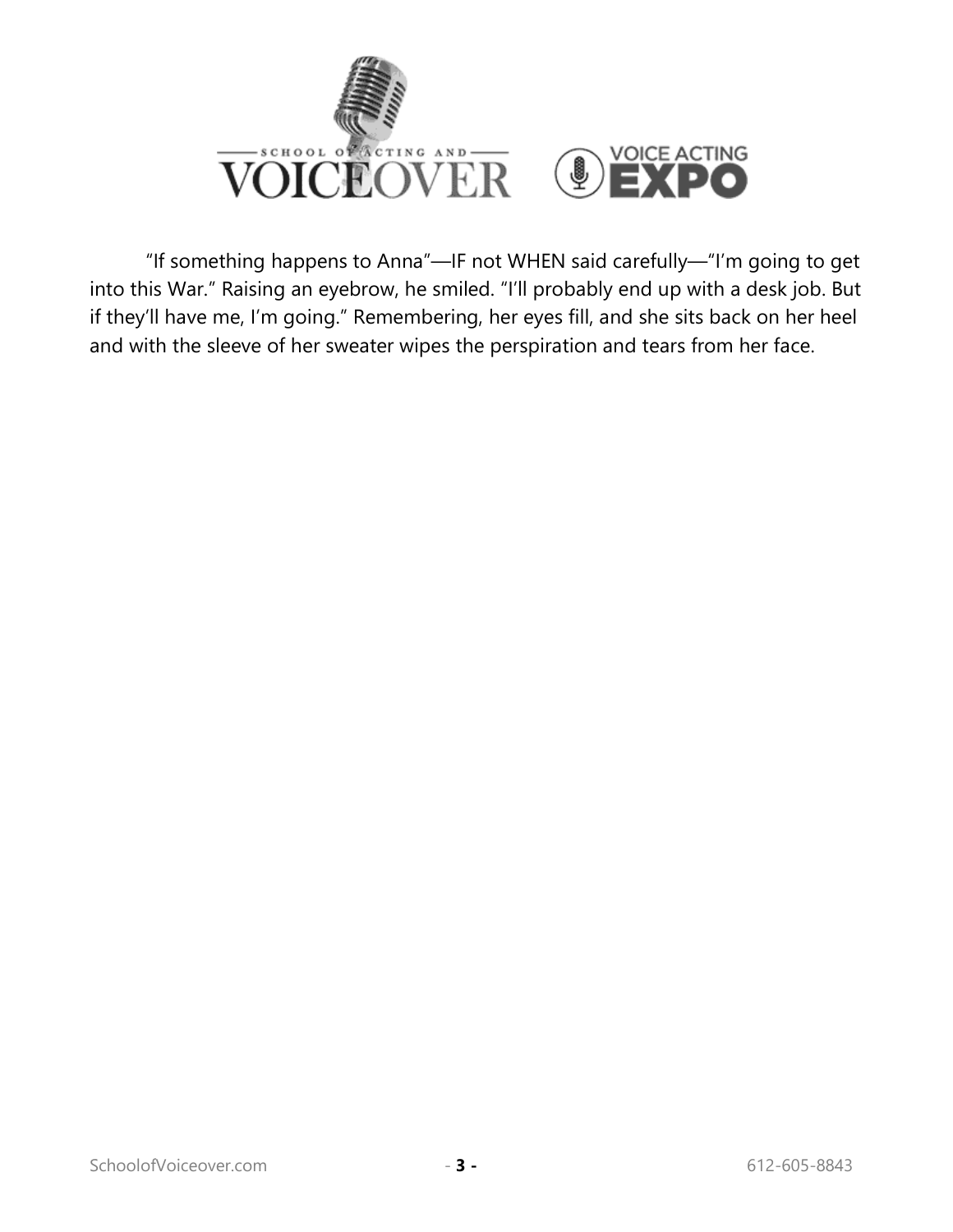

"If something happens to Anna"—IF not WHEN said carefully—"I'm going to get into this War." Raising an eyebrow, he smiled. "I'll probably end up with a desk job. But if they'll have me, I'm going." Remembering, her eyes fill, and she sits back on her heel and with the sleeve of her sweater wipes the perspiration and tears from her face.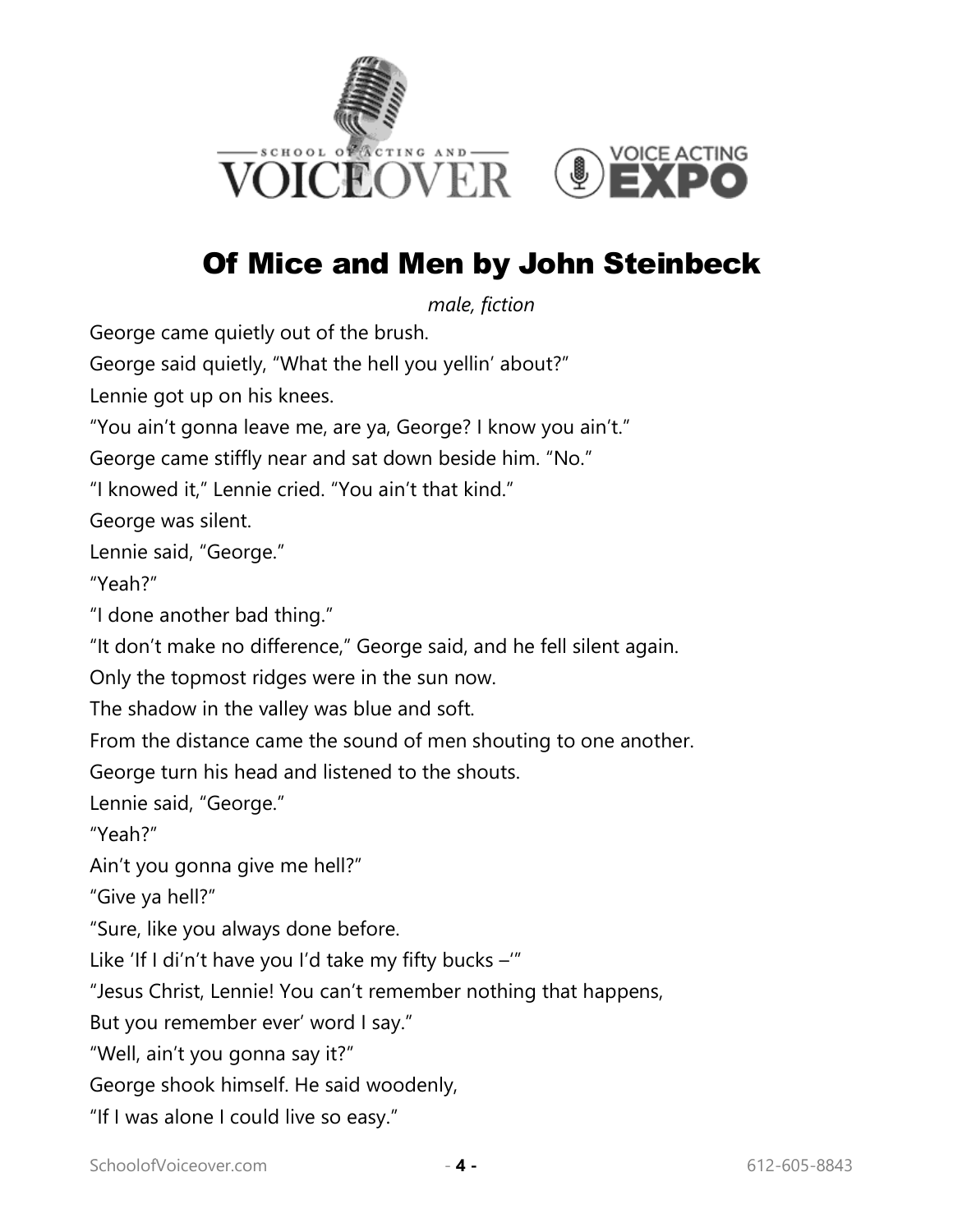

#### Of Mice and Men by John Steinbeck

*male, fiction* 

George came quietly out of the brush.

George said quietly, "What the hell you yellin' about?"

Lennie got up on his knees.

"You ain't gonna leave me, are ya, George? I know you ain't."

George came stiffly near and sat down beside him. "No."

"I knowed it," Lennie cried. "You ain't that kind."

George was silent.

Lennie said, "George."

"Yeah?"

"I done another bad thing."

"It don't make no difference," George said, and he fell silent again.

Only the topmost ridges were in the sun now.

The shadow in the valley was blue and soft.

From the distance came the sound of men shouting to one another.

George turn his head and listened to the shouts.

Lennie said, "George."

"Yeah?"

Ain't you gonna give me hell?"

"Give ya hell?"

"Sure, like you always done before.

Like 'If I di'n't have you I'd take my fifty bucks -"

"Jesus Christ, Lennie! You can't remember nothing that happens,

But you remember ever' word I say."

"Well, ain't you gonna say it?"

George shook himself. He said woodenly,

"If I was alone I could live so easy."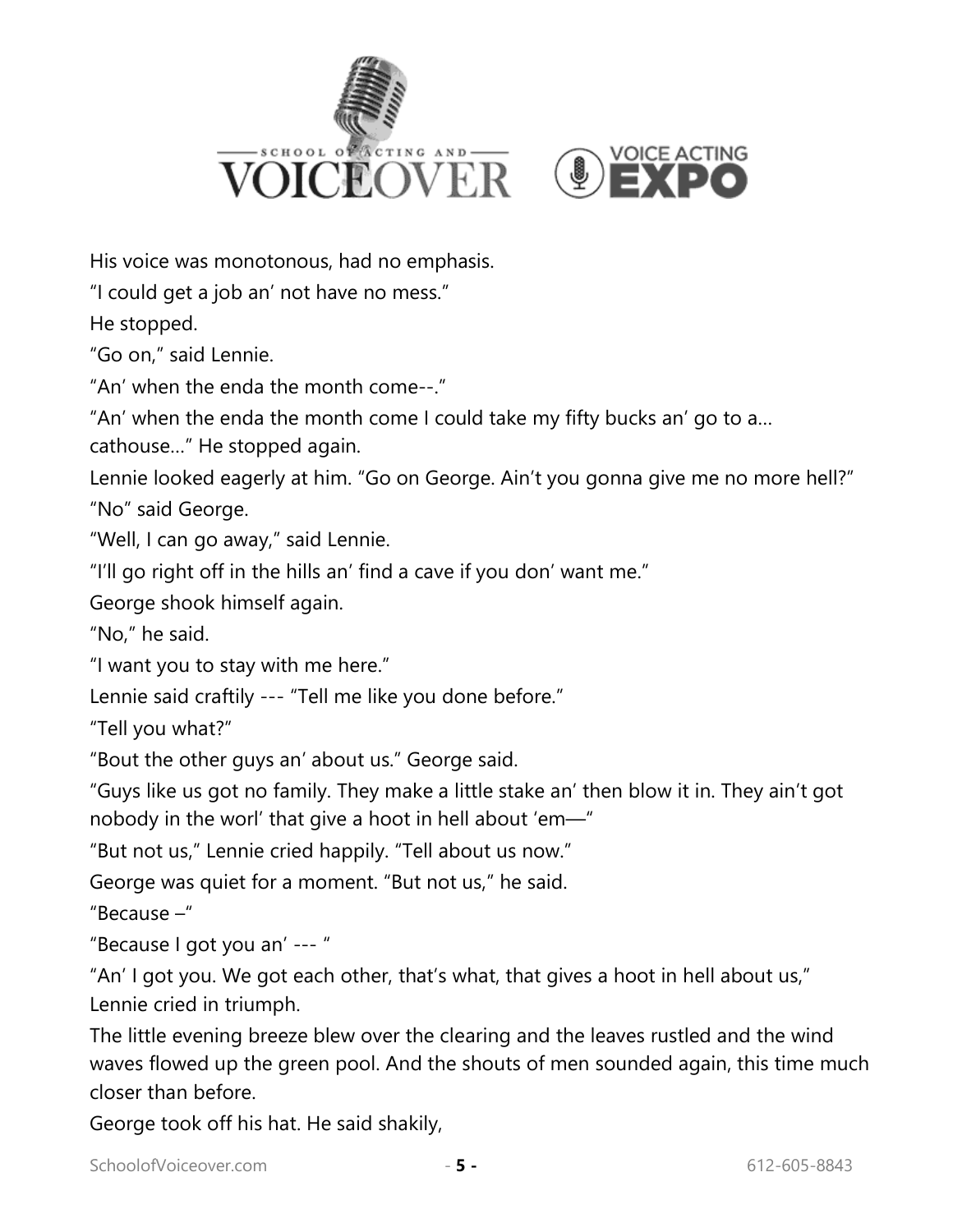



His voice was monotonous, had no emphasis.

"I could get a job an' not have no mess."

He stopped.

"Go on," said Lennie.

"An' when the enda the month come--."

"An' when the enda the month come I could take my fifty bucks an' go to a…

cathouse…" He stopped again.

Lennie looked eagerly at him. "Go on George. Ain't you gonna give me no more hell?"

"No" said George.

"Well, I can go away," said Lennie.

"I'll go right off in the hills an' find a cave if you don' want me."

George shook himself again.

"No," he said.

"I want you to stay with me here."

Lennie said craftily --- "Tell me like you done before."

"Tell you what?"

"Bout the other guys an' about us." George said.

"Guys like us got no family. They make a little stake an' then blow it in. They ain't got nobody in the worl' that give a hoot in hell about 'em—"

"But not us," Lennie cried happily. "Tell about us now."

George was quiet for a moment. "But not us," he said.

"Because –"

"Because I got you an' --- "

"An' I got you. We got each other, that's what, that gives a hoot in hell about us," Lennie cried in triumph.

The little evening breeze blew over the clearing and the leaves rustled and the wind waves flowed up the green pool. And the shouts of men sounded again, this time much closer than before.

George took off his hat. He said shakily,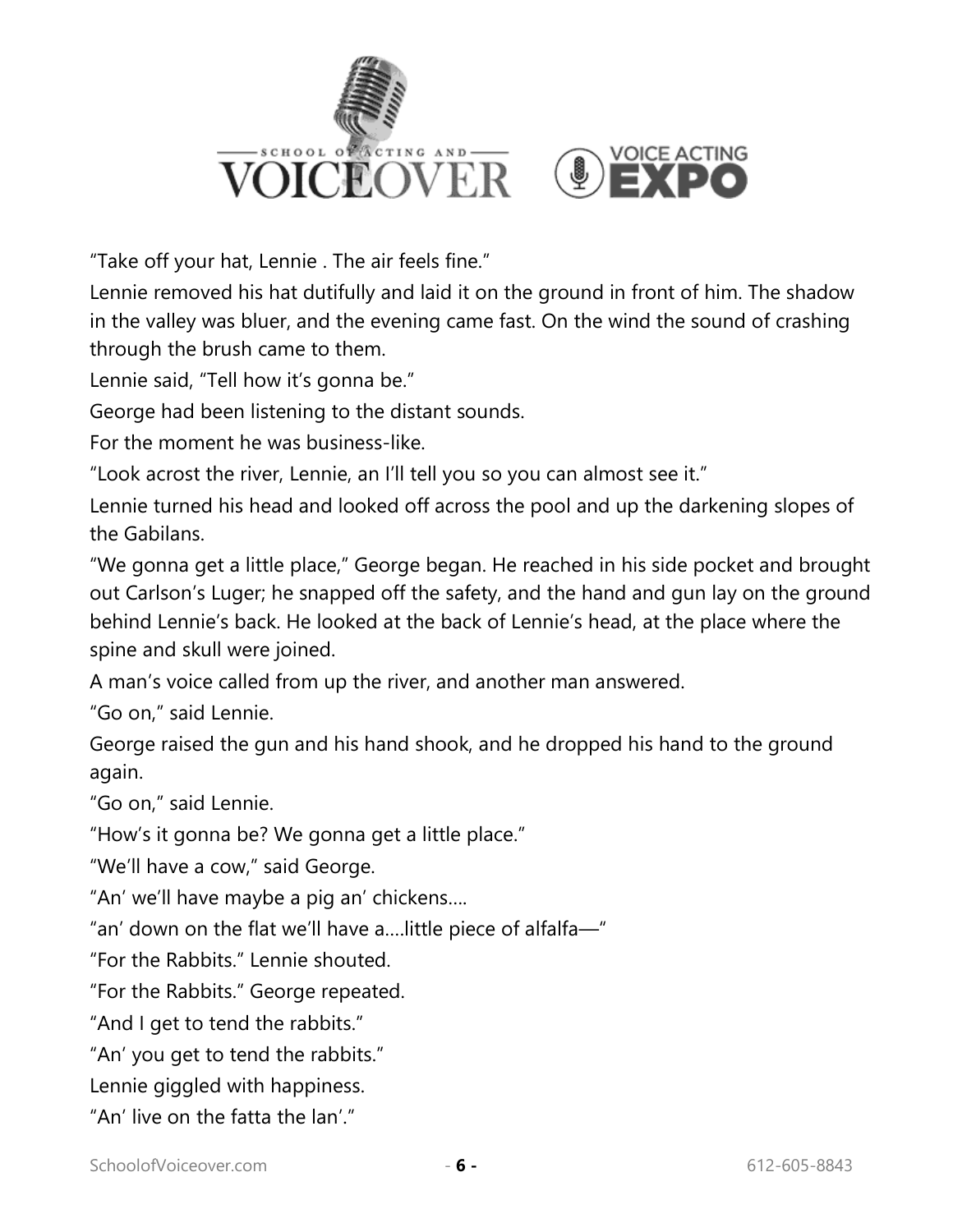



"Take off your hat, Lennie . The air feels fine."

Lennie removed his hat dutifully and laid it on the ground in front of him. The shadow in the valley was bluer, and the evening came fast. On the wind the sound of crashing through the brush came to them.

Lennie said, "Tell how it's gonna be."

George had been listening to the distant sounds.

For the moment he was business-like.

"Look acrost the river, Lennie, an I'll tell you so you can almost see it."

Lennie turned his head and looked off across the pool and up the darkening slopes of the Gabilans.

"We gonna get a little place," George began. He reached in his side pocket and brought out Carlson's Luger; he snapped off the safety, and the hand and gun lay on the ground behind Lennie's back. He looked at the back of Lennie's head, at the place where the spine and skull were joined.

A man's voice called from up the river, and another man answered.

"Go on," said Lennie.

George raised the gun and his hand shook, and he dropped his hand to the ground again.

"Go on," said Lennie.

"How's it gonna be? We gonna get a little place."

"We'll have a cow," said George.

"An' we'll have maybe a pig an' chickens….

"an' down on the flat we'll have a….little piece of alfalfa—"

"For the Rabbits." Lennie shouted.

"For the Rabbits." George repeated.

"And I get to tend the rabbits."

"An' you get to tend the rabbits."

Lennie giggled with happiness.

"An' live on the fatta the lan'."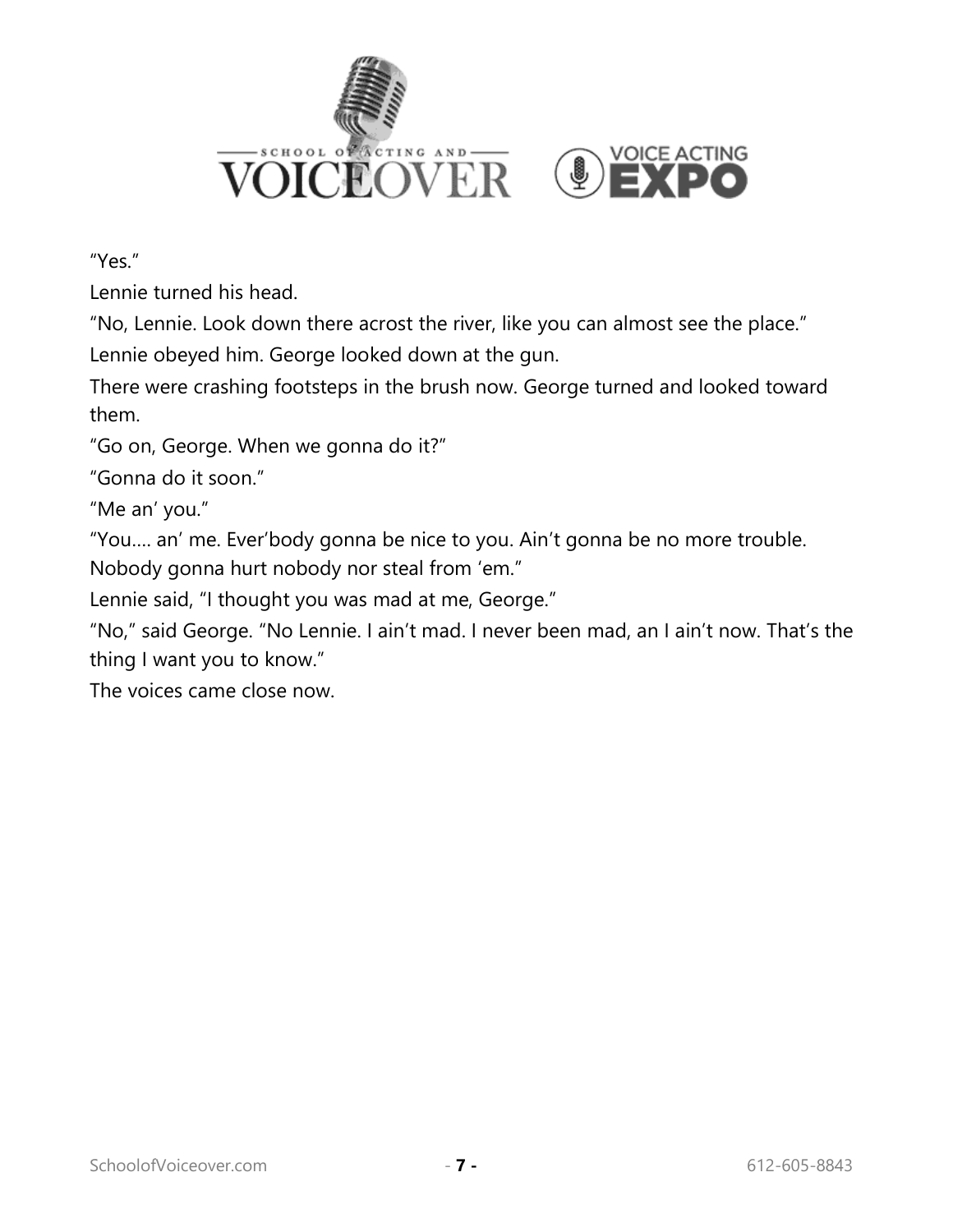



"Yes."

Lennie turned his head.

"No, Lennie. Look down there acrost the river, like you can almost see the place." Lennie obeyed him. George looked down at the gun.

There were crashing footsteps in the brush now. George turned and looked toward them.

"Go on, George. When we gonna do it?"

"Gonna do it soon."

"Me an' you."

"You…. an' me. Ever'body gonna be nice to you. Ain't gonna be no more trouble. Nobody gonna hurt nobody nor steal from 'em."

Lennie said, "I thought you was mad at me, George."

"No," said George. "No Lennie. I ain't mad. I never been mad, an I ain't now. That's the thing I want you to know."

The voices came close now.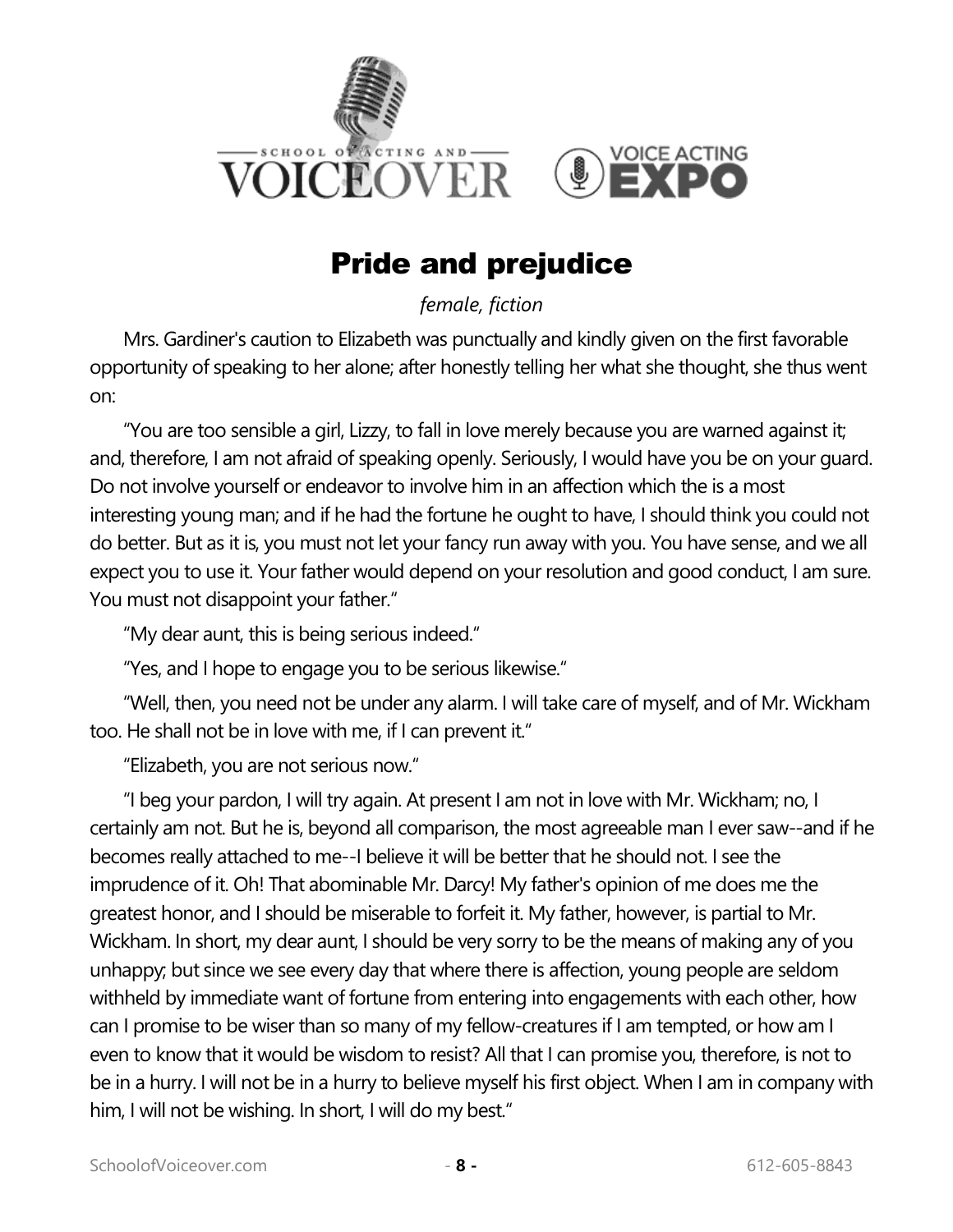

#### Pride and prejudice

*female, fiction* 

Mrs. Gardiner's caution to Elizabeth was punctually and kindly given on the first favorable opportunity of speaking to her alone; after honestly telling her what she thought, she thus went on:

"You are too sensible a girl, Lizzy, to fall in love merely because you are warned against it; and, therefore, I am not afraid of speaking openly. Seriously, I would have you be on your guard. Do not involve yourself or endeavor to involve him in an affection which the is a most interesting young man; and if he had the fortune he ought to have, I should think you could not do better. But as it is, you must not let your fancy run away with you. You have sense, and we all expect you to use it. Your father would depend on your resolution and good conduct, I am sure. You must not disappoint your father."

"My dear aunt, this is being serious indeed."

"Yes, and I hope to engage you to be serious likewise."

"Well, then, you need not be under any alarm. I will take care of myself, and of Mr. Wickham too. He shall not be in love with me, if I can prevent it."

"Elizabeth, you are not serious now."

"I beg your pardon, I will try again. At present I am not in love with Mr. Wickham; no, I certainly am not. But he is, beyond all comparison, the most agreeable man I ever saw--and if he becomes really attached to me--I believe it will be better that he should not. I see the imprudence of it. Oh! That abominable Mr. Darcy! My father's opinion of me does me the greatest honor, and I should be miserable to forfeit it. My father, however, is partial to Mr. Wickham. In short, my dear aunt, I should be very sorry to be the means of making any of you unhappy; but since we see every day that where there is affection, young people are seldom withheld by immediate want of fortune from entering into engagements with each other, how can I promise to be wiser than so many of my fellow-creatures if I am tempted, or how am I even to know that it would be wisdom to resist? All that I can promise you, therefore, is not to be in a hurry. I will not be in a hurry to believe myself his first object. When I am in company with him, I will not be wishing. In short, I will do my best."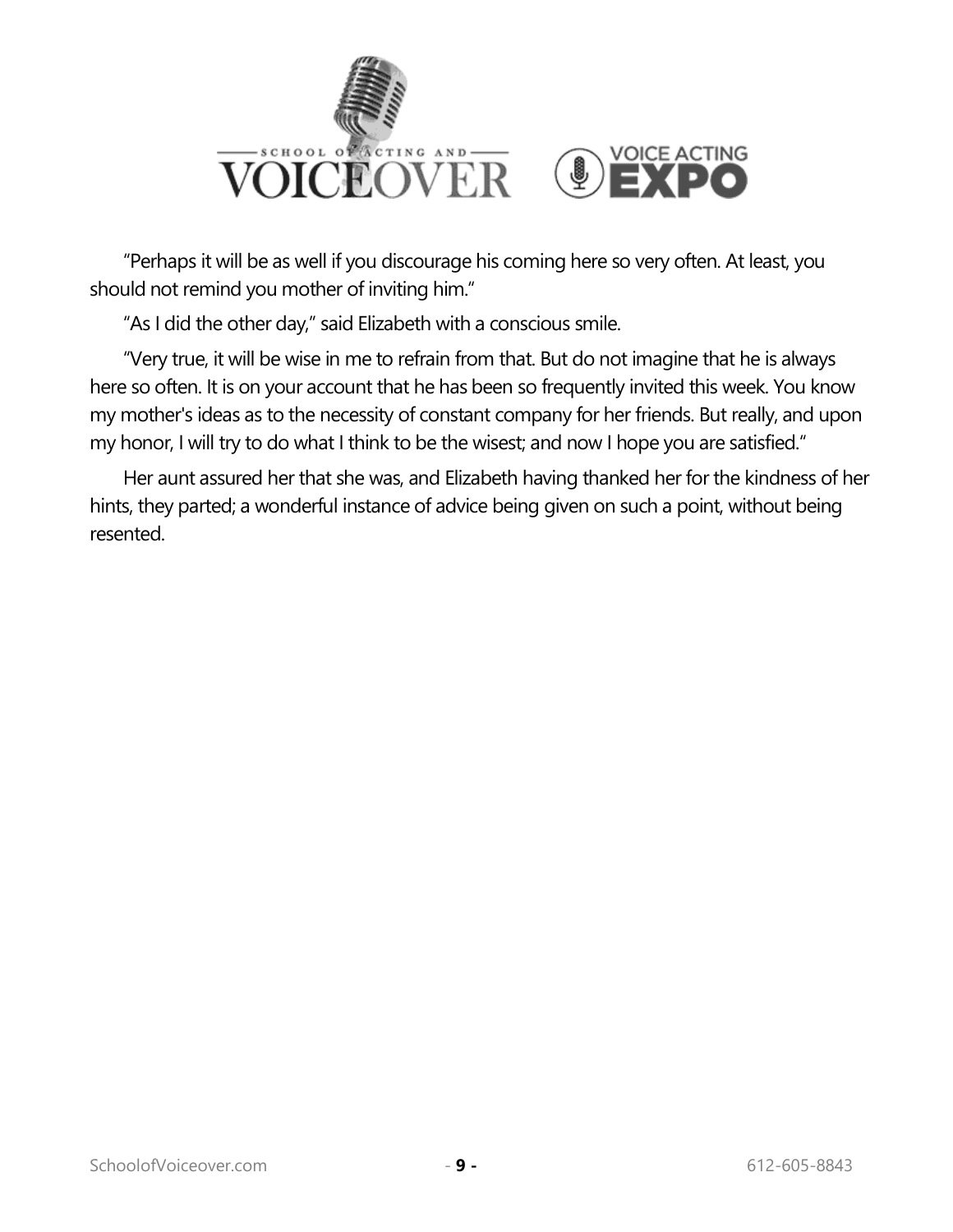

"Perhaps it will be as well if you discourage his coming here so very often. At least, you should not remind you mother of inviting him."

"As I did the other day," said Elizabeth with a conscious smile.

"Very true, it will be wise in me to refrain from that. But do not imagine that he is always here so often. It is on your account that he has been so frequently invited this week. You know my mother's ideas as to the necessity of constant company for her friends. But really, and upon my honor, I will try to do what I think to be the wisest; and now I hope you are satisfied."

Her aunt assured her that she was, and Elizabeth having thanked her for the kindness of her hints, they parted; a wonderful instance of advice being given on such a point, without being resented.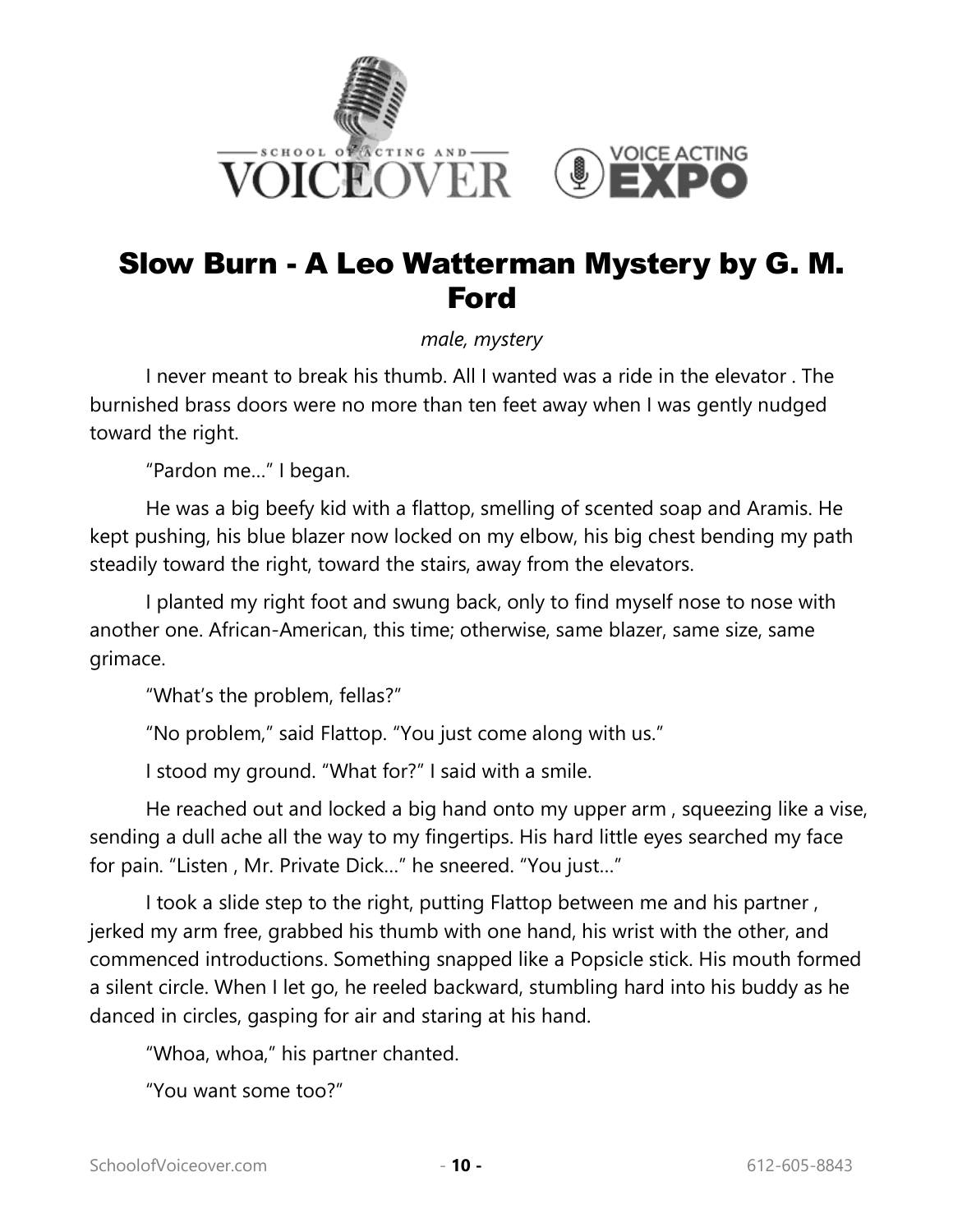



#### Slow Burn - A Leo Watterman Mystery by G. M. Ford

*male, mystery* 

 I never meant to break his thumb. All I wanted was a ride in the elevator . The burnished brass doors were no more than ten feet away when I was gently nudged toward the right.

"Pardon me…" I began.

 He was a big beefy kid with a flattop, smelling of scented soap and Aramis. He kept pushing, his blue blazer now locked on my elbow, his big chest bending my path steadily toward the right, toward the stairs, away from the elevators.

 I planted my right foot and swung back, only to find myself nose to nose with another one. African-American, this time; otherwise, same blazer, same size, same grimace.

"What's the problem, fellas?"

"No problem," said Flattop. "You just come along with us."

I stood my ground. "What for?" I said with a smile.

 He reached out and locked a big hand onto my upper arm , squeezing like a vise, sending a dull ache all the way to my fingertips. His hard little eyes searched my face for pain. "Listen , Mr. Private Dick…" he sneered. "You just…"

 I took a slide step to the right, putting Flattop between me and his partner , jerked my arm free, grabbed his thumb with one hand, his wrist with the other, and commenced introductions. Something snapped like a Popsicle stick. His mouth formed a silent circle. When I let go, he reeled backward, stumbling hard into his buddy as he danced in circles, gasping for air and staring at his hand.

"Whoa, whoa," his partner chanted.

"You want some too?"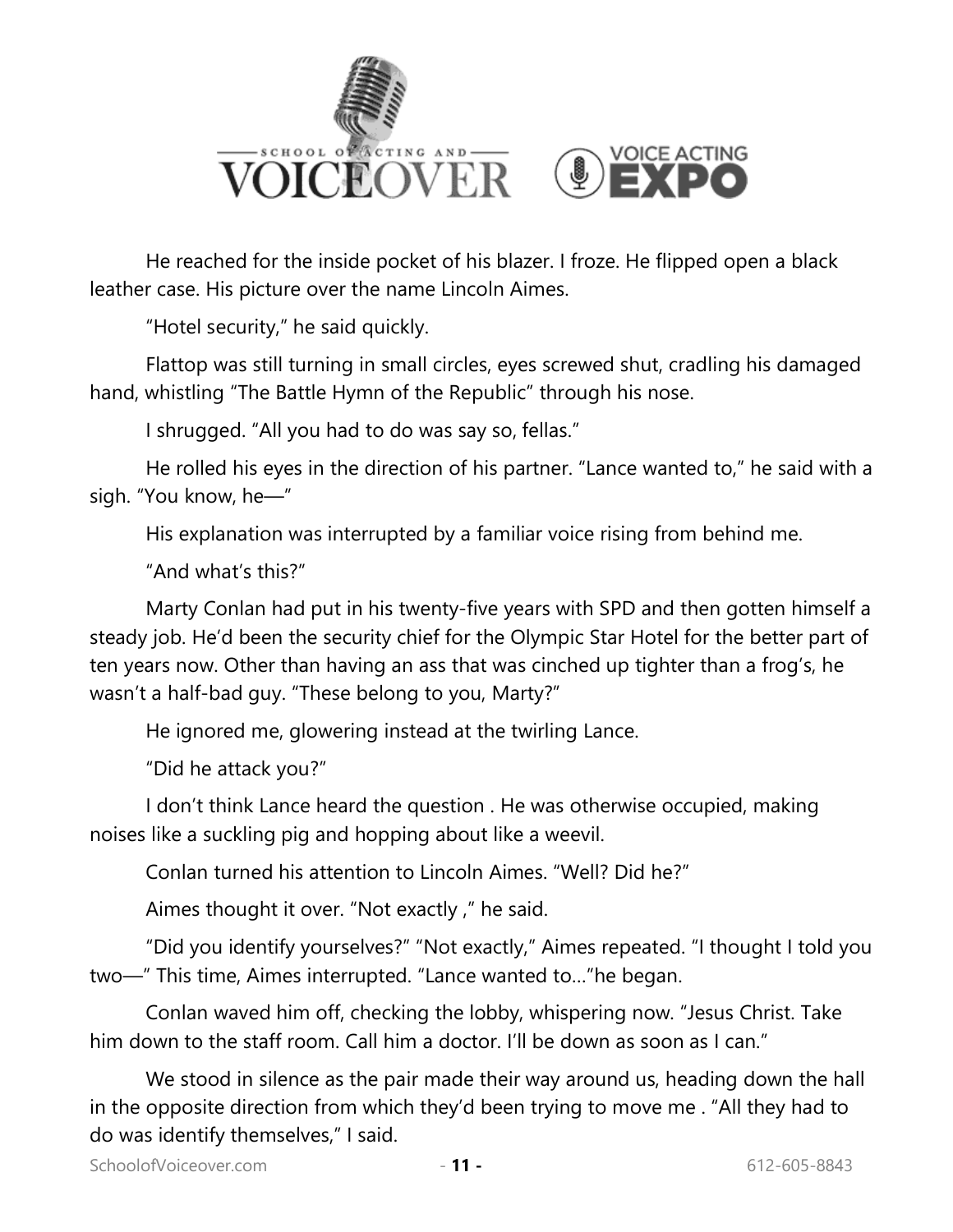

 He reached for the inside pocket of his blazer. I froze. He flipped open a black leather case. His picture over the name Lincoln Aimes.

"Hotel security," he said quickly.

 Flattop was still turning in small circles, eyes screwed shut, cradling his damaged hand, whistling "The Battle Hymn of the Republic" through his nose.

I shrugged. "All you had to do was say so, fellas."

 He rolled his eyes in the direction of his partner. "Lance wanted to," he said with a sigh. "You know, he—"

His explanation was interrupted by a familiar voice rising from behind me.

"And what's this?"

 Marty Conlan had put in his twenty-five years with SPD and then gotten himself a steady job. He'd been the security chief for the Olympic Star Hotel for the better part of ten years now. Other than having an ass that was cinched up tighter than a frog's, he wasn't a half-bad guy. "These belong to you, Marty?"

He ignored me, glowering instead at the twirling Lance.

"Did he attack you?"

 I don't think Lance heard the question . He was otherwise occupied, making noises like a suckling pig and hopping about like a weevil.

Conlan turned his attention to Lincoln Aimes. "Well? Did he?"

Aimes thought it over. "Not exactly ," he said.

 "Did you identify yourselves?" "Not exactly," Aimes repeated. "I thought I told you two—" This time, Aimes interrupted. "Lance wanted to…"he began.

 Conlan waved him off, checking the lobby, whispering now. "Jesus Christ. Take him down to the staff room. Call him a doctor. I'll be down as soon as I can."

We stood in silence as the pair made their way around us, heading down the hall in the opposite direction from which they'd been trying to move me . "All they had to do was identify themselves," I said.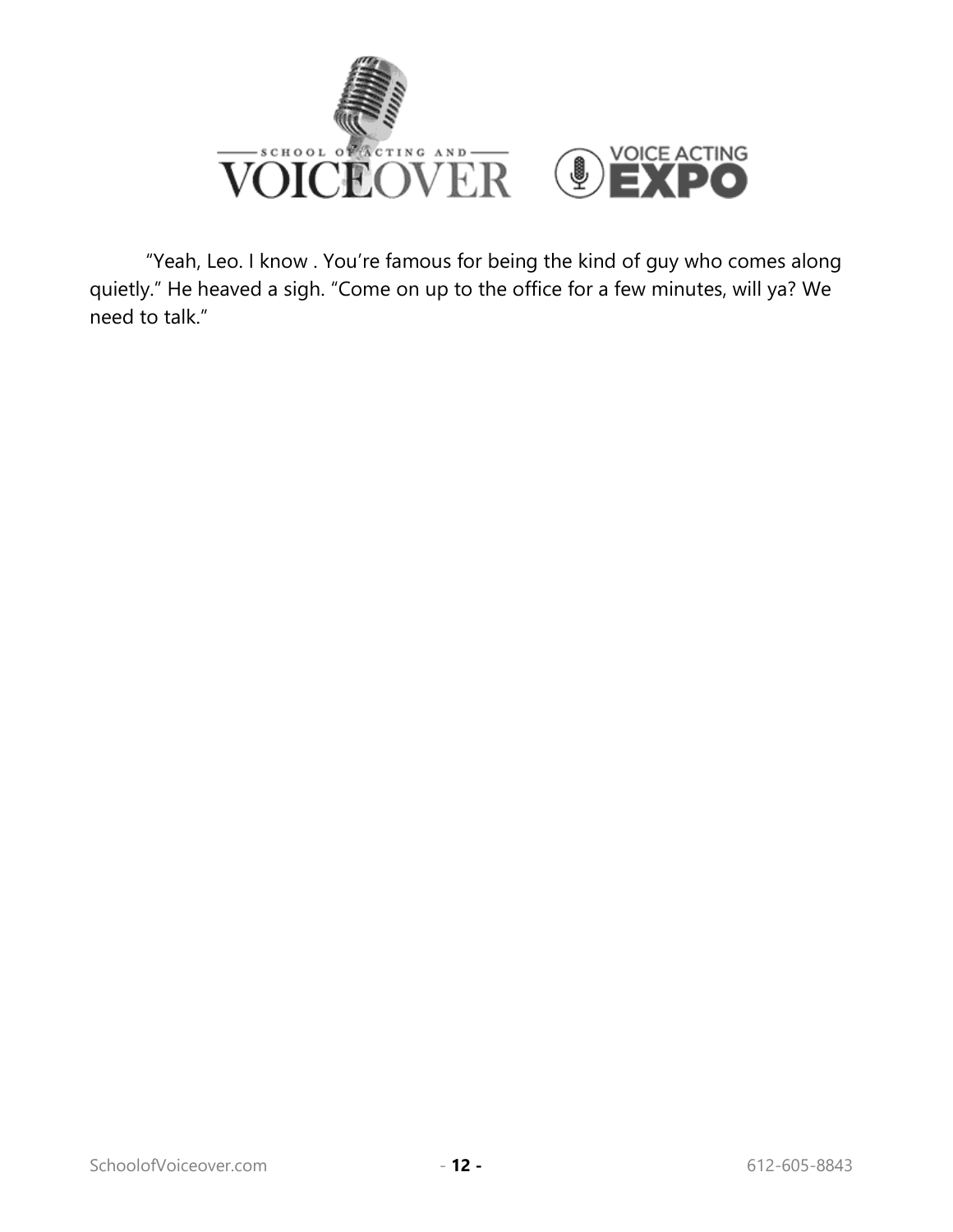

 "Yeah, Leo. I know . You're famous for being the kind of guy who comes along quietly." He heaved a sigh. "Come on up to the office for a few minutes, will ya? We need to talk."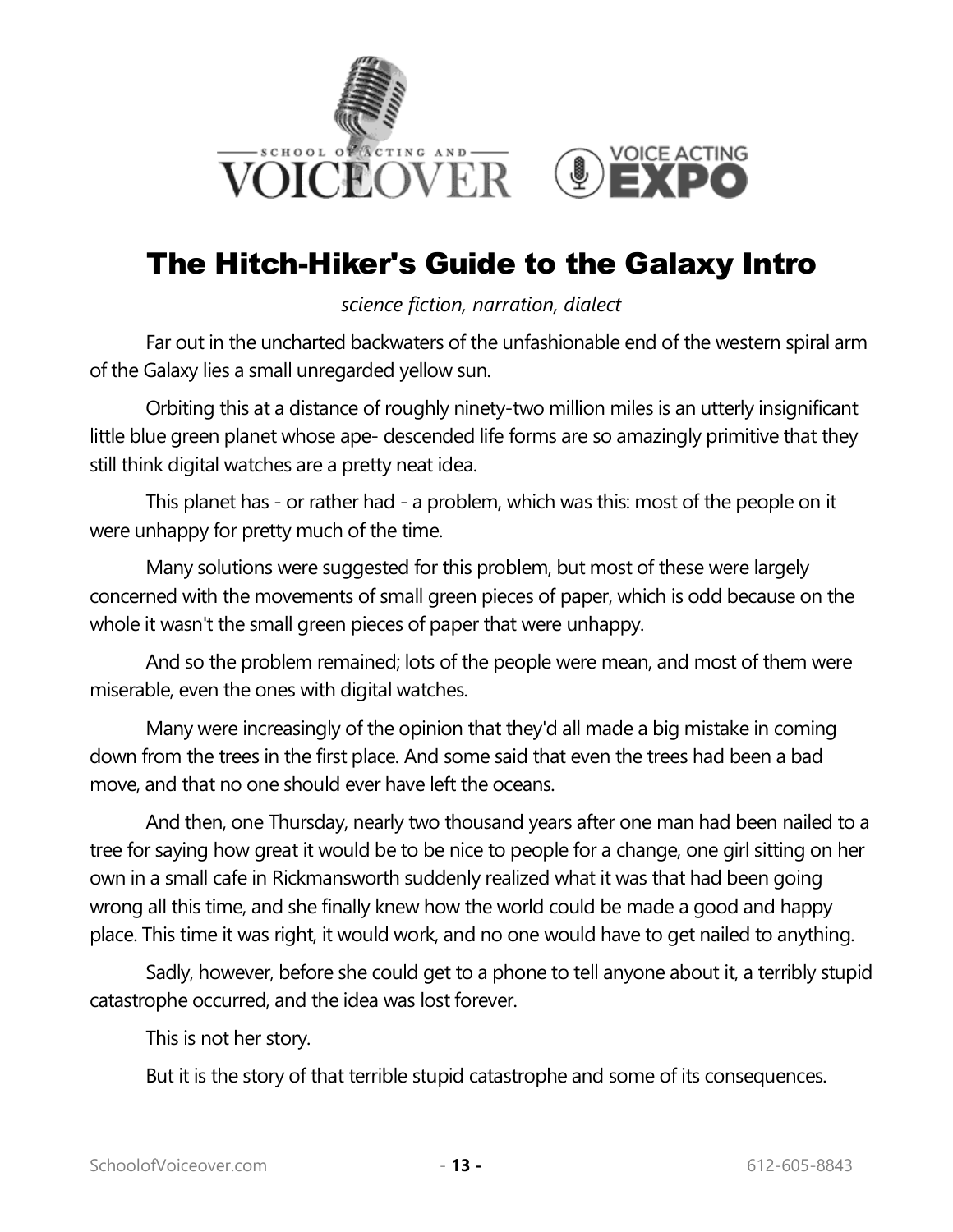

#### The Hitch-Hiker's Guide to the Galaxy Intro

*science fiction, narration, dialect* 

Far out in the uncharted backwaters of the unfashionable end of the western spiral arm of the Galaxy lies a small unregarded yellow sun.

Orbiting this at a distance of roughly ninety-two million miles is an utterly insignificant little blue green planet whose ape- descended life forms are so amazingly primitive that they still think digital watches are a pretty neat idea.

This planet has - or rather had - a problem, which was this: most of the people on it were unhappy for pretty much of the time.

Many solutions were suggested for this problem, but most of these were largely concerned with the movements of small green pieces of paper, which is odd because on the whole it wasn't the small green pieces of paper that were unhappy.

And so the problem remained; lots of the people were mean, and most of them were miserable, even the ones with digital watches.

Many were increasingly of the opinion that they'd all made a big mistake in coming down from the trees in the first place. And some said that even the trees had been a bad move, and that no one should ever have left the oceans.

And then, one Thursday, nearly two thousand years after one man had been nailed to a tree for saying how great it would be to be nice to people for a change, one girl sitting on her own in a small cafe in Rickmansworth suddenly realized what it was that had been going wrong all this time, and she finally knew how the world could be made a good and happy place. This time it was right, it would work, and no one would have to get nailed to anything.

Sadly, however, before she could get to a phone to tell anyone about it, a terribly stupid catastrophe occurred, and the idea was lost forever.

This is not her story.

But it is the story of that terrible stupid catastrophe and some of its consequences.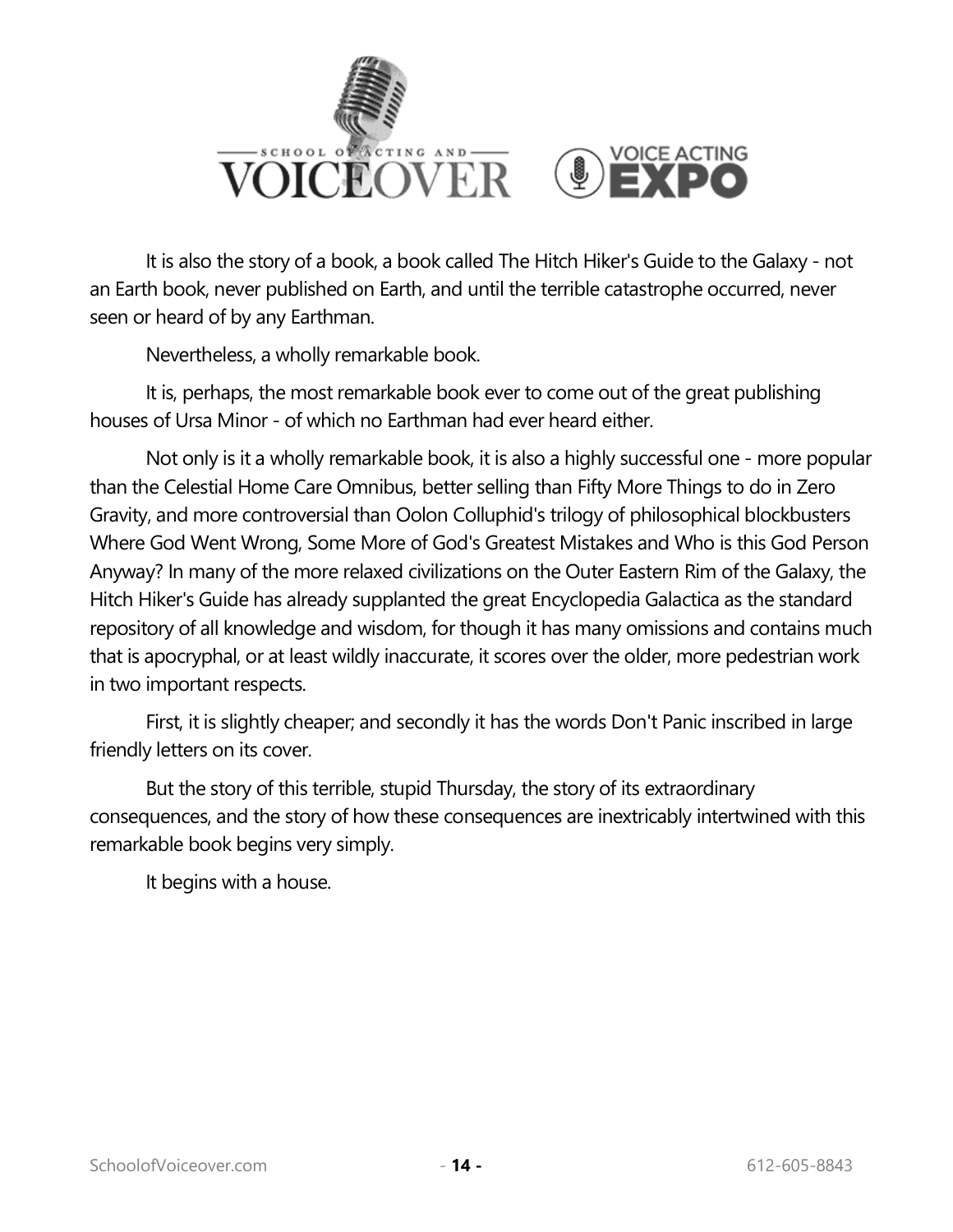

It is also the story of a book, a book called The Hitch Hiker's Guide to the Galaxy - not an Earth book, never published on Earth, and until the terrible catastrophe occurred, never seen or heard of by any Earthman.

Nevertheless, a wholly remarkable book.

It is, perhaps, the most remarkable book ever to come out of the great publishing houses of Ursa Minor - of which no Earthman had ever heard either.

Not only is it a wholly remarkable book, it is also a highly successful one - more popular than the Celestial Home Care Omnibus, better selling than Fifty More Things to do in Zero Gravity, and more controversial than Oolon Colluphid's trilogy of philosophical blockbusters Where God Went Wrong, Some More of God's Greatest Mistakes and Who is this God Person Anyway? In many of the more relaxed civilizations on the Outer Eastern Rim of the Galaxy, the Hitch Hiker's Guide has already supplanted the great Encyclopedia Galactica as the standard repository of all knowledge and wisdom, for though it has many omissions and contains much that is apocryphal, or at least wildly inaccurate, it scores over the older, more pedestrian work in two important respects.

First, it is slightly cheaper; and secondly it has the words Don't Panic inscribed in large friendly letters on its cover.

But the story of this terrible, stupid Thursday, the story of its extraordinary consequences, and the story of how these consequences are inextricably intertwined with this remarkable book begins very simply.

It begins with a house.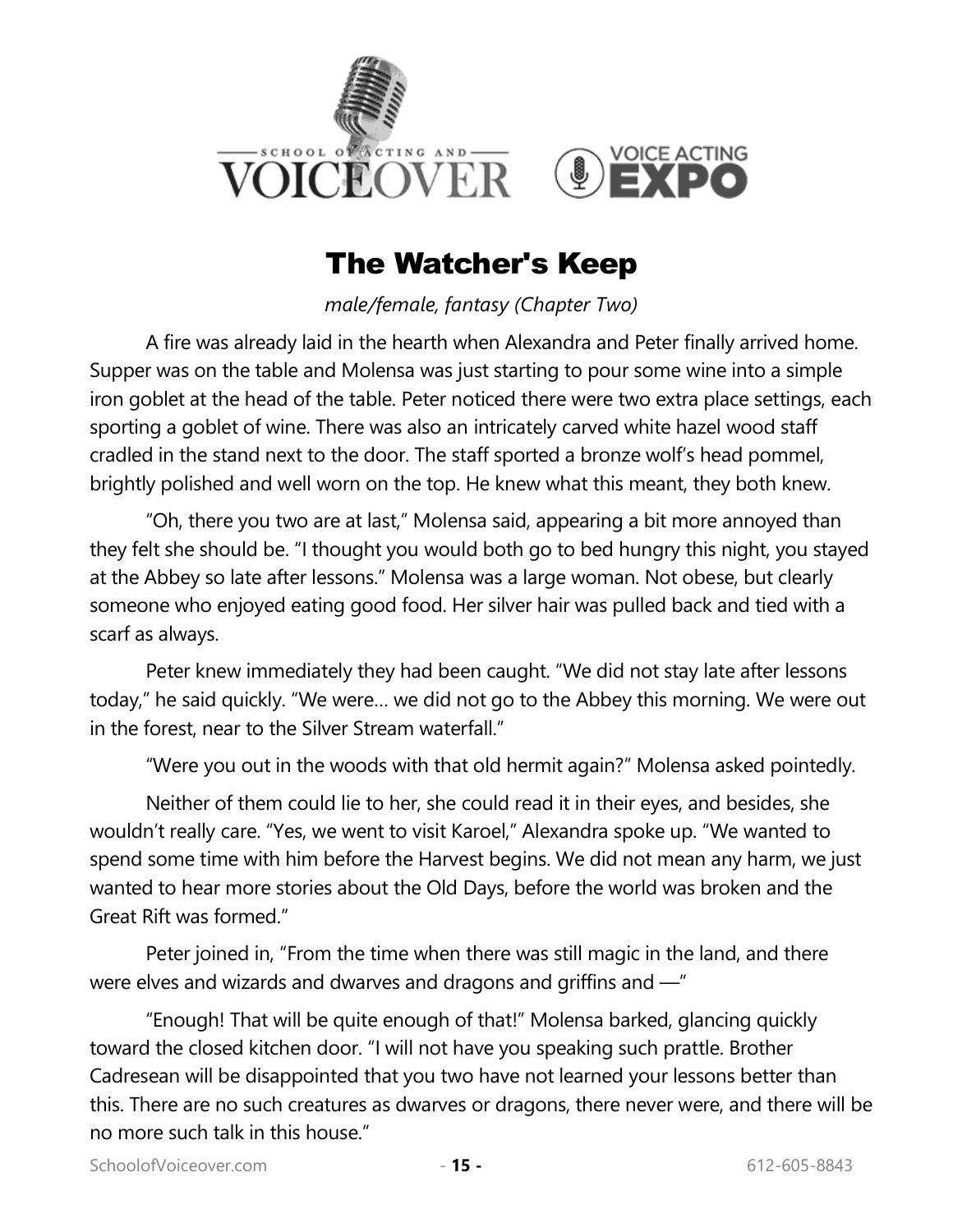

#### The Watcher's Keep

*male/female, fantasy (Chapter Two)* 

A fire was already laid in the hearth when Alexandra and Peter finally arrived home. Supper was on the table and Molensa was just starting to pour some wine into a simple iron goblet at the head of the table. Peter noticed there were two extra place settings, each sporting a goblet of wine. There was also an intricately carved white hazel wood staff cradled in the stand next to the door. The staff sported a bronze wolf's head pommel, brightly polished and well worn on the top. He knew what this meant, they both knew.

"Oh, there you two are at last," Molensa said, appearing a bit more annoyed than they felt she should be. "I thought you would both go to bed hungry this night, you stayed at the Abbey so late after lessons." Molensa was a large woman. Not obese, but clearly someone who enjoyed eating good food. Her silver hair was pulled back and tied with a scarf as always.

Peter knew immediately they had been caught. "We did not stay late after lessons today," he said quickly. "We were… we did not go to the Abbey this morning. We were out in the forest, near to the Silver Stream waterfall."

"Were you out in the woods with that old hermit again?" Molensa asked pointedly.

Neither of them could lie to her, she could read it in their eyes, and besides, she wouldn't really care. "Yes, we went to visit Karoel," Alexandra spoke up. "We wanted to spend some time with him before the Harvest begins. We did not mean any harm, we just wanted to hear more stories about the Old Days, before the world was broken and the Great Rift was formed."

Peter joined in, "From the time when there was still magic in the land, and there were elves and wizards and dwarves and dragons and griffins and  $-\mathbf{r}$ 

"Enough! That will be quite enough of that!" Molensa barked, glancing quickly toward the closed kitchen door. "I will not have you speaking such prattle. Brother Cadresean will be disappointed that you two have not learned your lessons better than this. There are no such creatures as dwarves or dragons, there never were, and there will be no more such talk in this house."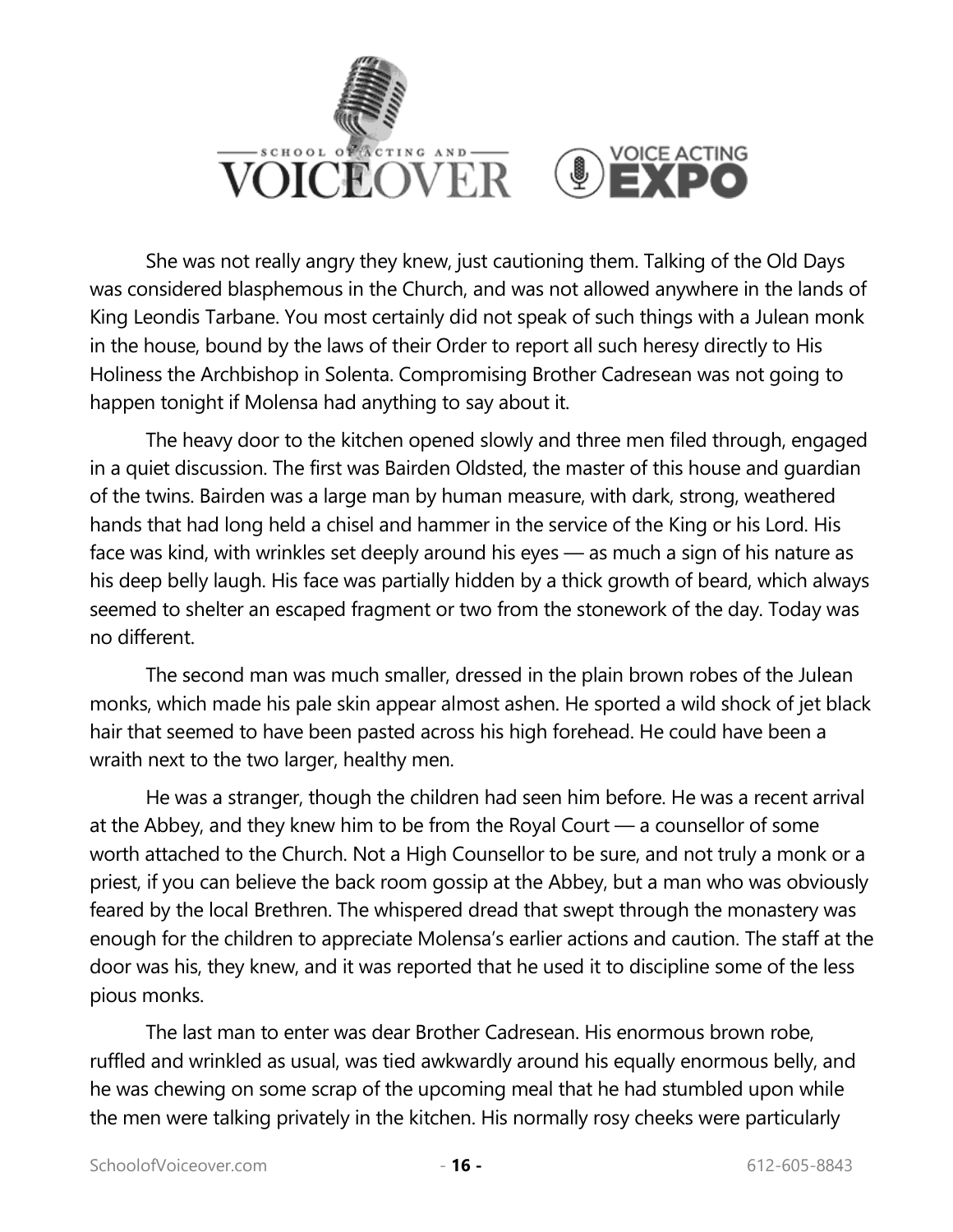

She was not really angry they knew, just cautioning them. Talking of the Old Days was considered blasphemous in the Church, and was not allowed anywhere in the lands of King Leondis Tarbane. You most certainly did not speak of such things with a Julean monk in the house, bound by the laws of their Order to report all such heresy directly to His Holiness the Archbishop in Solenta. Compromising Brother Cadresean was not going to happen tonight if Molensa had anything to say about it.

The heavy door to the kitchen opened slowly and three men filed through, engaged in a quiet discussion. The first was Bairden Oldsted, the master of this house and guardian of the twins. Bairden was a large man by human measure, with dark, strong, weathered hands that had long held a chisel and hammer in the service of the King or his Lord. His face was kind, with wrinkles set deeply around his eyes — as much a sign of his nature as his deep belly laugh. His face was partially hidden by a thick growth of beard, which always seemed to shelter an escaped fragment or two from the stonework of the day. Today was no different.

The second man was much smaller, dressed in the plain brown robes of the Julean monks, which made his pale skin appear almost ashen. He sported a wild shock of jet black hair that seemed to have been pasted across his high forehead. He could have been a wraith next to the two larger, healthy men.

He was a stranger, though the children had seen him before. He was a recent arrival at the Abbey, and they knew him to be from the Royal Court — a counsellor of some worth attached to the Church. Not a High Counsellor to be sure, and not truly a monk or a priest, if you can believe the back room gossip at the Abbey, but a man who was obviously feared by the local Brethren. The whispered dread that swept through the monastery was enough for the children to appreciate Molensa's earlier actions and caution. The staff at the door was his, they knew, and it was reported that he used it to discipline some of the less pious monks.

The last man to enter was dear Brother Cadresean. His enormous brown robe, ruffled and wrinkled as usual, was tied awkwardly around his equally enormous belly, and he was chewing on some scrap of the upcoming meal that he had stumbled upon while the men were talking privately in the kitchen. His normally rosy cheeks were particularly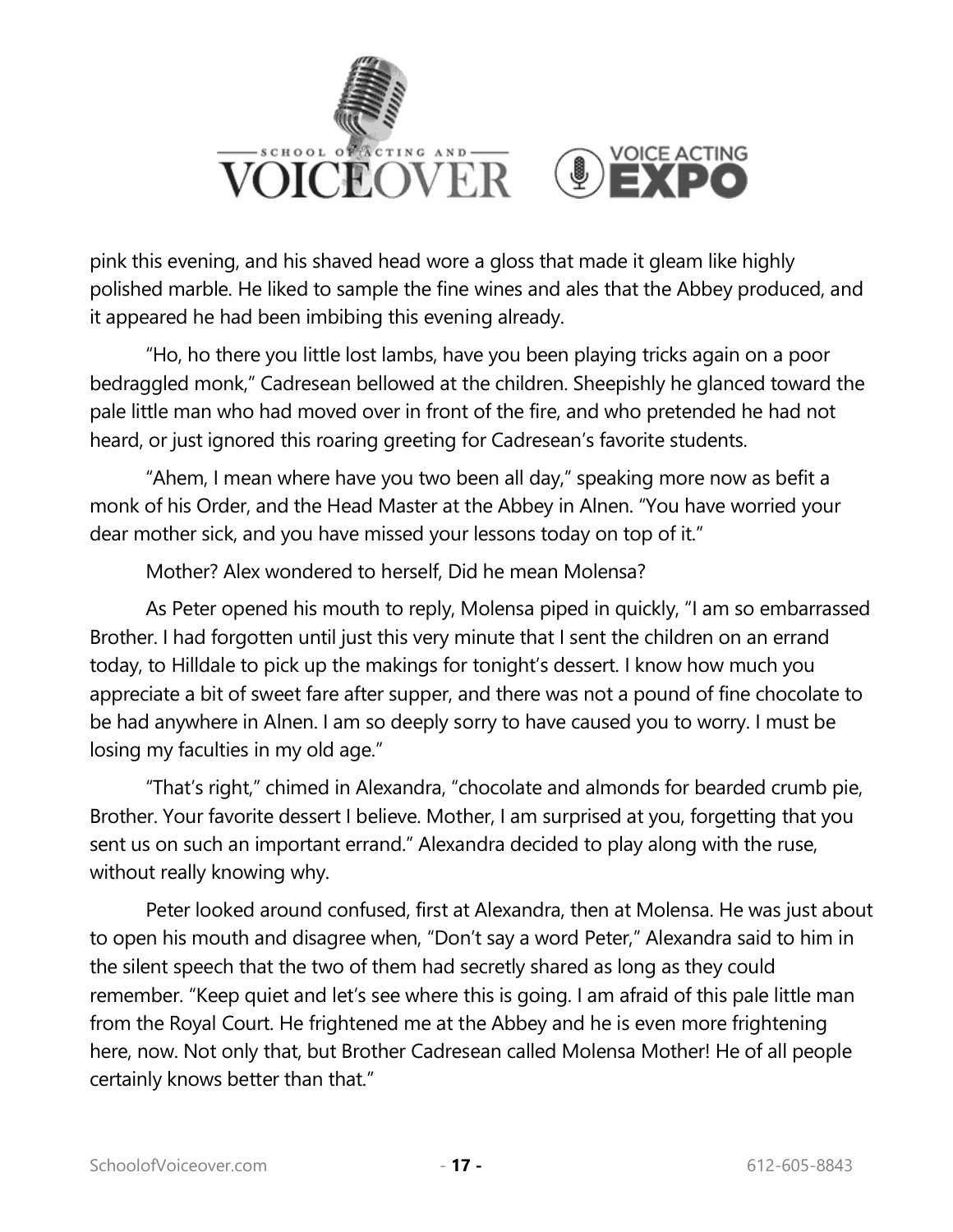

pink this evening, and his shaved head wore a gloss that made it gleam like highly polished marble. He liked to sample the fine wines and ales that the Abbey produced, and it appeared he had been imbibing this evening already.

"Ho, ho there you little lost lambs, have you been playing tricks again on a poor bedraggled monk," Cadresean bellowed at the children. Sheepishly he glanced toward the pale little man who had moved over in front of the fire, and who pretended he had not heard, or just ignored this roaring greeting for Cadresean's favorite students.

"Ahem, I mean where have you two been all day," speaking more now as befit a monk of his Order, and the Head Master at the Abbey in Alnen. "You have worried your dear mother sick, and you have missed your lessons today on top of it."

Mother? Alex wondered to herself, Did he mean Molensa?

As Peter opened his mouth to reply, Molensa piped in quickly, "I am so embarrassed Brother. I had forgotten until just this very minute that I sent the children on an errand today, to Hilldale to pick up the makings for tonight's dessert. I know how much you appreciate a bit of sweet fare after supper, and there was not a pound of fine chocolate to be had anywhere in Alnen. I am so deeply sorry to have caused you to worry. I must be losing my faculties in my old age."

"That's right," chimed in Alexandra, "chocolate and almonds for bearded crumb pie, Brother. Your favorite dessert I believe. Mother, I am surprised at you, forgetting that you sent us on such an important errand." Alexandra decided to play along with the ruse, without really knowing why.

Peter looked around confused, first at Alexandra, then at Molensa. He was just about to open his mouth and disagree when, "Don't say a word Peter," Alexandra said to him in the silent speech that the two of them had secretly shared as long as they could remember. "Keep quiet and let's see where this is going. I am afraid of this pale little man from the Royal Court. He frightened me at the Abbey and he is even more frightening here, now. Not only that, but Brother Cadresean called Molensa Mother! He of all people certainly knows better than that."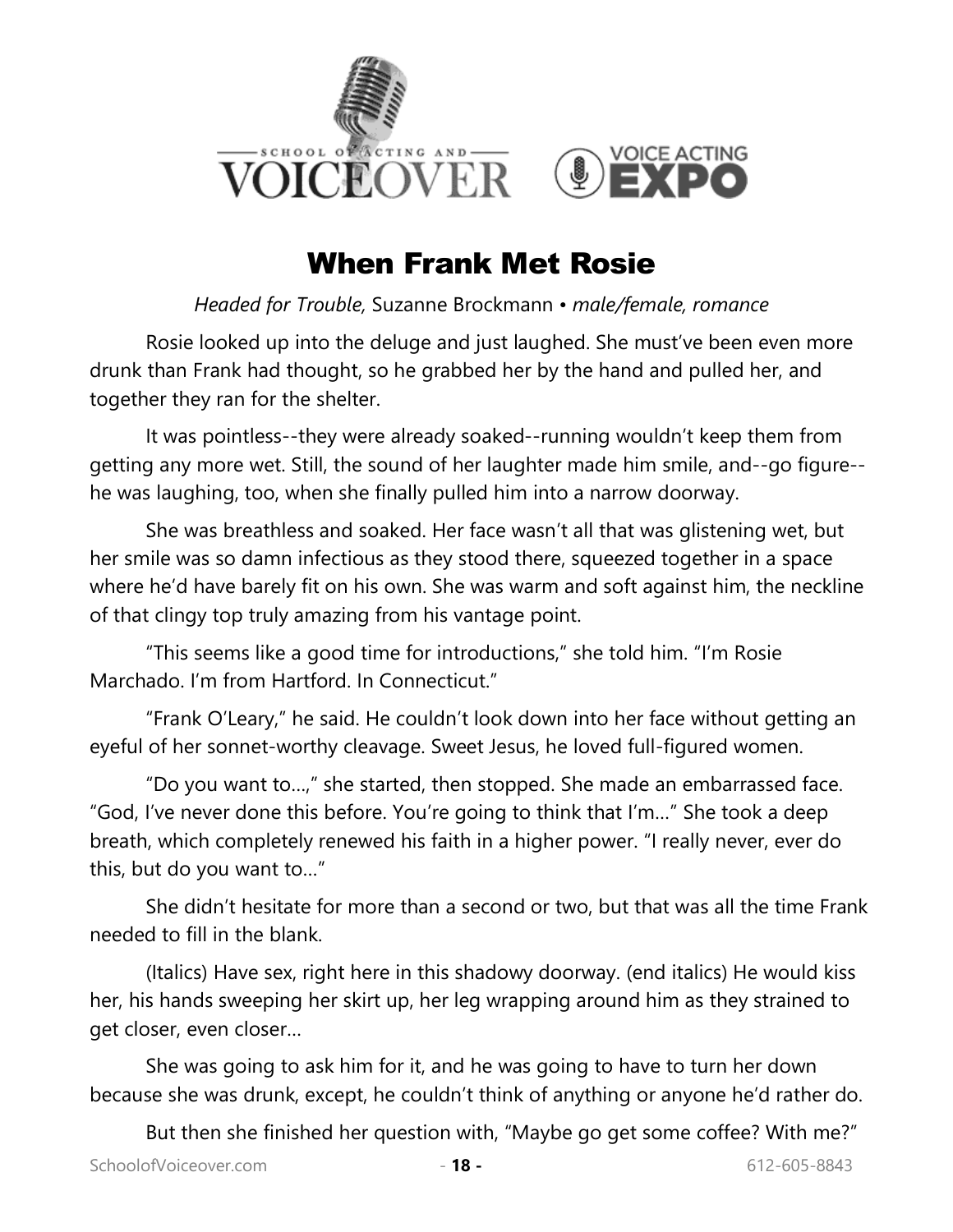

#### When Frank Met Rosie

#### *Headed for Trouble,* Suzanne Brockmann • *male/female, romance*

 Rosie looked up into the deluge and just laughed. She must've been even more drunk than Frank had thought, so he grabbed her by the hand and pulled her, and together they ran for the shelter.

 It was pointless--they were already soaked--running wouldn't keep them from getting any more wet. Still, the sound of her laughter made him smile, and--go figure- he was laughing, too, when she finally pulled him into a narrow doorway.

 She was breathless and soaked. Her face wasn't all that was glistening wet, but her smile was so damn infectious as they stood there, squeezed together in a space where he'd have barely fit on his own. She was warm and soft against him, the neckline of that clingy top truly amazing from his vantage point.

 "This seems like a good time for introductions," she told him. "I'm Rosie Marchado. I'm from Hartford. In Connecticut."

 "Frank O'Leary," he said. He couldn't look down into her face without getting an eyeful of her sonnet-worthy cleavage. Sweet Jesus, he loved full-figured women.

 "Do you want to…," she started, then stopped. She made an embarrassed face. "God, I've never done this before. You're going to think that I'm…" She took a deep breath, which completely renewed his faith in a higher power. "I really never, ever do this, but do you want to…"

 She didn't hesitate for more than a second or two, but that was all the time Frank needed to fill in the blank.

 (Italics) Have sex, right here in this shadowy doorway. (end italics) He would kiss her, his hands sweeping her skirt up, her leg wrapping around him as they strained to get closer, even closer…

 She was going to ask him for it, and he was going to have to turn her down because she was drunk, except, he couldn't think of anything or anyone he'd rather do.

SchoolofVoiceover.com - **18 -** 612-605-8843 But then she finished her question with, "Maybe go get some coffee? With me?"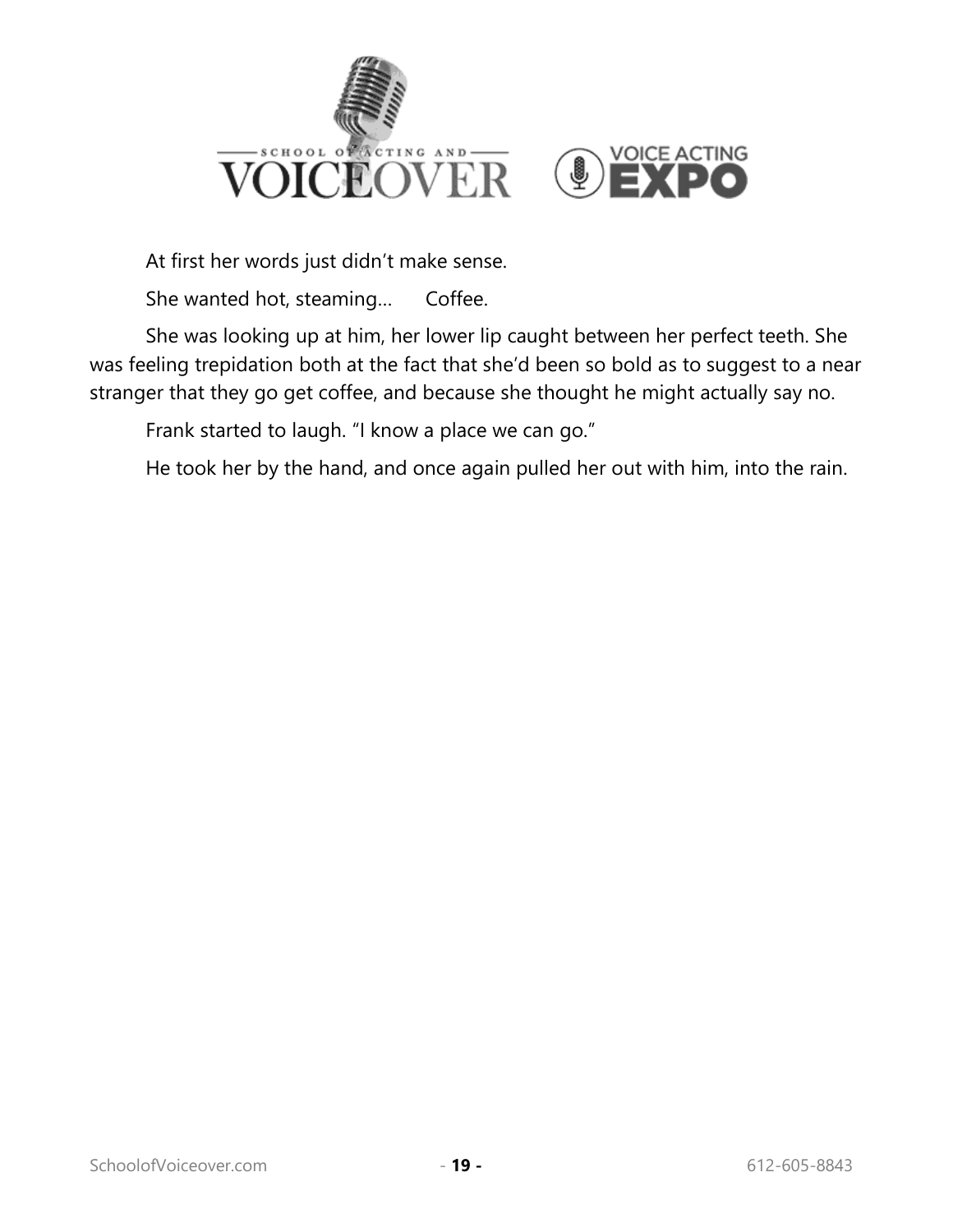



At first her words just didn't make sense.

She wanted hot, steaming… Coffee.

 She was looking up at him, her lower lip caught between her perfect teeth. She was feeling trepidation both at the fact that she'd been so bold as to suggest to a near stranger that they go get coffee, and because she thought he might actually say no.

Frank started to laugh. "I know a place we can go."

He took her by the hand, and once again pulled her out with him, into the rain.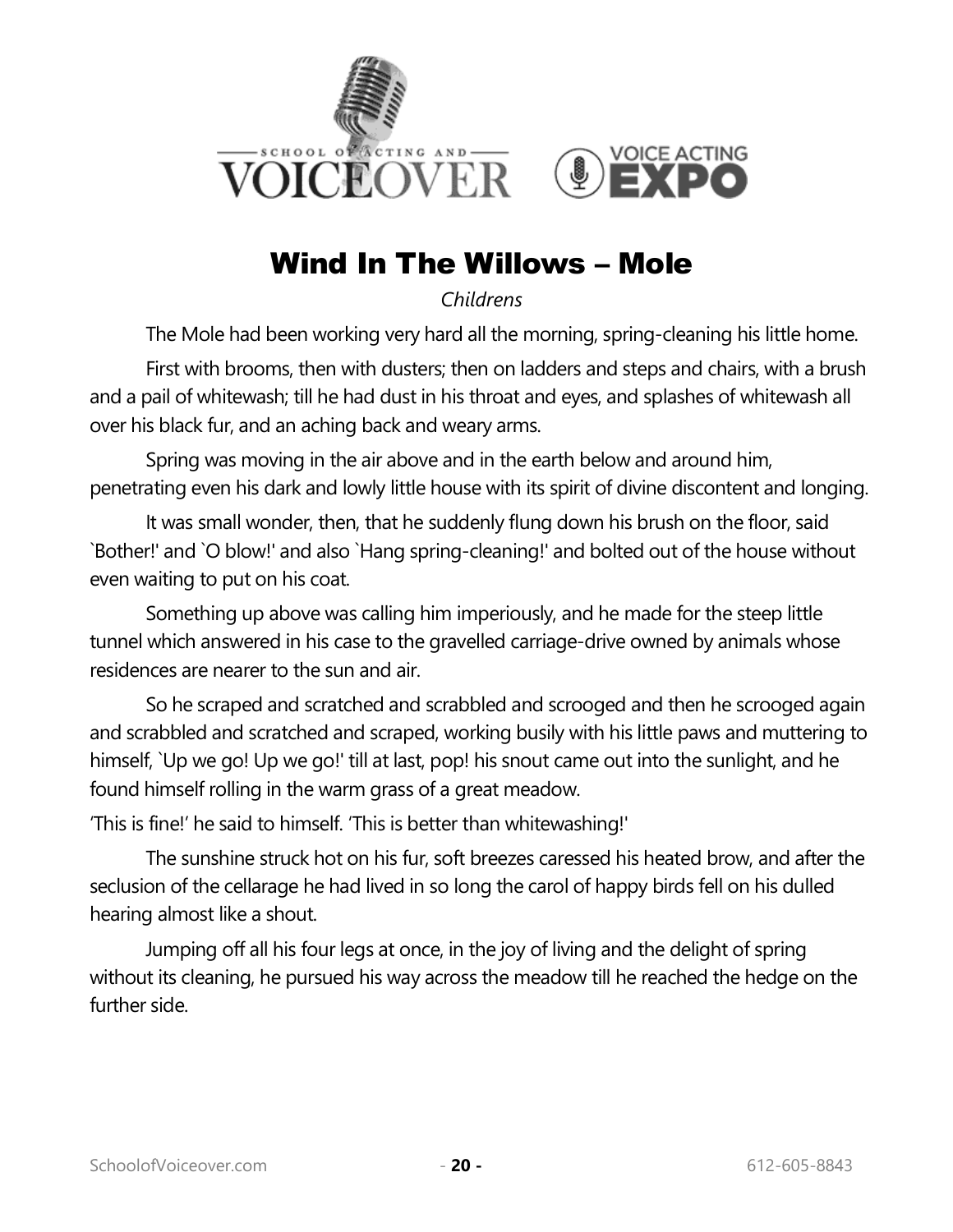

#### Wind In The Willows – Mole

*Childrens* 

The Mole had been working very hard all the morning, spring-cleaning his little home.

 First with brooms, then with dusters; then on ladders and steps and chairs, with a brush and a pail of whitewash; till he had dust in his throat and eyes, and splashes of whitewash all over his black fur, and an aching back and weary arms.

 Spring was moving in the air above and in the earth below and around him, penetrating even his dark and lowly little house with its spirit of divine discontent and longing.

 It was small wonder, then, that he suddenly flung down his brush on the floor, said `Bother!' and `O blow!' and also `Hang spring-cleaning!' and bolted out of the house without even waiting to put on his coat.

 Something up above was calling him imperiously, and he made for the steep little tunnel which answered in his case to the gravelled carriage-drive owned by animals whose residences are nearer to the sun and air.

 So he scraped and scratched and scrabbled and scrooged and then he scrooged again and scrabbled and scratched and scraped, working busily with his little paws and muttering to himself, `Up we go! Up we go!' till at last, pop! his snout came out into the sunlight, and he found himself rolling in the warm grass of a great meadow.

'This is fine!' he said to himself. 'This is better than whitewashing!'

 The sunshine struck hot on his fur, soft breezes caressed his heated brow, and after the seclusion of the cellarage he had lived in so long the carol of happy birds fell on his dulled hearing almost like a shout.

 Jumping off all his four legs at once, in the joy of living and the delight of spring without its cleaning, he pursued his way across the meadow till he reached the hedge on the further side.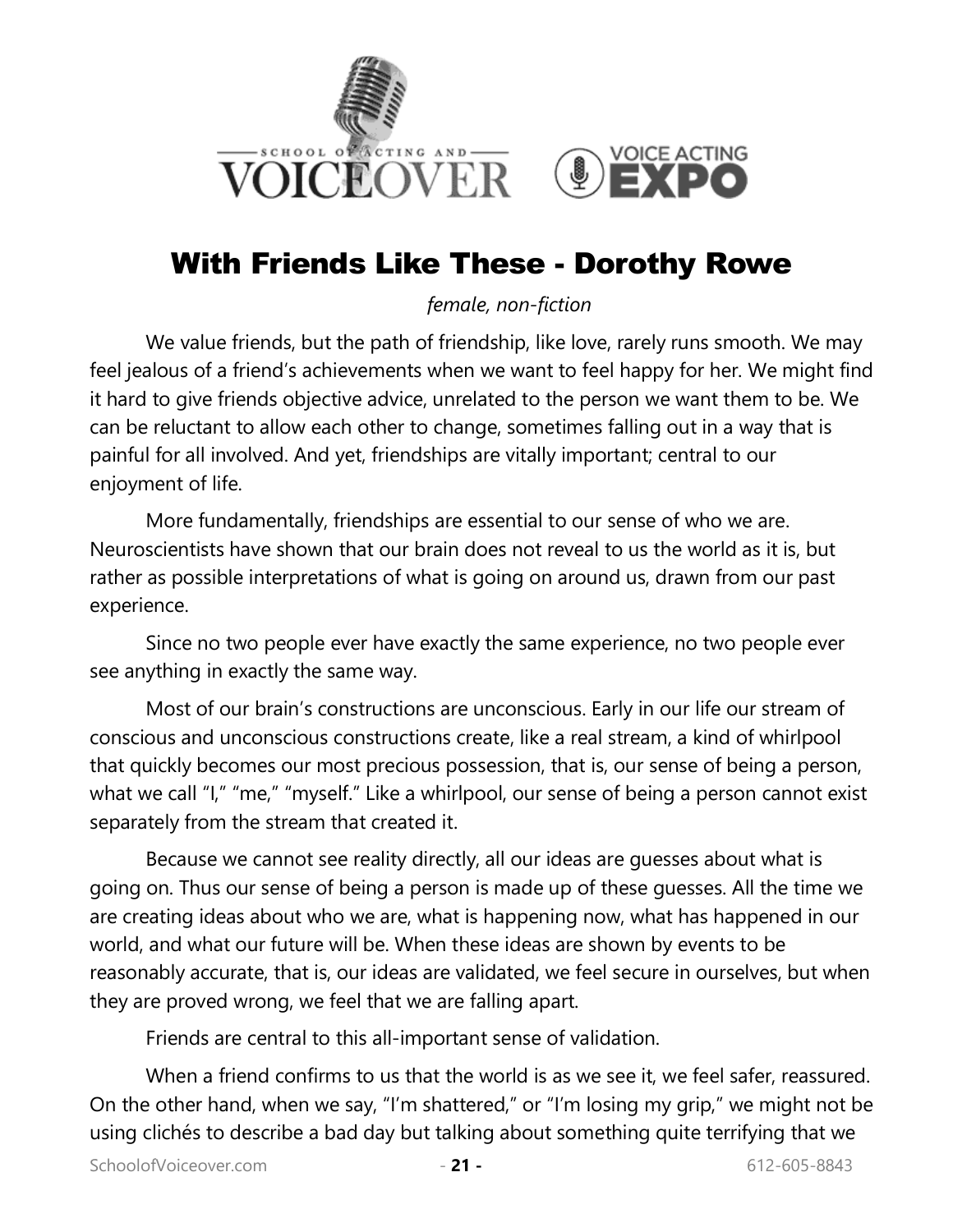

#### With Friends Like These - Dorothy Rowe

*female, non-fiction* 

We value friends, but the path of friendship, like love, rarely runs smooth. We may feel jealous of a friend's achievements when we want to feel happy for her. We might find it hard to give friends objective advice, unrelated to the person we want them to be. We can be reluctant to allow each other to change, sometimes falling out in a way that is painful for all involved. And yet, friendships are vitally important; central to our enjoyment of life.

More fundamentally, friendships are essential to our sense of who we are. Neuroscientists have shown that our brain does not reveal to us the world as it is, but rather as possible interpretations of what is going on around us, drawn from our past experience.

Since no two people ever have exactly the same experience, no two people ever see anything in exactly the same way.

Most of our brain's constructions are unconscious. Early in our life our stream of conscious and unconscious constructions create, like a real stream, a kind of whirlpool that quickly becomes our most precious possession, that is, our sense of being a person, what we call "I," "me," "myself." Like a whirlpool, our sense of being a person cannot exist separately from the stream that created it.

Because we cannot see reality directly, all our ideas are guesses about what is going on. Thus our sense of being a person is made up of these guesses. All the time we are creating ideas about who we are, what is happening now, what has happened in our world, and what our future will be. When these ideas are shown by events to be reasonably accurate, that is, our ideas are validated, we feel secure in ourselves, but when they are proved wrong, we feel that we are falling apart.

Friends are central to this all-important sense of validation.

When a friend confirms to us that the world is as we see it, we feel safer, reassured. On the other hand, when we say, "I'm shattered," or "I'm losing my grip," we might not be using clichés to describe a bad day but talking about something quite terrifying that we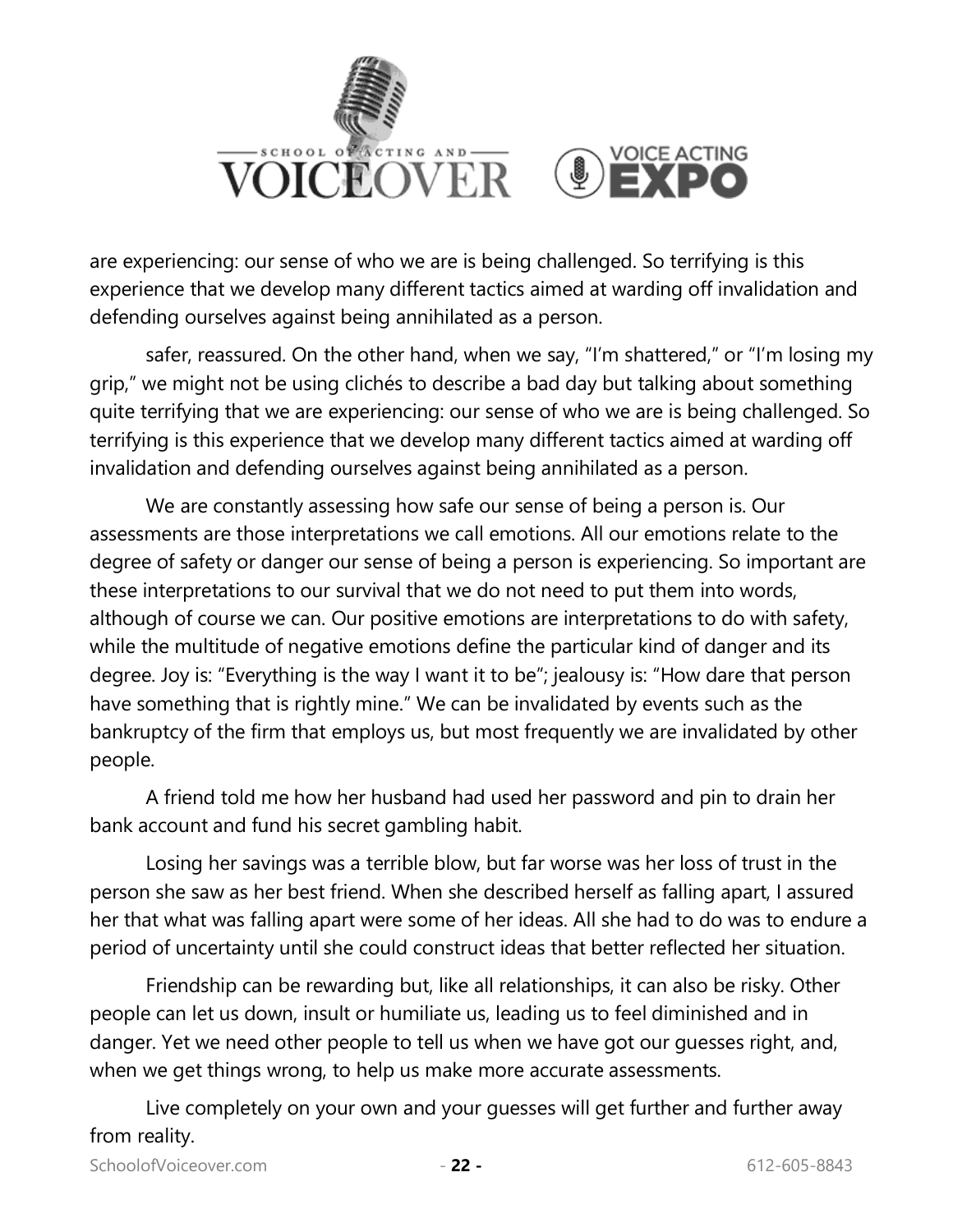

are experiencing: our sense of who we are is being challenged. So terrifying is this experience that we develop many different tactics aimed at warding off invalidation and defending ourselves against being annihilated as a person.

safer, reassured. On the other hand, when we say, "I'm shattered," or "I'm losing my grip," we might not be using clichés to describe a bad day but talking about something quite terrifying that we are experiencing: our sense of who we are is being challenged. So terrifying is this experience that we develop many different tactics aimed at warding off invalidation and defending ourselves against being annihilated as a person.

We are constantly assessing how safe our sense of being a person is. Our assessments are those interpretations we call emotions. All our emotions relate to the degree of safety or danger our sense of being a person is experiencing. So important are these interpretations to our survival that we do not need to put them into words, although of course we can. Our positive emotions are interpretations to do with safety, while the multitude of negative emotions define the particular kind of danger and its degree. Joy is: "Everything is the way I want it to be"; jealousy is: "How dare that person have something that is rightly mine." We can be invalidated by events such as the bankruptcy of the firm that employs us, but most frequently we are invalidated by other people.

A friend told me how her husband had used her password and pin to drain her bank account and fund his secret gambling habit.

Losing her savings was a terrible blow, but far worse was her loss of trust in the person she saw as her best friend. When she described herself as falling apart, I assured her that what was falling apart were some of her ideas. All she had to do was to endure a period of uncertainty until she could construct ideas that better reflected her situation.

Friendship can be rewarding but, like all relationships, it can also be risky. Other people can let us down, insult or humiliate us, leading us to feel diminished and in danger. Yet we need other people to tell us when we have got our guesses right, and, when we get things wrong, to help us make more accurate assessments.

Live completely on your own and your guesses will get further and further away from reality.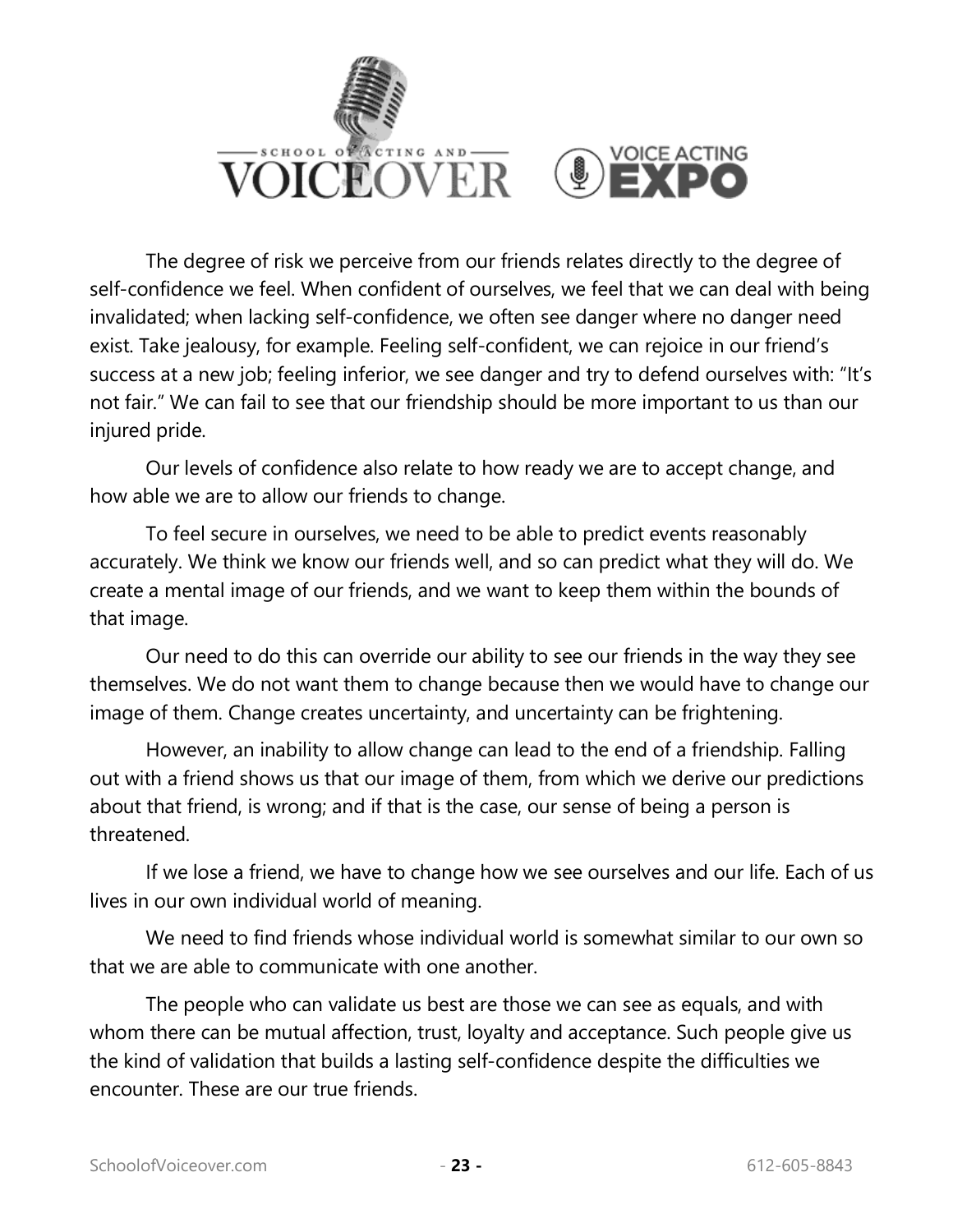



The degree of risk we perceive from our friends relates directly to the degree of self-confidence we feel. When confident of ourselves, we feel that we can deal with being invalidated; when lacking self-confidence, we often see danger where no danger need exist. Take jealousy, for example. Feeling self-confident, we can rejoice in our friend's success at a new job; feeling inferior, we see danger and try to defend ourselves with: "It's not fair." We can fail to see that our friendship should be more important to us than our injured pride.

Our levels of confidence also relate to how ready we are to accept change, and how able we are to allow our friends to change.

To feel secure in ourselves, we need to be able to predict events reasonably accurately. We think we know our friends well, and so can predict what they will do. We create a mental image of our friends, and we want to keep them within the bounds of that image.

Our need to do this can override our ability to see our friends in the way they see themselves. We do not want them to change because then we would have to change our image of them. Change creates uncertainty, and uncertainty can be frightening.

However, an inability to allow change can lead to the end of a friendship. Falling out with a friend shows us that our image of them, from which we derive our predictions about that friend, is wrong; and if that is the case, our sense of being a person is threatened.

If we lose a friend, we have to change how we see ourselves and our life. Each of us lives in our own individual world of meaning.

We need to find friends whose individual world is somewhat similar to our own so that we are able to communicate with one another.

The people who can validate us best are those we can see as equals, and with whom there can be mutual affection, trust, loyalty and acceptance. Such people give us the kind of validation that builds a lasting self-confidence despite the difficulties we encounter. These are our true friends.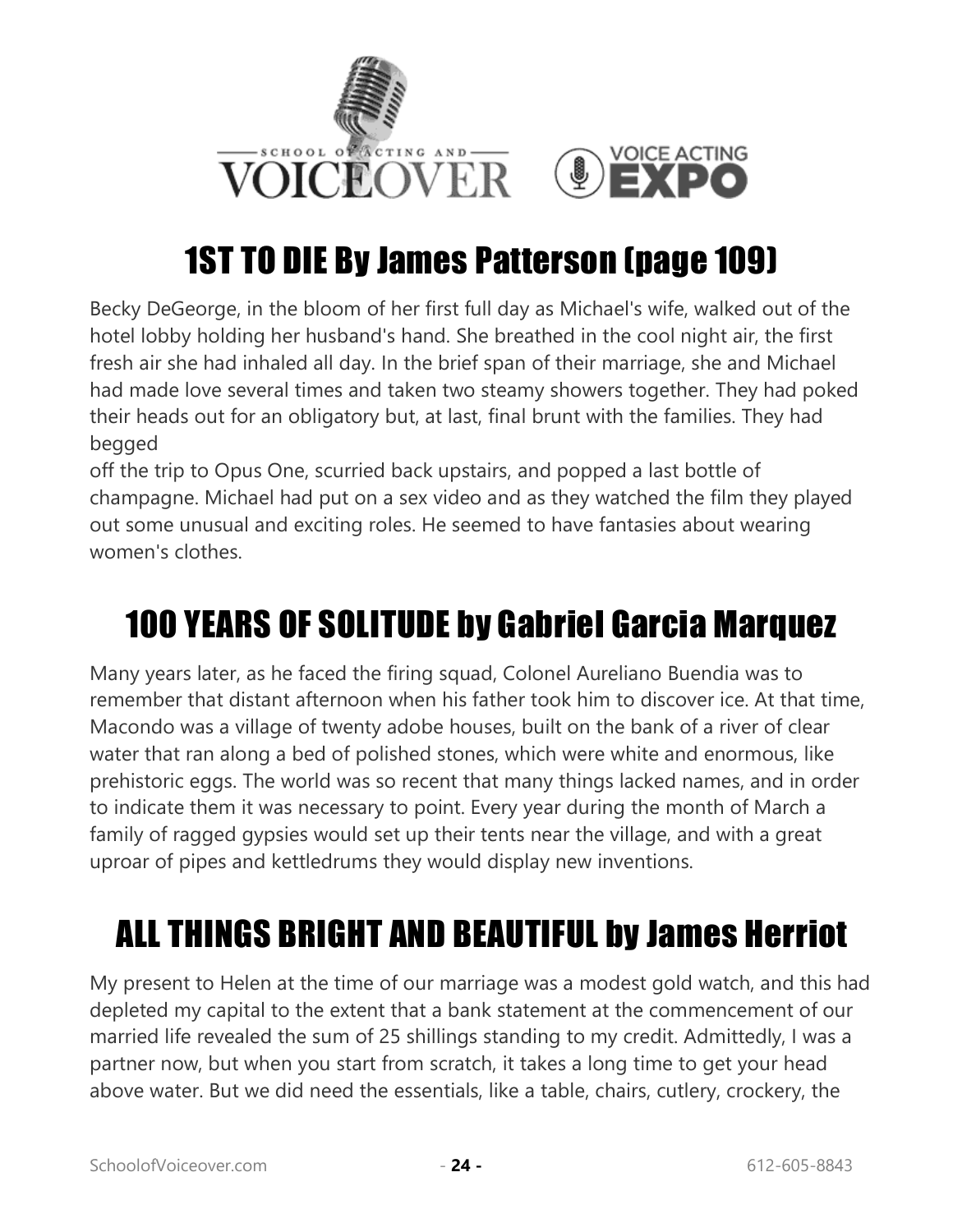

#### 1ST TO DIE By James Patterson (page 109)

Becky DeGeorge, in the bloom of her first full day as Michael's wife, walked out of the hotel lobby holding her husband's hand. She breathed in the cool night air, the first fresh air she had inhaled all day. In the brief span of their marriage, she and Michael had made love several times and taken two steamy showers together. They had poked their heads out for an obligatory but, at last, final brunt with the families. They had begged

off the trip to Opus One, scurried back upstairs, and popped a last bottle of champagne. Michael had put on a sex video and as they watched the film they played out some unusual and exciting roles. He seemed to have fantasies about wearing women's clothes.

#### 100 YEARS OF SOLITUDE by Gabriel Garcia Marquez

Many years later, as he faced the firing squad, Colonel Aureliano Buendia was to remember that distant afternoon when his father took him to discover ice. At that time, Macondo was a village of twenty adobe houses, built on the bank of a river of clear water that ran along a bed of polished stones, which were white and enormous, like prehistoric eggs. The world was so recent that many things lacked names, and in order to indicate them it was necessary to point. Every year during the month of March a family of ragged gypsies would set up their tents near the village, and with a great uproar of pipes and kettledrums they would display new inventions.

## ALL THINGS BRIGHT AND BEAUTIFUL by James Herriot

My present to Helen at the time of our marriage was a modest gold watch, and this had depleted my capital to the extent that a bank statement at the commencement of our married life revealed the sum of 25 shillings standing to my credit. Admittedly, I was a partner now, but when you start from scratch, it takes a long time to get your head above water. But we did need the essentials, like a table, chairs, cutlery, crockery, the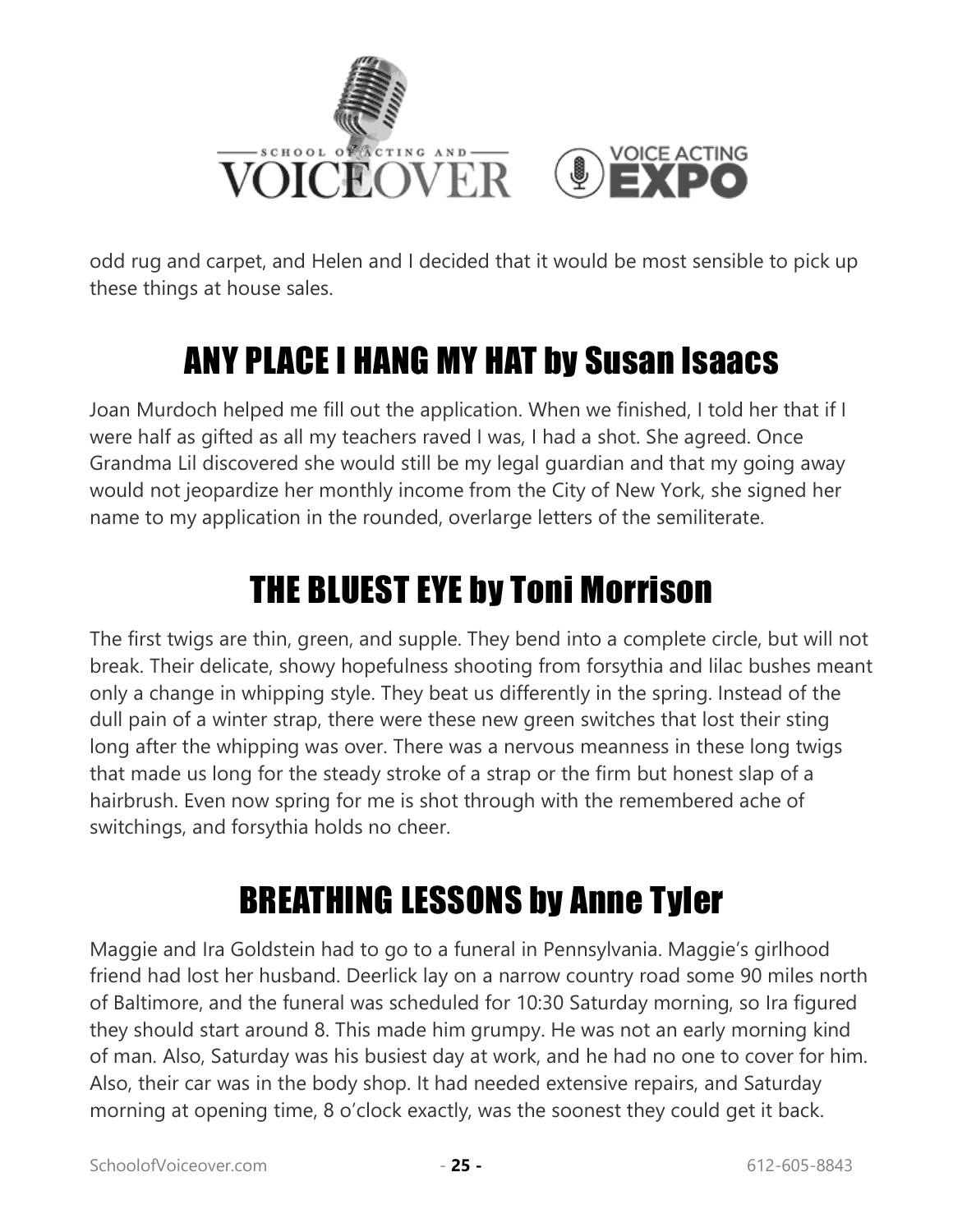

odd rug and carpet, and Helen and I decided that it would be most sensible to pick up these things at house sales.

## ANY PLACE I HANG MY HAT by Susan Isaacs

Joan Murdoch helped me fill out the application. When we finished, I told her that if I were half as gifted as all my teachers raved I was, I had a shot. She agreed. Once Grandma Lil discovered she would still be my legal guardian and that my going away would not jeopardize her monthly income from the City of New York, she signed her name to my application in the rounded, overlarge letters of the semiliterate.

#### THE BLUEST EYE by Toni Morrison

The first twigs are thin, green, and supple. They bend into a complete circle, but will not break. Their delicate, showy hopefulness shooting from forsythia and lilac bushes meant only a change in whipping style. They beat us differently in the spring. Instead of the dull pain of a winter strap, there were these new green switches that lost their sting long after the whipping was over. There was a nervous meanness in these long twigs that made us long for the steady stroke of a strap or the firm but honest slap of a hairbrush. Even now spring for me is shot through with the remembered ache of switchings, and forsythia holds no cheer.

## BREATHING LESSONS by Anne Tyler

Maggie and Ira Goldstein had to go to a funeral in Pennsylvania. Maggie's girlhood friend had lost her husband. Deerlick lay on a narrow country road some 90 miles north of Baltimore, and the funeral was scheduled for 10:30 Saturday morning, so Ira figured they should start around 8. This made him grumpy. He was not an early morning kind of man. Also, Saturday was his busiest day at work, and he had no one to cover for him. Also, their car was in the body shop. It had needed extensive repairs, and Saturday morning at opening time, 8 o'clock exactly, was the soonest they could get it back.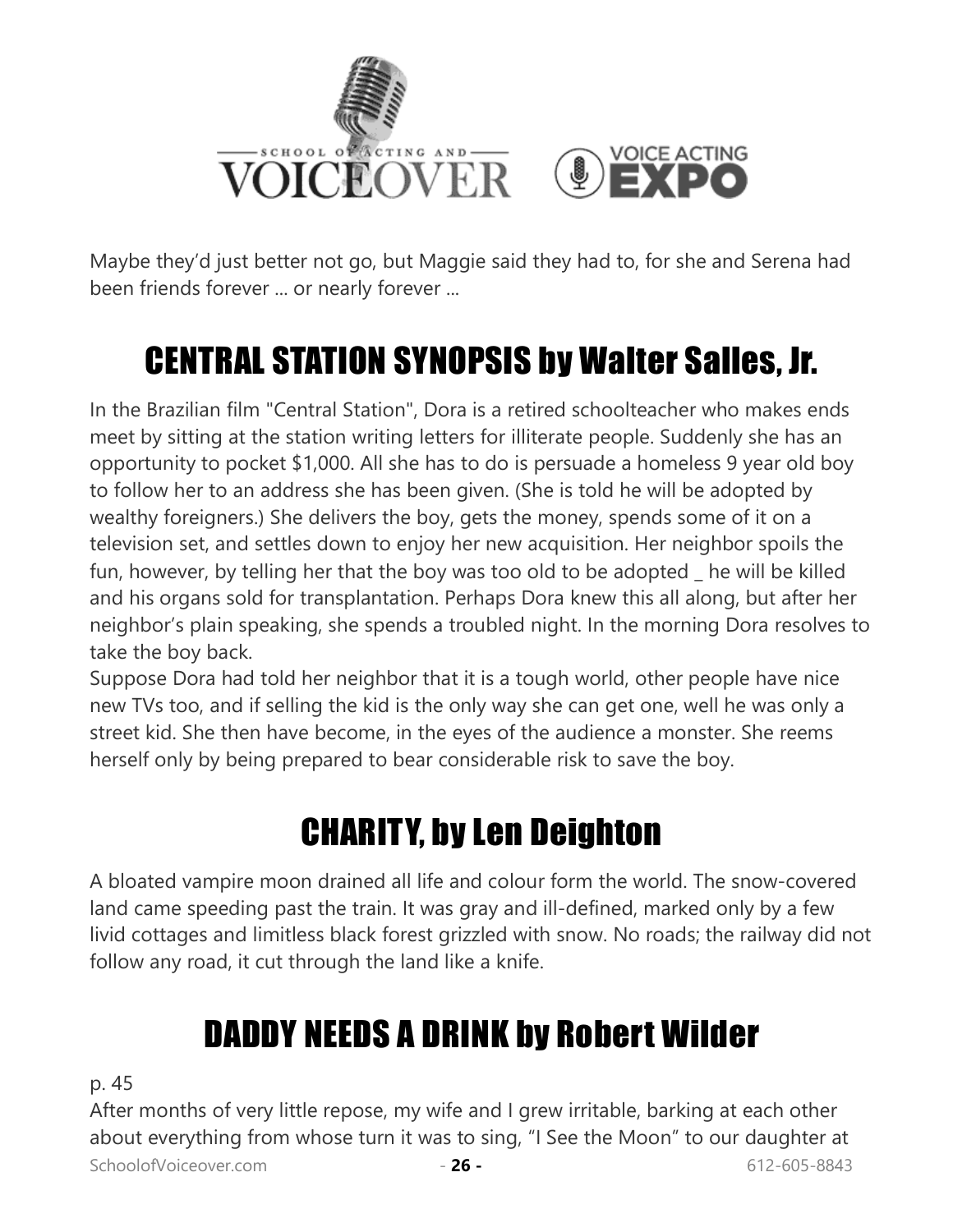

Maybe they'd just better not go, but Maggie said they had to, for she and Serena had been friends forever ... or nearly forever ...

## CENTRAL STATION SYNOPSIS by Walter Salles, Jr.

In the Brazilian film "Central Station", Dora is a retired schoolteacher who makes ends meet by sitting at the station writing letters for illiterate people. Suddenly she has an opportunity to pocket \$1,000. All she has to do is persuade a homeless 9 year old boy to follow her to an address she has been given. (She is told he will be adopted by wealthy foreigners.) She delivers the boy, gets the money, spends some of it on a television set, and settles down to enjoy her new acquisition. Her neighbor spoils the fun, however, by telling her that the boy was too old to be adopted \_ he will be killed and his organs sold for transplantation. Perhaps Dora knew this all along, but after her neighbor's plain speaking, she spends a troubled night. In the morning Dora resolves to take the boy back.

Suppose Dora had told her neighbor that it is a tough world, other people have nice new TVs too, and if selling the kid is the only way she can get one, well he was only a street kid. She then have become, in the eyes of the audience a monster. She reems herself only by being prepared to bear considerable risk to save the boy.

#### CHARITY, by Len Deighton

A bloated vampire moon drained all life and colour form the world. The snow-covered land came speeding past the train. It was gray and ill-defined, marked only by a few livid cottages and limitless black forest grizzled with snow. No roads; the railway did not follow any road, it cut through the land like a knife.

#### DADDY NEEDS A DRINK by Robert Wilder

p. 45

SchoolofVoiceover.com - **26 -** 612-605-8843 After months of very little repose, my wife and I grew irritable, barking at each other about everything from whose turn it was to sing, "I See the Moon" to our daughter at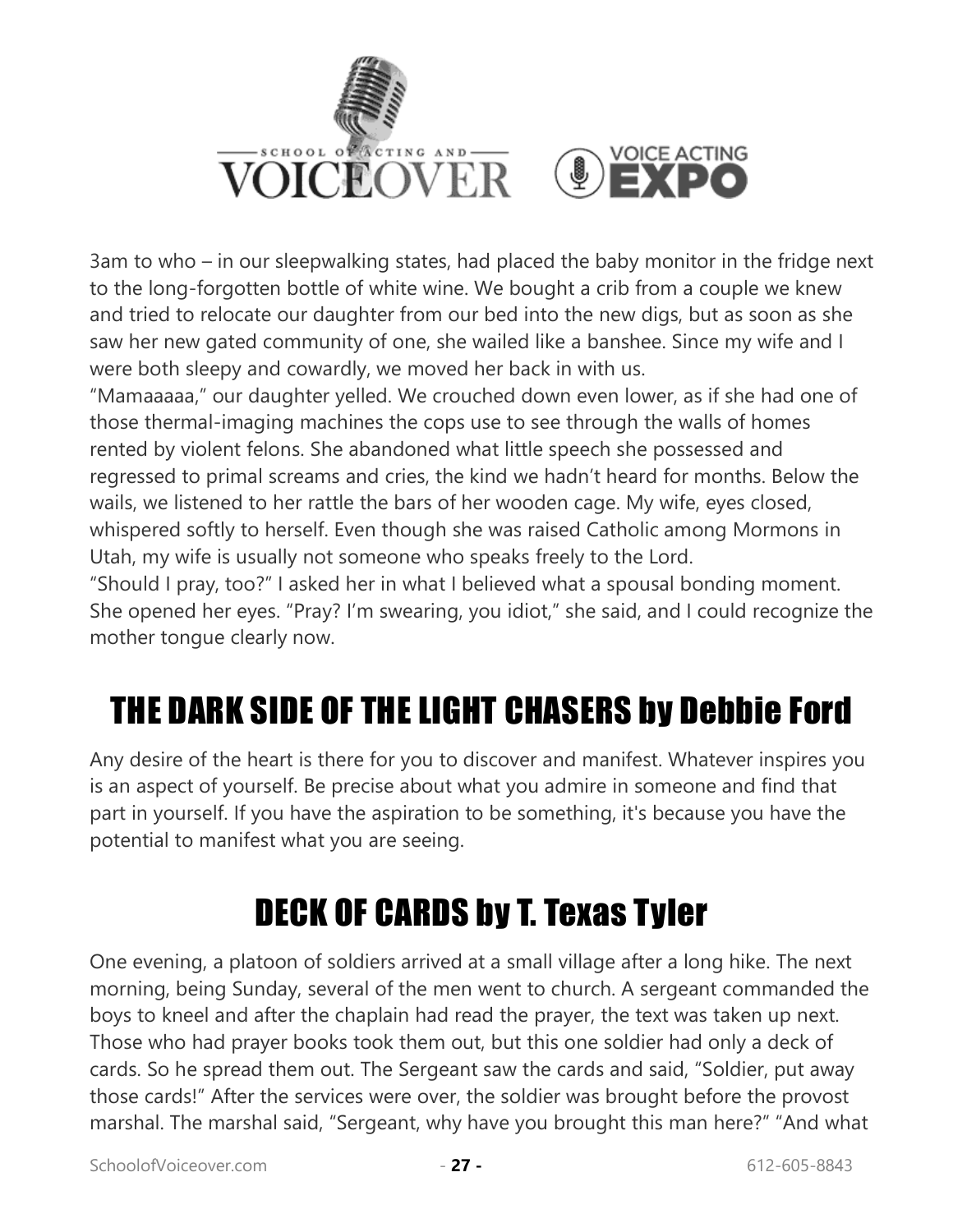

3am to who – in our sleepwalking states, had placed the baby monitor in the fridge next to the long-forgotten bottle of white wine. We bought a crib from a couple we knew and tried to relocate our daughter from our bed into the new digs, but as soon as she saw her new gated community of one, she wailed like a banshee. Since my wife and I were both sleepy and cowardly, we moved her back in with us.

"Mamaaaaa," our daughter yelled. We crouched down even lower, as if she had one of those thermal-imaging machines the cops use to see through the walls of homes rented by violent felons. She abandoned what little speech she possessed and regressed to primal screams and cries, the kind we hadn't heard for months. Below the wails, we listened to her rattle the bars of her wooden cage. My wife, eyes closed, whispered softly to herself. Even though she was raised Catholic among Mormons in Utah, my wife is usually not someone who speaks freely to the Lord.

"Should I pray, too?" I asked her in what I believed what a spousal bonding moment. She opened her eyes. "Pray? I'm swearing, you idiot," she said, and I could recognize the mother tongue clearly now.

## THE DARK SIDE OF THE LIGHT CHASERS by Debbie Ford

Any desire of the heart is there for you to discover and manifest. Whatever inspires you is an aspect of yourself. Be precise about what you admire in someone and find that part in yourself. If you have the aspiration to be something, it's because you have the potential to manifest what you are seeing.

## DECK OF CARDS by T. Texas Tyler

One evening, a platoon of soldiers arrived at a small village after a long hike. The next morning, being Sunday, several of the men went to church. A sergeant commanded the boys to kneel and after the chaplain had read the prayer, the text was taken up next. Those who had prayer books took them out, but this one soldier had only a deck of cards. So he spread them out. The Sergeant saw the cards and said, "Soldier, put away those cards!" After the services were over, the soldier was brought before the provost marshal. The marshal said, "Sergeant, why have you brought this man here?" "And what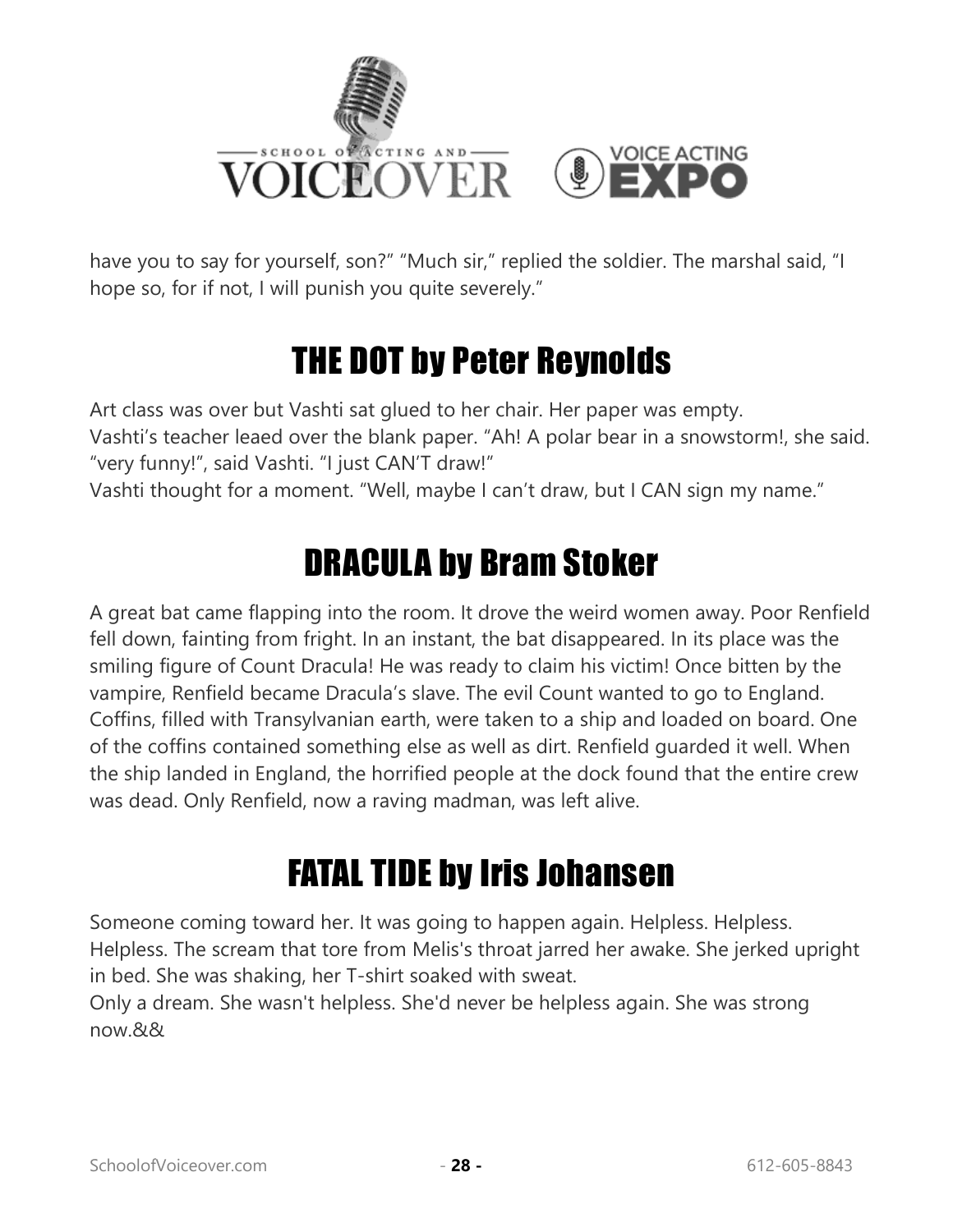

have you to say for yourself, son?" "Much sir," replied the soldier. The marshal said, "I hope so, for if not, I will punish you quite severely."

#### THE DOT by Peter Reynolds

Art class was over but Vashti sat glued to her chair. Her paper was empty. Vashti's teacher leaed over the blank paper. "Ah! A polar bear in a snowstorm!, she said. "very funny!", said Vashti. "I just CAN'T draw!"

Vashti thought for a moment. "Well, maybe I can't draw, but I CAN sign my name."

#### DRACULA by Bram Stoker

A great bat came flapping into the room. It drove the weird women away. Poor Renfield fell down, fainting from fright. In an instant, the bat disappeared. In its place was the smiling figure of Count Dracula! He was ready to claim his victim! Once bitten by the vampire, Renfield became Dracula's slave. The evil Count wanted to go to England. Coffins, filled with Transylvanian earth, were taken to a ship and loaded on board. One of the coffins contained something else as well as dirt. Renfield guarded it well. When the ship landed in England, the horrified people at the dock found that the entire crew was dead. Only Renfield, now a raving madman, was left alive.

#### FATAL TIDE by Iris Johansen

Someone coming toward her. It was going to happen again. Helpless. Helpless. Helpless. The scream that tore from Melis's throat jarred her awake. She jerked upright in bed. She was shaking, her T-shirt soaked with sweat.

Only a dream. She wasn't helpless. She'd never be helpless again. She was strong now.&&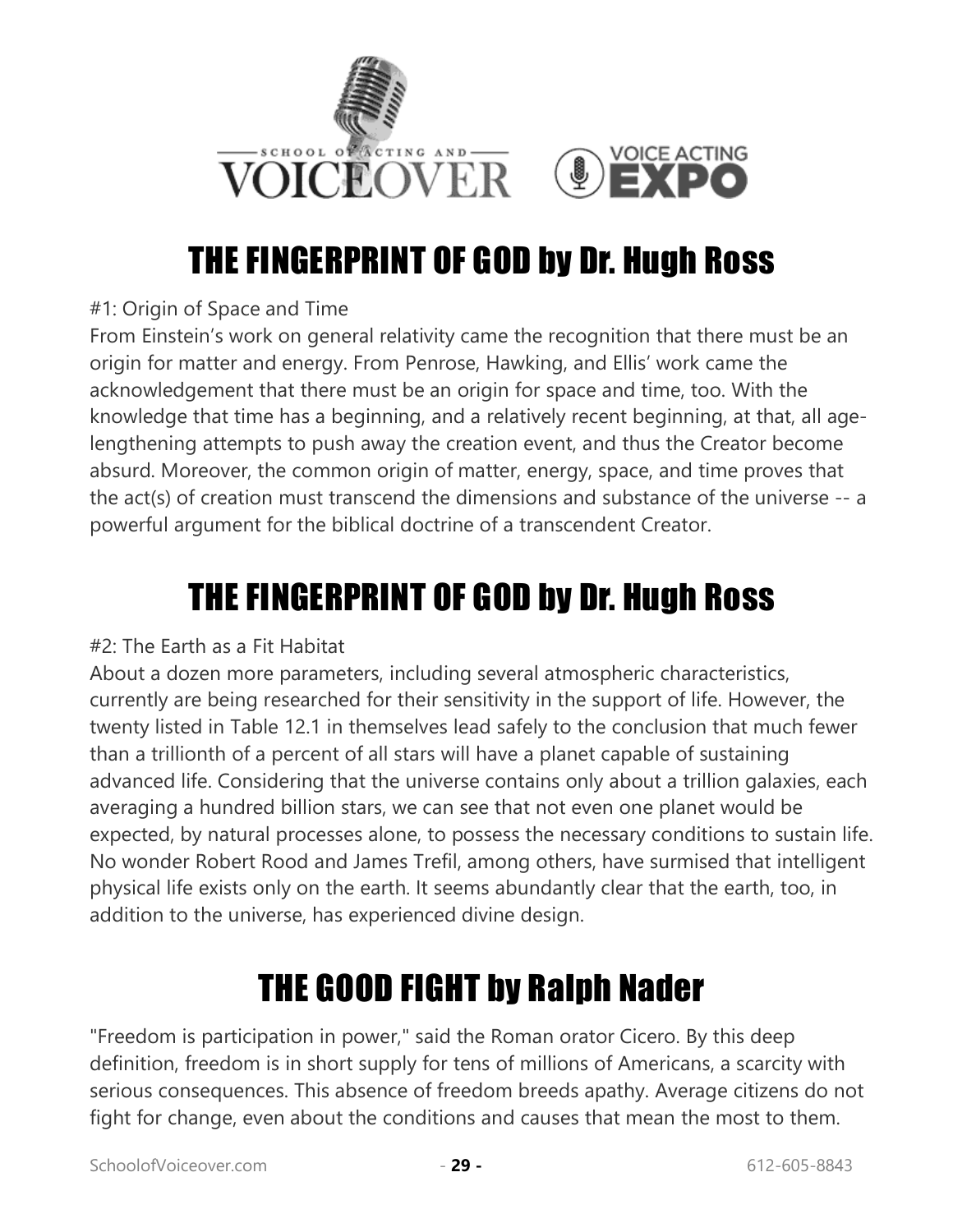

#### THE FINGERPRINT OF GOD by Dr. Hugh Ross

#### #1: Origin of Space and Time

From Einstein's work on general relativity came the recognition that there must be an origin for matter and energy. From Penrose, Hawking, and Ellis' work came the acknowledgement that there must be an origin for space and time, too. With the knowledge that time has a beginning, and a relatively recent beginning, at that, all agelengthening attempts to push away the creation event, and thus the Creator become absurd. Moreover, the common origin of matter, energy, space, and time proves that the act(s) of creation must transcend the dimensions and substance of the universe -- a powerful argument for the biblical doctrine of a transcendent Creator.

#### THE FINGERPRINT OF GOD by Dr. Hugh Ross

#### #2: The Earth as a Fit Habitat

About a dozen more parameters, including several atmospheric characteristics, currently are being researched for their sensitivity in the support of life. However, the twenty listed in Table 12.1 in themselves lead safely to the conclusion that much fewer than a trillionth of a percent of all stars will have a planet capable of sustaining advanced life. Considering that the universe contains only about a trillion galaxies, each averaging a hundred billion stars, we can see that not even one planet would be expected, by natural processes alone, to possess the necessary conditions to sustain life. No wonder Robert Rood and James Trefil, among others, have surmised that intelligent physical life exists only on the earth. It seems abundantly clear that the earth, too, in addition to the universe, has experienced divine design.

#### THE GOOD FIGHT by Ralph Nader

"Freedom is participation in power," said the Roman orator Cicero. By this deep definition, freedom is in short supply for tens of millions of Americans, a scarcity with serious consequences. This absence of freedom breeds apathy. Average citizens do not fight for change, even about the conditions and causes that mean the most to them.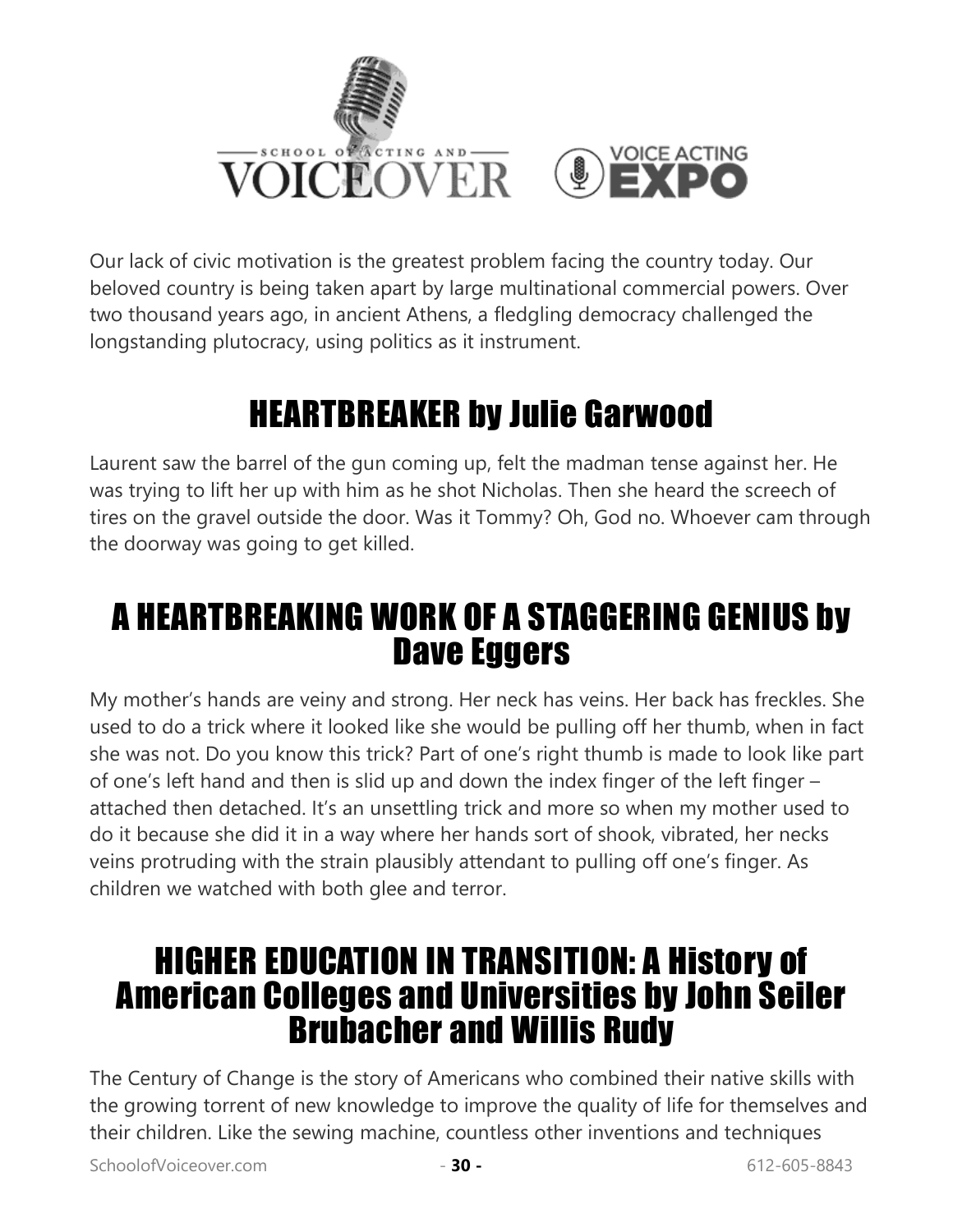

Our lack of civic motivation is the greatest problem facing the country today. Our beloved country is being taken apart by large multinational commercial powers. Over two thousand years ago, in ancient Athens, a fledgling democracy challenged the longstanding plutocracy, using politics as it instrument.

#### HEARTBREAKER by Julie Garwood

Laurent saw the barrel of the gun coming up, felt the madman tense against her. He was trying to lift her up with him as he shot Nicholas. Then she heard the screech of tires on the gravel outside the door. Was it Tommy? Oh, God no. Whoever cam through the doorway was going to get killed.

#### A HEARTBREAKING WORK OF A STAGGERING GENIUS by Dave Eggers

My mother's hands are veiny and strong. Her neck has veins. Her back has freckles. She used to do a trick where it looked like she would be pulling off her thumb, when in fact she was not. Do you know this trick? Part of one's right thumb is made to look like part of one's left hand and then is slid up and down the index finger of the left finger – attached then detached. It's an unsettling trick and more so when my mother used to do it because she did it in a way where her hands sort of shook, vibrated, her necks veins protruding with the strain plausibly attendant to pulling off one's finger. As children we watched with both glee and terror.

#### HIGHER EDUCATION IN TRANSITION: A History of American Colleges and Universities by John Seiler Brubacher and Willis Rudy

The Century of Change is the story of Americans who combined their native skills with the growing torrent of new knowledge to improve the quality of life for themselves and their children. Like the sewing machine, countless other inventions and techniques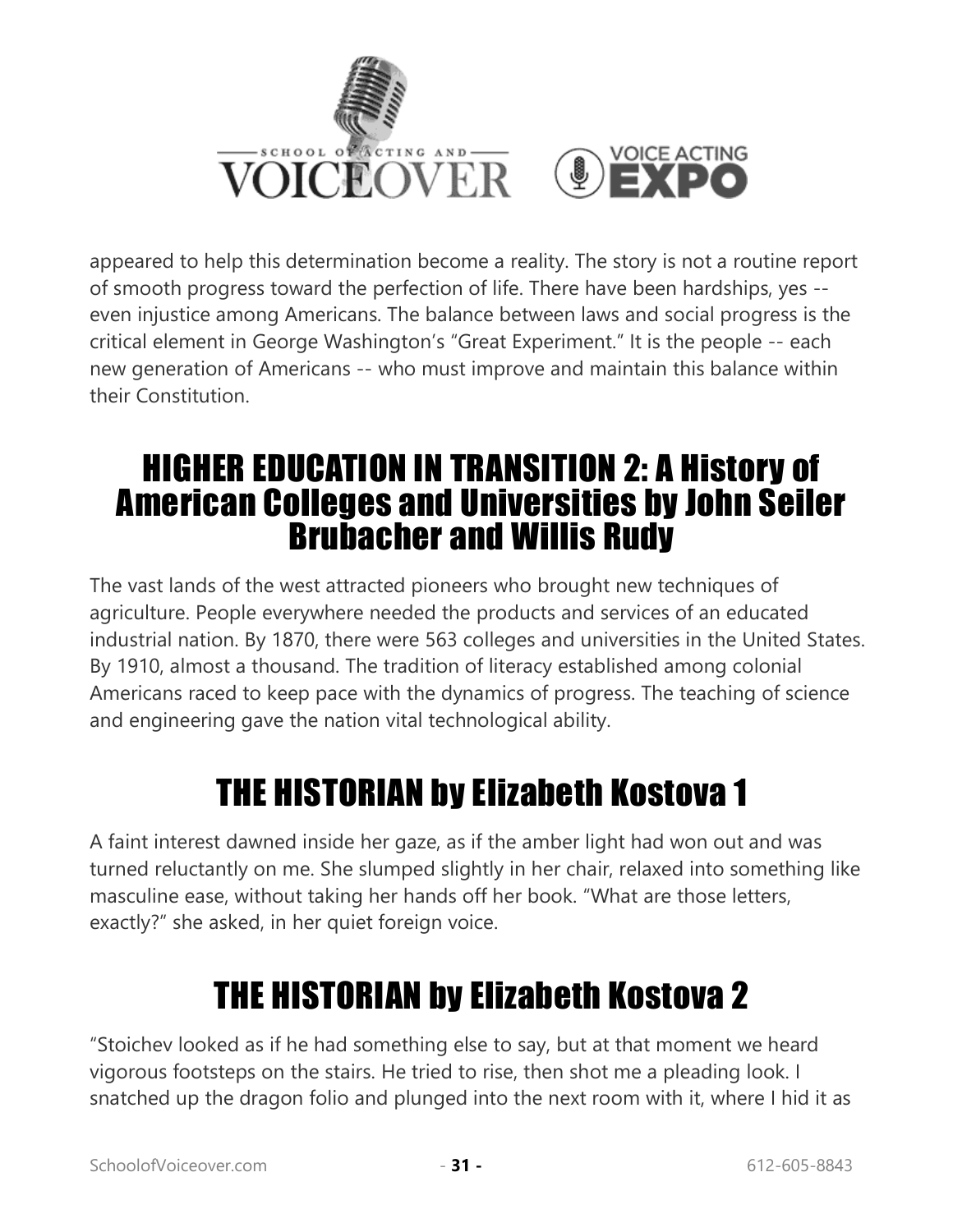

appeared to help this determination become a reality. The story is not a routine report of smooth progress toward the perfection of life. There have been hardships, yes - even injustice among Americans. The balance between laws and social progress is the critical element in George Washington's "Great Experiment." It is the people -- each new generation of Americans -- who must improve and maintain this balance within their Constitution.

#### HIGHER EDUCATION IN TRANSITION 2: A History of American Colleges and Universities by John Seiler Brubacher and Willis Rudy

The vast lands of the west attracted pioneers who brought new techniques of agriculture. People everywhere needed the products and services of an educated industrial nation. By 1870, there were 563 colleges and universities in the United States. By 1910, almost a thousand. The tradition of literacy established among colonial Americans raced to keep pace with the dynamics of progress. The teaching of science and engineering gave the nation vital technological ability.

#### THE HISTORIAN by Elizabeth Kostova 1

A faint interest dawned inside her gaze, as if the amber light had won out and was turned reluctantly on me. She slumped slightly in her chair, relaxed into something like masculine ease, without taking her hands off her book. "What are those letters, exactly?" she asked, in her quiet foreign voice.

## THE HISTORIAN by Elizabeth Kostova 2

"Stoichev looked as if he had something else to say, but at that moment we heard vigorous footsteps on the stairs. He tried to rise, then shot me a pleading look. I snatched up the dragon folio and plunged into the next room with it, where I hid it as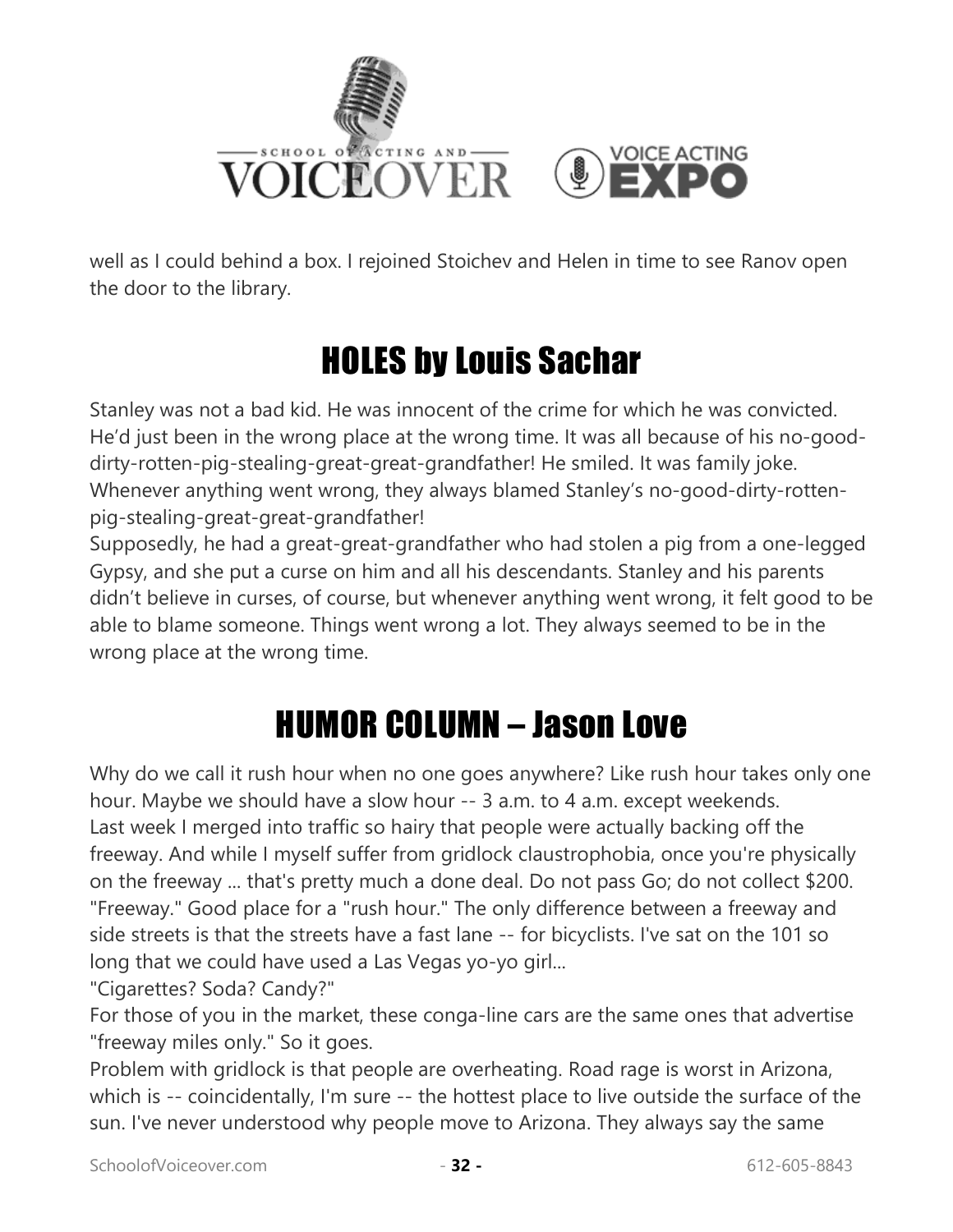

well as I could behind a box. I rejoined Stoichev and Helen in time to see Ranov open the door to the library.

## HOLES by Louis Sachar

Stanley was not a bad kid. He was innocent of the crime for which he was convicted. He'd just been in the wrong place at the wrong time. It was all because of his no-gooddirty-rotten-pig-stealing-great-great-grandfather! He smiled. It was family joke. Whenever anything went wrong, they always blamed Stanley's no-good-dirty-rottenpig-stealing-great-great-grandfather!

Supposedly, he had a great-great-grandfather who had stolen a pig from a one-legged Gypsy, and she put a curse on him and all his descendants. Stanley and his parents didn't believe in curses, of course, but whenever anything went wrong, it felt good to be able to blame someone. Things went wrong a lot. They always seemed to be in the wrong place at the wrong time.

#### HUMOR COLUMN – Jason Love

Why do we call it rush hour when no one goes anywhere? Like rush hour takes only one hour. Maybe we should have a slow hour -- 3 a.m. to 4 a.m. except weekends. Last week I merged into traffic so hairy that people were actually backing off the freeway. And while I myself suffer from gridlock claustrophobia, once you're physically on the freeway ... that's pretty much a done deal. Do not pass Go; do not collect \$200. "Freeway." Good place for a "rush hour." The only difference between a freeway and side streets is that the streets have a fast lane -- for bicyclists. I've sat on the 101 so long that we could have used a Las Vegas yo-yo girl...

"Cigarettes? Soda? Candy?"

For those of you in the market, these conga-line cars are the same ones that advertise "freeway miles only." So it goes.

Problem with gridlock is that people are overheating. Road rage is worst in Arizona, which is -- coincidentally, I'm sure -- the hottest place to live outside the surface of the sun. I've never understood why people move to Arizona. They always say the same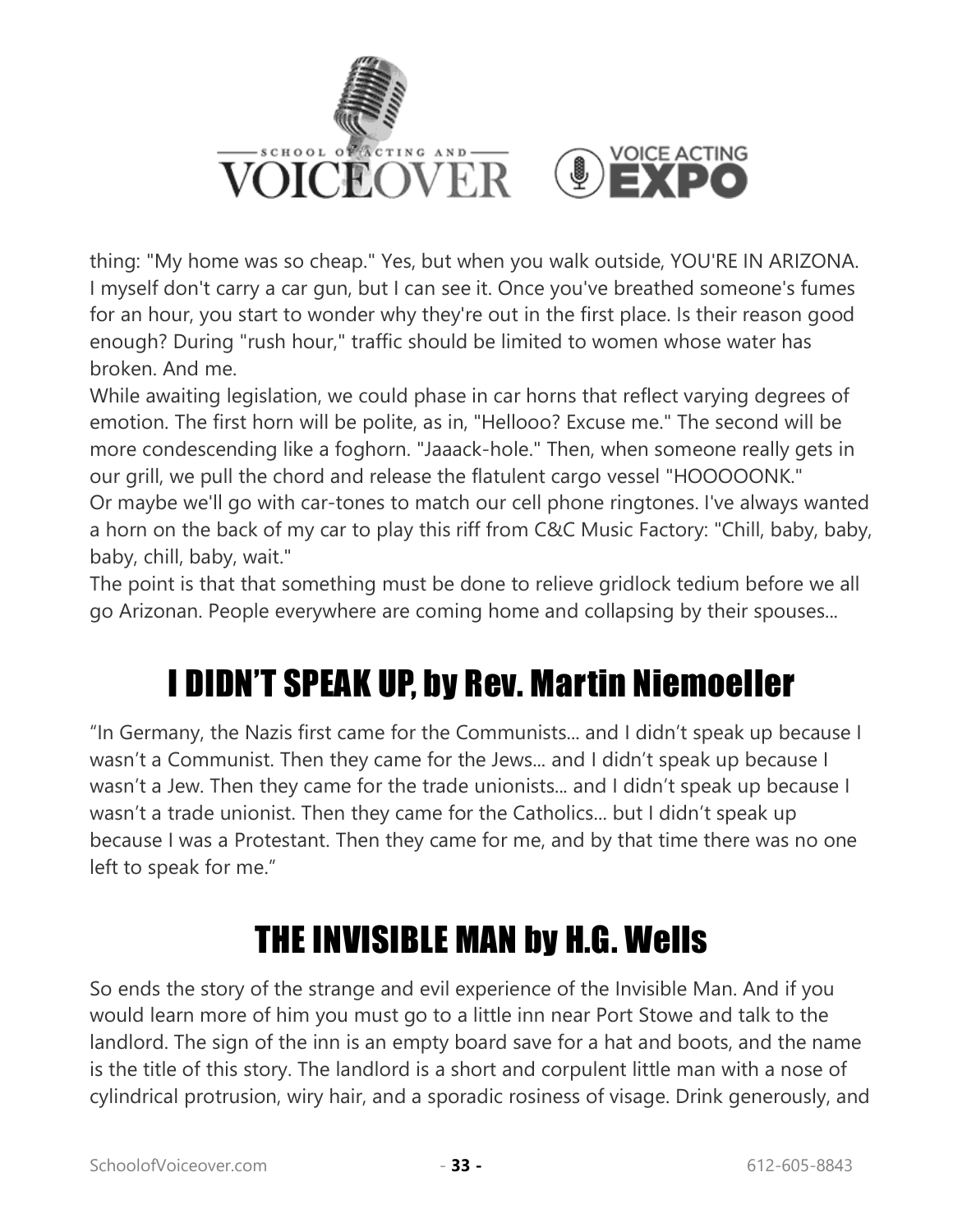

thing: "My home was so cheap." Yes, but when you walk outside, YOU'RE IN ARIZONA. I myself don't carry a car gun, but I can see it. Once you've breathed someone's fumes for an hour, you start to wonder why they're out in the first place. Is their reason good enough? During "rush hour," traffic should be limited to women whose water has broken. And me.

While awaiting legislation, we could phase in car horns that reflect varying degrees of emotion. The first horn will be polite, as in, "Hellooo? Excuse me." The second will be more condescending like a foghorn. "Jaaack-hole." Then, when someone really gets in our grill, we pull the chord and release the flatulent cargo vessel "HOOOOONK." Or maybe we'll go with car-tones to match our cell phone ringtones. I've always wanted a horn on the back of my car to play this riff from C&C Music Factory: "Chill, baby, baby, baby, chill, baby, wait."

The point is that that something must be done to relieve gridlock tedium before we all go Arizonan. People everywhere are coming home and collapsing by their spouses...

## I DIDN'T SPEAK UP, by Rev. Martin Niemoeller

"In Germany, the Nazis first came for the Communists... and I didn't speak up because I wasn't a Communist. Then they came for the Jews... and I didn't speak up because I wasn't a Jew. Then they came for the trade unionists... and I didn't speak up because I wasn't a trade unionist. Then they came for the Catholics... but I didn't speak up because I was a Protestant. Then they came for me, and by that time there was no one left to speak for me."

## THE INVISIBLE MAN by H.G. Wells

So ends the story of the strange and evil experience of the Invisible Man. And if you would learn more of him you must go to a little inn near Port Stowe and talk to the landlord. The sign of the inn is an empty board save for a hat and boots, and the name is the title of this story. The landlord is a short and corpulent little man with a nose of cylindrical protrusion, wiry hair, and a sporadic rosiness of visage. Drink generously, and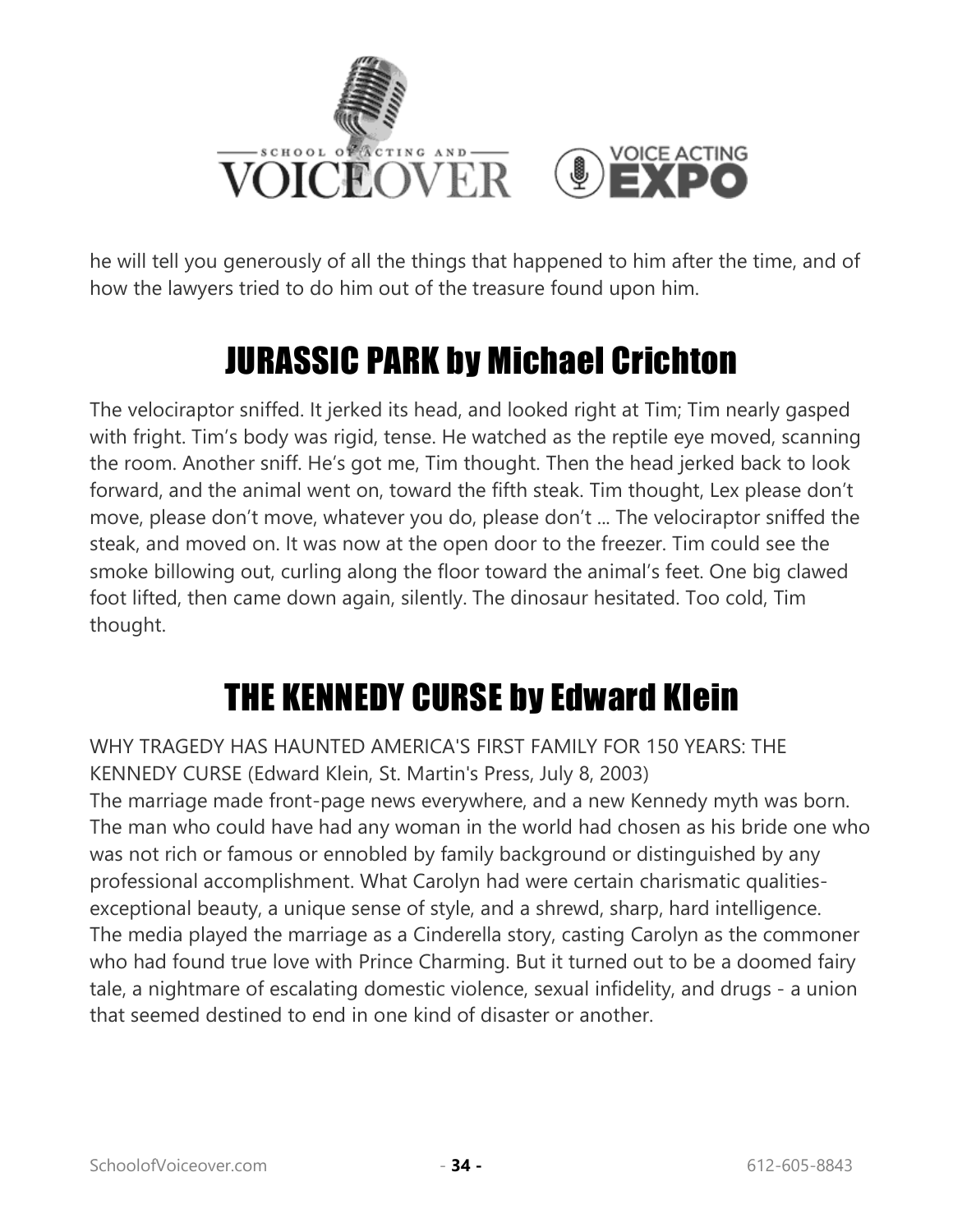

he will tell you generously of all the things that happened to him after the time, and of how the lawyers tried to do him out of the treasure found upon him.

#### JURASSIC PARK by Michael Crichton

The velociraptor sniffed. It jerked its head, and looked right at Tim; Tim nearly gasped with fright. Tim's body was rigid, tense. He watched as the reptile eye moved, scanning the room. Another sniff. He's got me, Tim thought. Then the head jerked back to look forward, and the animal went on, toward the fifth steak. Tim thought, Lex please don't move, please don't move, whatever you do, please don't ... The velociraptor sniffed the steak, and moved on. It was now at the open door to the freezer. Tim could see the smoke billowing out, curling along the floor toward the animal's feet. One big clawed foot lifted, then came down again, silently. The dinosaur hesitated. Too cold, Tim thought.

## THE KENNEDY CURSE by Edward Klein

WHY TRAGEDY HAS HAUNTED AMERICA'S FIRST FAMILY FOR 150 YEARS: THE KENNEDY CURSE (Edward Klein, St. Martin's Press, July 8, 2003) The marriage made front-page news everywhere, and a new Kennedy myth was born. The man who could have had any woman in the world had chosen as his bride one who was not rich or famous or ennobled by family background or distinguished by any professional accomplishment. What Carolyn had were certain charismatic qualitiesexceptional beauty, a unique sense of style, and a shrewd, sharp, hard intelligence. The media played the marriage as a Cinderella story, casting Carolyn as the commoner who had found true love with Prince Charming. But it turned out to be a doomed fairy tale, a nightmare of escalating domestic violence, sexual infidelity, and drugs - a union that seemed destined to end in one kind of disaster or another.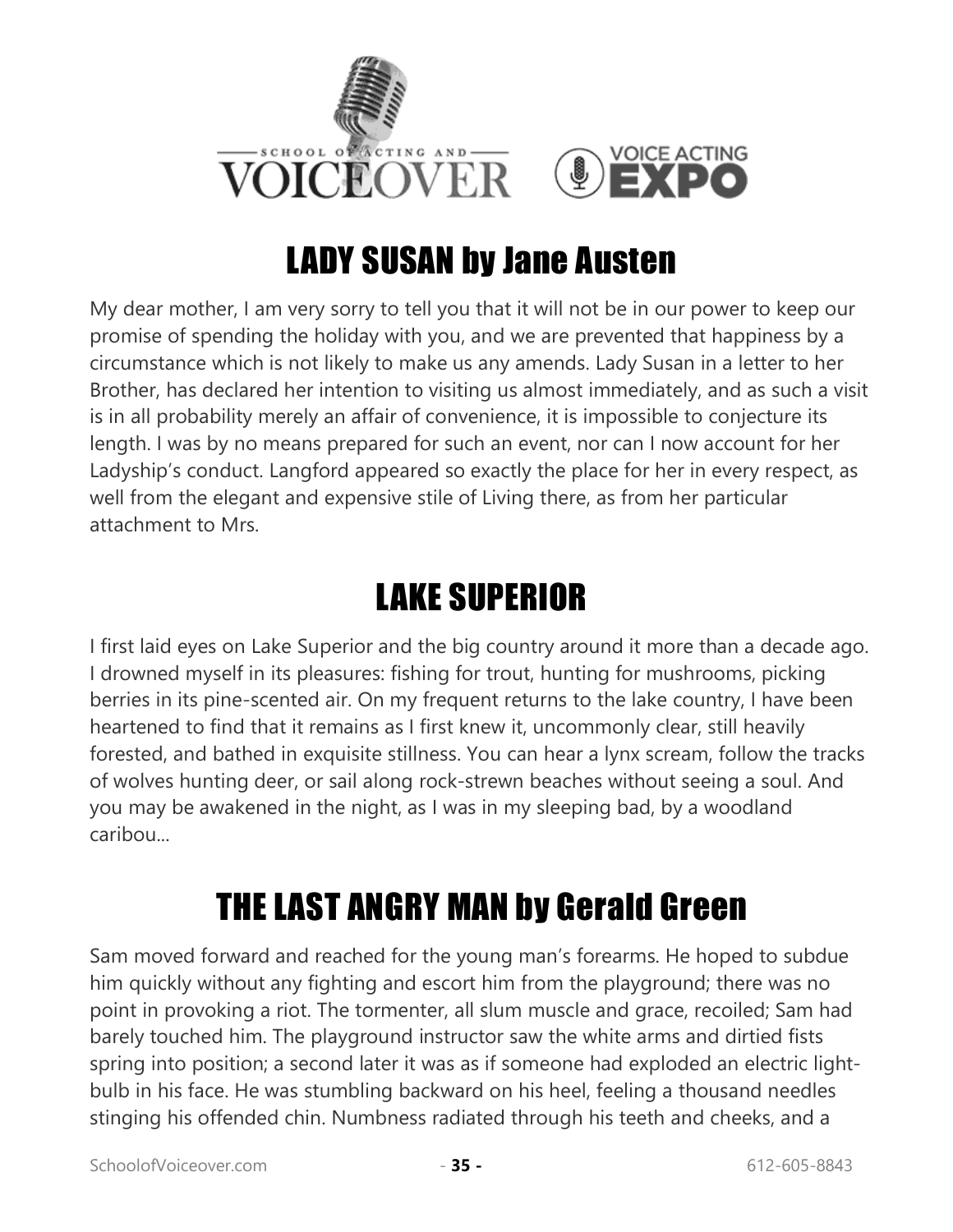

#### LADY SUSAN by Jane Austen

My dear mother, I am very sorry to tell you that it will not be in our power to keep our promise of spending the holiday with you, and we are prevented that happiness by a circumstance which is not likely to make us any amends. Lady Susan in a letter to her Brother, has declared her intention to visiting us almost immediately, and as such a visit is in all probability merely an affair of convenience, it is impossible to conjecture its length. I was by no means prepared for such an event, nor can I now account for her Ladyship's conduct. Langford appeared so exactly the place for her in every respect, as well from the elegant and expensive stile of Living there, as from her particular attachment to Mrs.

#### LAKE SUPERIOR

I first laid eyes on Lake Superior and the big country around it more than a decade ago. I drowned myself in its pleasures: fishing for trout, hunting for mushrooms, picking berries in its pine-scented air. On my frequent returns to the lake country, I have been heartened to find that it remains as I first knew it, uncommonly clear, still heavily forested, and bathed in exquisite stillness. You can hear a lynx scream, follow the tracks of wolves hunting deer, or sail along rock-strewn beaches without seeing a soul. And you may be awakened in the night, as I was in my sleeping bad, by a woodland caribou...

## THE LAST ANGRY MAN by Gerald Green

Sam moved forward and reached for the young man's forearms. He hoped to subdue him quickly without any fighting and escort him from the playground; there was no point in provoking a riot. The tormenter, all slum muscle and grace, recoiled; Sam had barely touched him. The playground instructor saw the white arms and dirtied fists spring into position; a second later it was as if someone had exploded an electric lightbulb in his face. He was stumbling backward on his heel, feeling a thousand needles stinging his offended chin. Numbness radiated through his teeth and cheeks, and a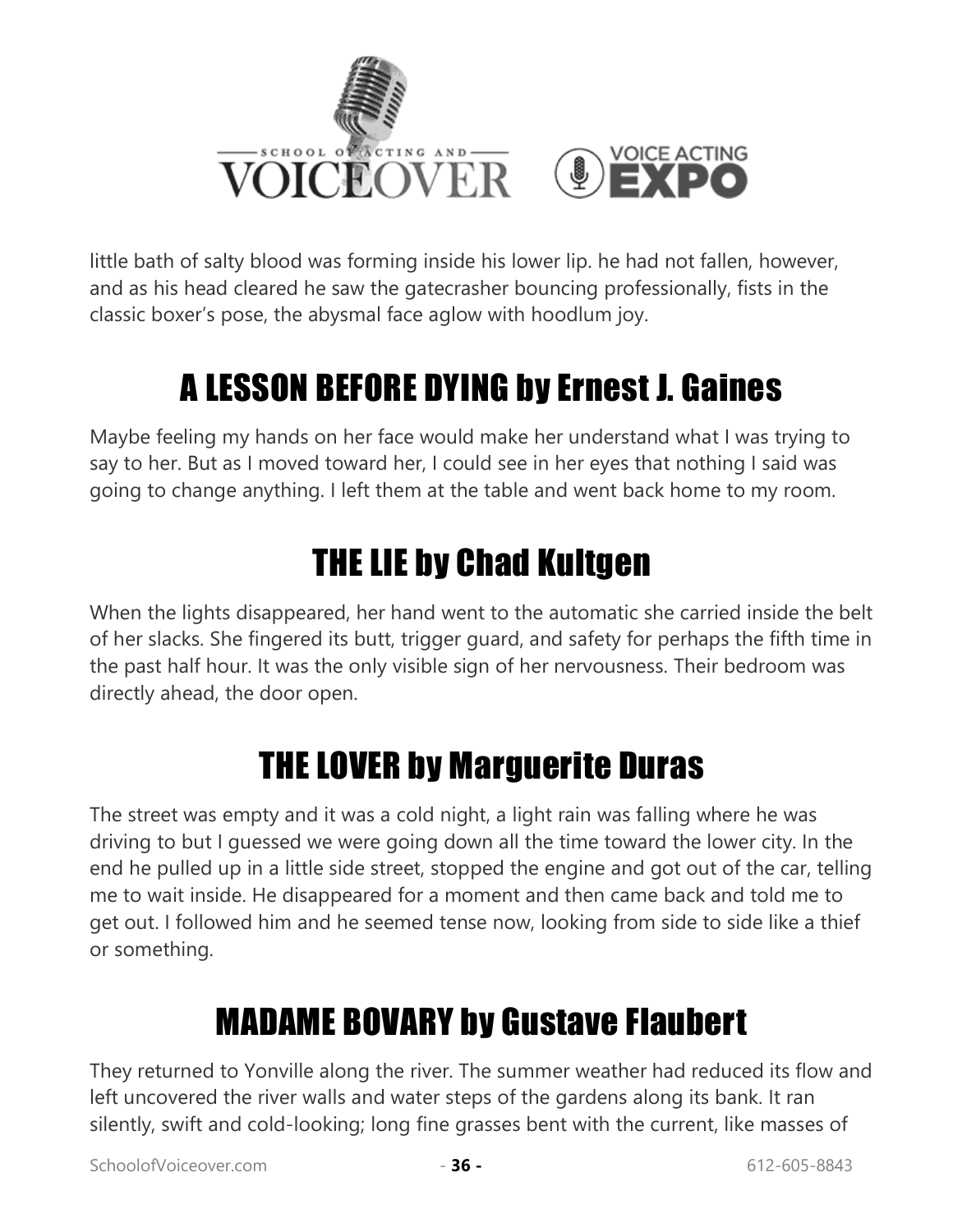

little bath of salty blood was forming inside his lower lip. he had not fallen, however, and as his head cleared he saw the gatecrasher bouncing professionally, fists in the classic boxer's pose, the abysmal face aglow with hoodlum joy.

## A LESSON BEFORE DYING by Ernest J. Gaines

Maybe feeling my hands on her face would make her understand what I was trying to say to her. But as I moved toward her, I could see in her eyes that nothing I said was going to change anything. I left them at the table and went back home to my room.

#### THE LIE by Chad Kultgen

When the lights disappeared, her hand went to the automatic she carried inside the belt of her slacks. She fingered its butt, trigger guard, and safety for perhaps the fifth time in the past half hour. It was the only visible sign of her nervousness. Their bedroom was directly ahead, the door open.

#### THE LOVER by Marguerite Duras

The street was empty and it was a cold night, a light rain was falling where he was driving to but I guessed we were going down all the time toward the lower city. In the end he pulled up in a little side street, stopped the engine and got out of the car, telling me to wait inside. He disappeared for a moment and then came back and told me to get out. I followed him and he seemed tense now, looking from side to side like a thief or something.

#### MADAME BOVARY by Gustave Flaubert

They returned to Yonville along the river. The summer weather had reduced its flow and left uncovered the river walls and water steps of the gardens along its bank. It ran silently, swift and cold-looking; long fine grasses bent with the current, like masses of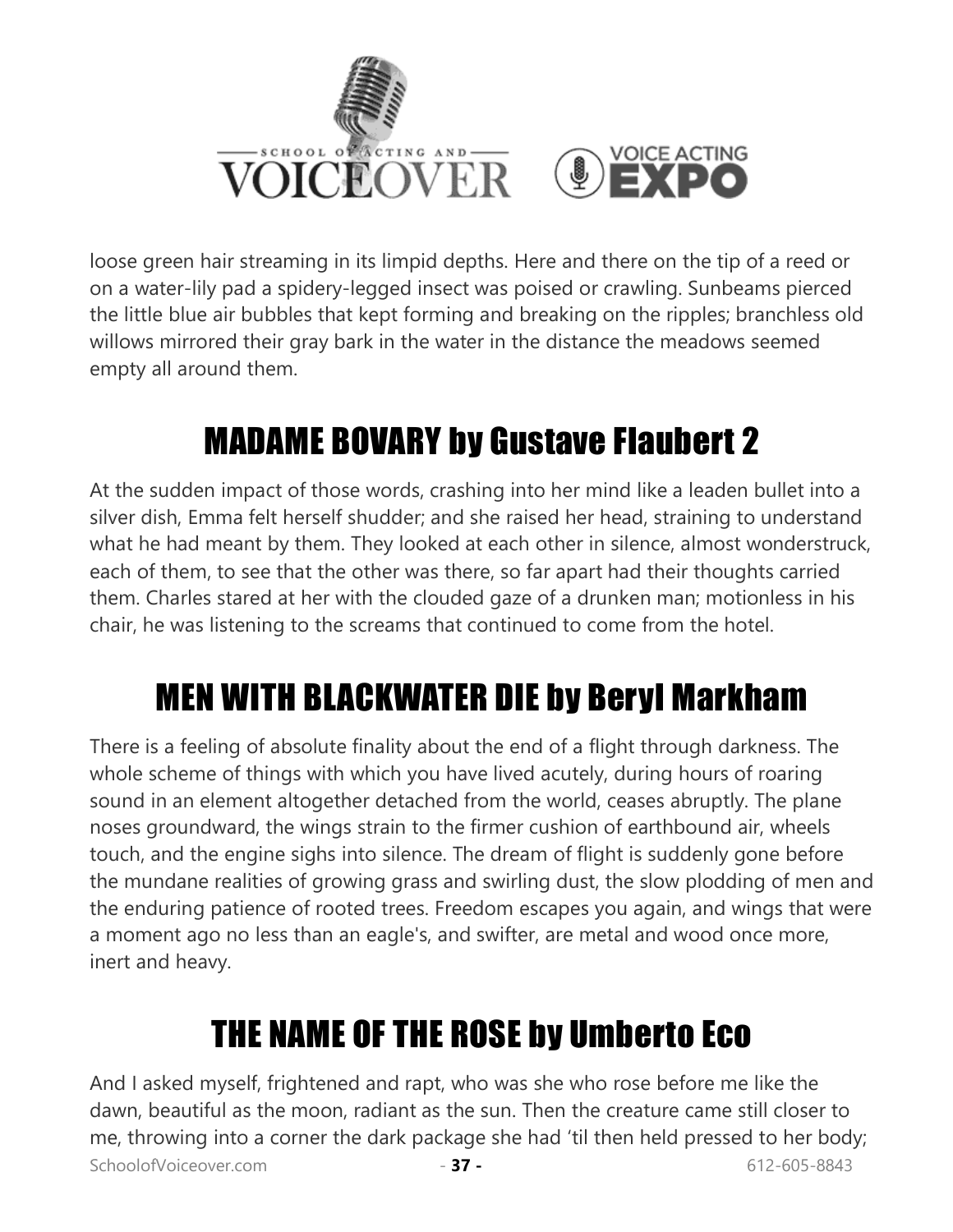

loose green hair streaming in its limpid depths. Here and there on the tip of a reed or on a water-lily pad a spidery-legged insect was poised or crawling. Sunbeams pierced the little blue air bubbles that kept forming and breaking on the ripples; branchless old willows mirrored their gray bark in the water in the distance the meadows seemed empty all around them.

## MADAME BOVARY by Gustave Flaubert 2

At the sudden impact of those words, crashing into her mind like a leaden bullet into a silver dish, Emma felt herself shudder; and she raised her head, straining to understand what he had meant by them. They looked at each other in silence, almost wonderstruck, each of them, to see that the other was there, so far apart had their thoughts carried them. Charles stared at her with the clouded gaze of a drunken man; motionless in his chair, he was listening to the screams that continued to come from the hotel.

#### MEN WITH BLACKWATER DIE by Beryl Markham

There is a feeling of absolute finality about the end of a flight through darkness. The whole scheme of things with which you have lived acutely, during hours of roaring sound in an element altogether detached from the world, ceases abruptly. The plane noses groundward, the wings strain to the firmer cushion of earthbound air, wheels touch, and the engine sighs into silence. The dream of flight is suddenly gone before the mundane realities of growing grass and swirling dust, the slow plodding of men and the enduring patience of rooted trees. Freedom escapes you again, and wings that were a moment ago no less than an eagle's, and swifter, are metal and wood once more, inert and heavy.

#### THE NAME OF THE ROSE by Umberto Eco

SchoolofVoiceover.com - **37 -** 612-605-8843 And I asked myself, frightened and rapt, who was she who rose before me like the dawn, beautiful as the moon, radiant as the sun. Then the creature came still closer to me, throwing into a corner the dark package she had 'til then held pressed to her body;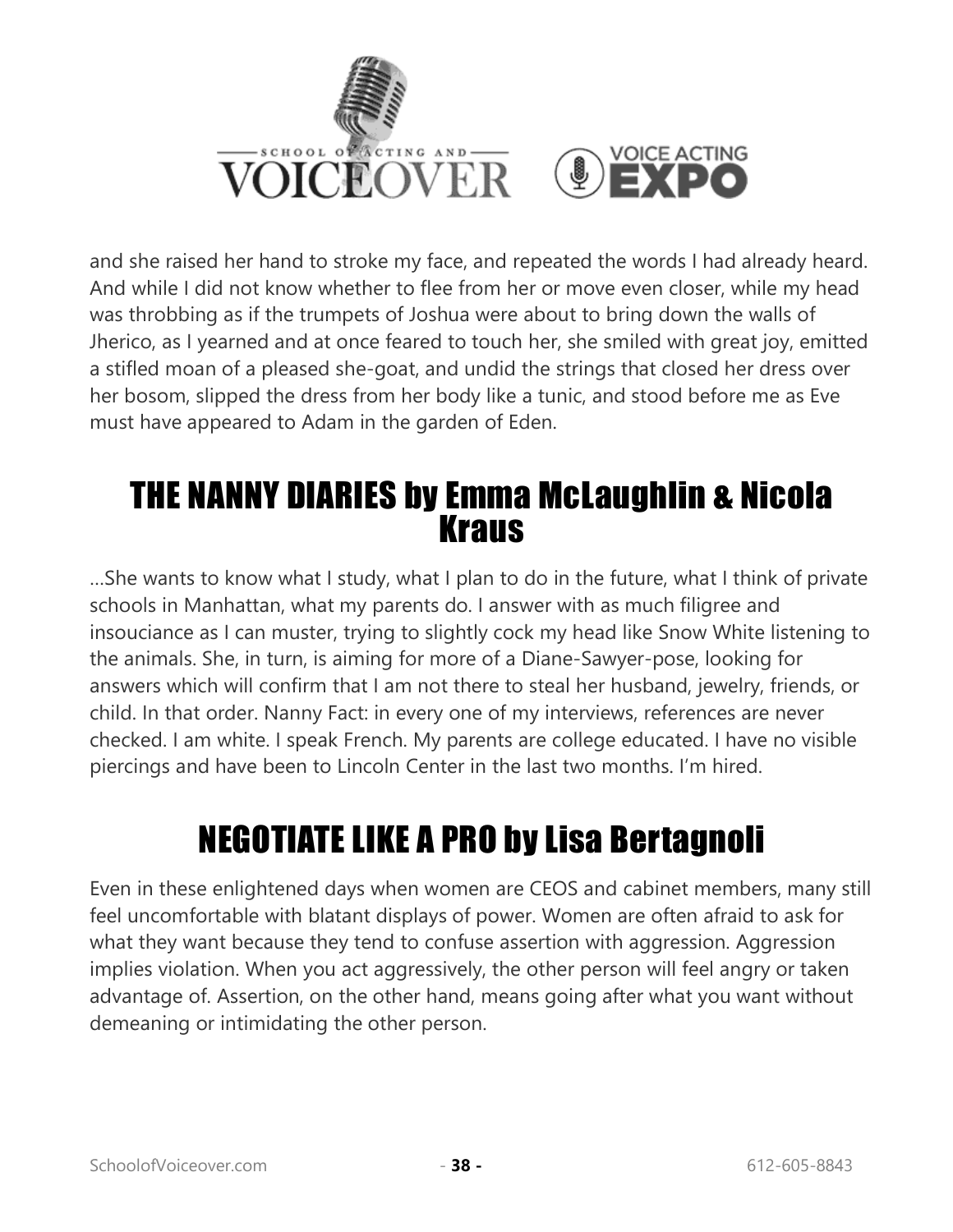

and she raised her hand to stroke my face, and repeated the words I had already heard. And while I did not know whether to flee from her or move even closer, while my head was throbbing as if the trumpets of Joshua were about to bring down the walls of Jherico, as I yearned and at once feared to touch her, she smiled with great joy, emitted a stifled moan of a pleased she-goat, and undid the strings that closed her dress over her bosom, slipped the dress from her body like a tunic, and stood before me as Eve must have appeared to Adam in the garden of Eden.

#### THE NANNY DIARIES by Emma McLaughlin & Nicola **Kraus**

…She wants to know what I study, what I plan to do in the future, what I think of private schools in Manhattan, what my parents do. I answer with as much filigree and insouciance as I can muster, trying to slightly cock my head like Snow White listening to the animals. She, in turn, is aiming for more of a Diane-Sawyer-pose, looking for answers which will confirm that I am not there to steal her husband, jewelry, friends, or child. In that order. Nanny Fact: in every one of my interviews, references are never checked. I am white. I speak French. My parents are college educated. I have no visible piercings and have been to Lincoln Center in the last two months. I'm hired.

## NEGOTIATE LIKE A PRO by Lisa Bertagnoli

Even in these enlightened days when women are CEOS and cabinet members, many still feel uncomfortable with blatant displays of power. Women are often afraid to ask for what they want because they tend to confuse assertion with aggression. Aggression implies violation. When you act aggressively, the other person will feel angry or taken advantage of. Assertion, on the other hand, means going after what you want without demeaning or intimidating the other person.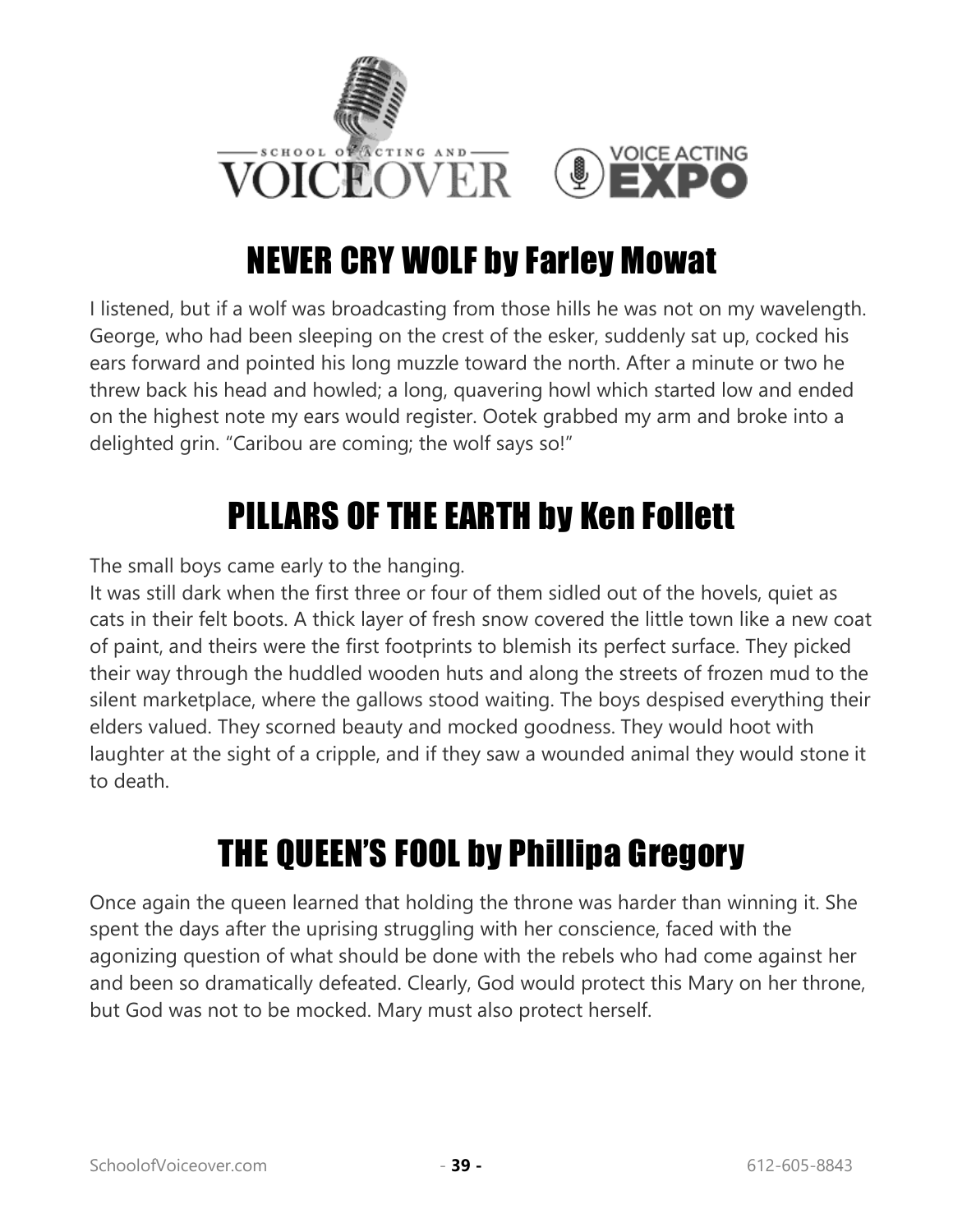

#### NEVER CRY WOLF by Farley Mowat

I listened, but if a wolf was broadcasting from those hills he was not on my wavelength. George, who had been sleeping on the crest of the esker, suddenly sat up, cocked his ears forward and pointed his long muzzle toward the north. After a minute or two he threw back his head and howled; a long, quavering howl which started low and ended on the highest note my ears would register. Ootek grabbed my arm and broke into a delighted grin. "Caribou are coming; the wolf says so!"

## PILLARS OF THE EARTH by Ken Follett

The small boys came early to the hanging.

It was still dark when the first three or four of them sidled out of the hovels, quiet as cats in their felt boots. A thick layer of fresh snow covered the little town like a new coat of paint, and theirs were the first footprints to blemish its perfect surface. They picked their way through the huddled wooden huts and along the streets of frozen mud to the silent marketplace, where the gallows stood waiting. The boys despised everything their elders valued. They scorned beauty and mocked goodness. They would hoot with laughter at the sight of a cripple, and if they saw a wounded animal they would stone it to death.

#### THE QUEEN'S FOOL by Phillipa Gregory

Once again the queen learned that holding the throne was harder than winning it. She spent the days after the uprising struggling with her conscience, faced with the agonizing question of what should be done with the rebels who had come against her and been so dramatically defeated. Clearly, God would protect this Mary on her throne, but God was not to be mocked. Mary must also protect herself.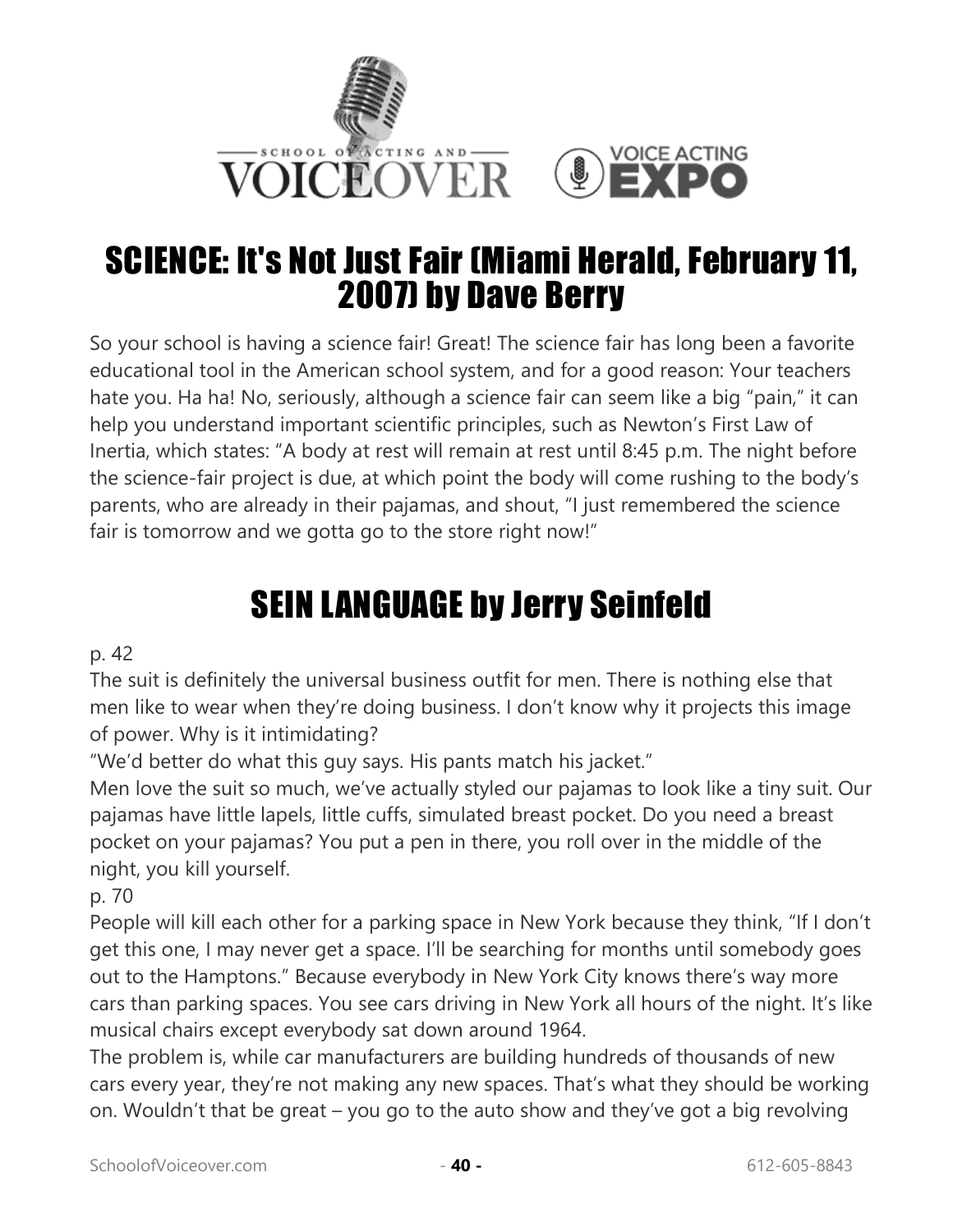

#### SCIENCE: It's Not Just Fair (Miami Herald, February 11, 2007) by Dave Berry

So your school is having a science fair! Great! The science fair has long been a favorite educational tool in the American school system, and for a good reason: Your teachers hate you. Ha ha! No, seriously, although a science fair can seem like a big "pain," it can help you understand important scientific principles, such as Newton's First Law of Inertia, which states: "A body at rest will remain at rest until 8:45 p.m. The night before the science-fair project is due, at which point the body will come rushing to the body's parents, who are already in their pajamas, and shout, "I just remembered the science fair is tomorrow and we gotta go to the store right now!"

#### SEIN LANGUAGE by Jerry Seinfeld

p. 42

The suit is definitely the universal business outfit for men. There is nothing else that men like to wear when they're doing business. I don't know why it projects this image of power. Why is it intimidating?

"We'd better do what this guy says. His pants match his jacket."

Men love the suit so much, we've actually styled our pajamas to look like a tiny suit. Our pajamas have little lapels, little cuffs, simulated breast pocket. Do you need a breast pocket on your pajamas? You put a pen in there, you roll over in the middle of the night, you kill yourself.

p. 70

People will kill each other for a parking space in New York because they think, "If I don't get this one, I may never get a space. I'll be searching for months until somebody goes out to the Hamptons." Because everybody in New York City knows there's way more cars than parking spaces. You see cars driving in New York all hours of the night. It's like musical chairs except everybody sat down around 1964.

The problem is, while car manufacturers are building hundreds of thousands of new cars every year, they're not making any new spaces. That's what they should be working on. Wouldn't that be great – you go to the auto show and they've got a big revolving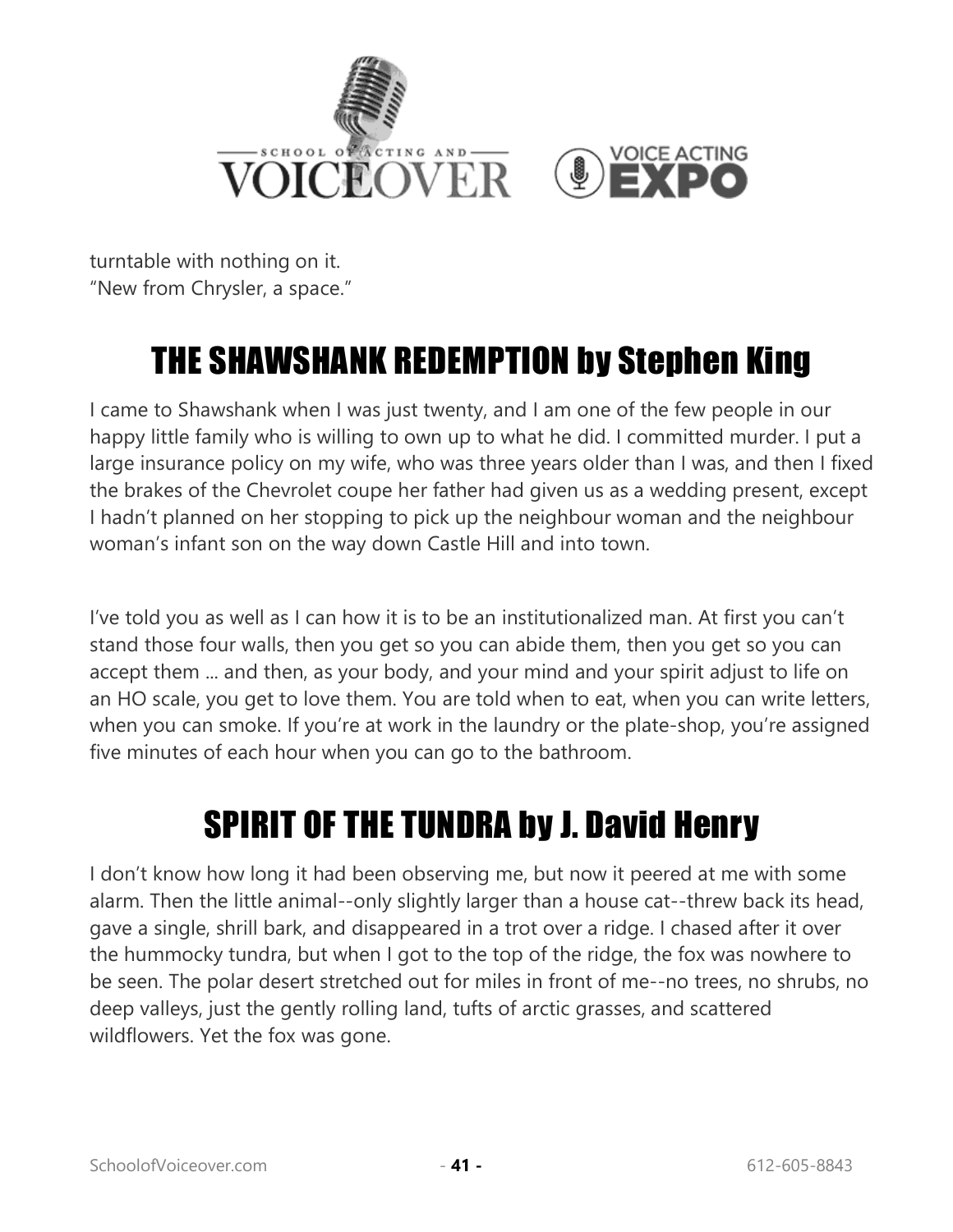



turntable with nothing on it. "New from Chrysler, a space."

## THE SHAWSHANK REDEMPTION by Stephen King

I came to Shawshank when I was just twenty, and I am one of the few people in our happy little family who is willing to own up to what he did. I committed murder. I put a large insurance policy on my wife, who was three years older than I was, and then I fixed the brakes of the Chevrolet coupe her father had given us as a wedding present, except I hadn't planned on her stopping to pick up the neighbour woman and the neighbour woman's infant son on the way down Castle Hill and into town.

I've told you as well as I can how it is to be an institutionalized man. At first you can't stand those four walls, then you get so you can abide them, then you get so you can accept them ... and then, as your body, and your mind and your spirit adjust to life on an HO scale, you get to love them. You are told when to eat, when you can write letters, when you can smoke. If you're at work in the laundry or the plate-shop, you're assigned five minutes of each hour when you can go to the bathroom.

## SPIRIT OF THE TUNDRA by J. David Henry

I don't know how long it had been observing me, but now it peered at me with some alarm. Then the little animal--only slightly larger than a house cat--threw back its head, gave a single, shrill bark, and disappeared in a trot over a ridge. I chased after it over the hummocky tundra, but when I got to the top of the ridge, the fox was nowhere to be seen. The polar desert stretched out for miles in front of me--no trees, no shrubs, no deep valleys, just the gently rolling land, tufts of arctic grasses, and scattered wildflowers. Yet the fox was gone.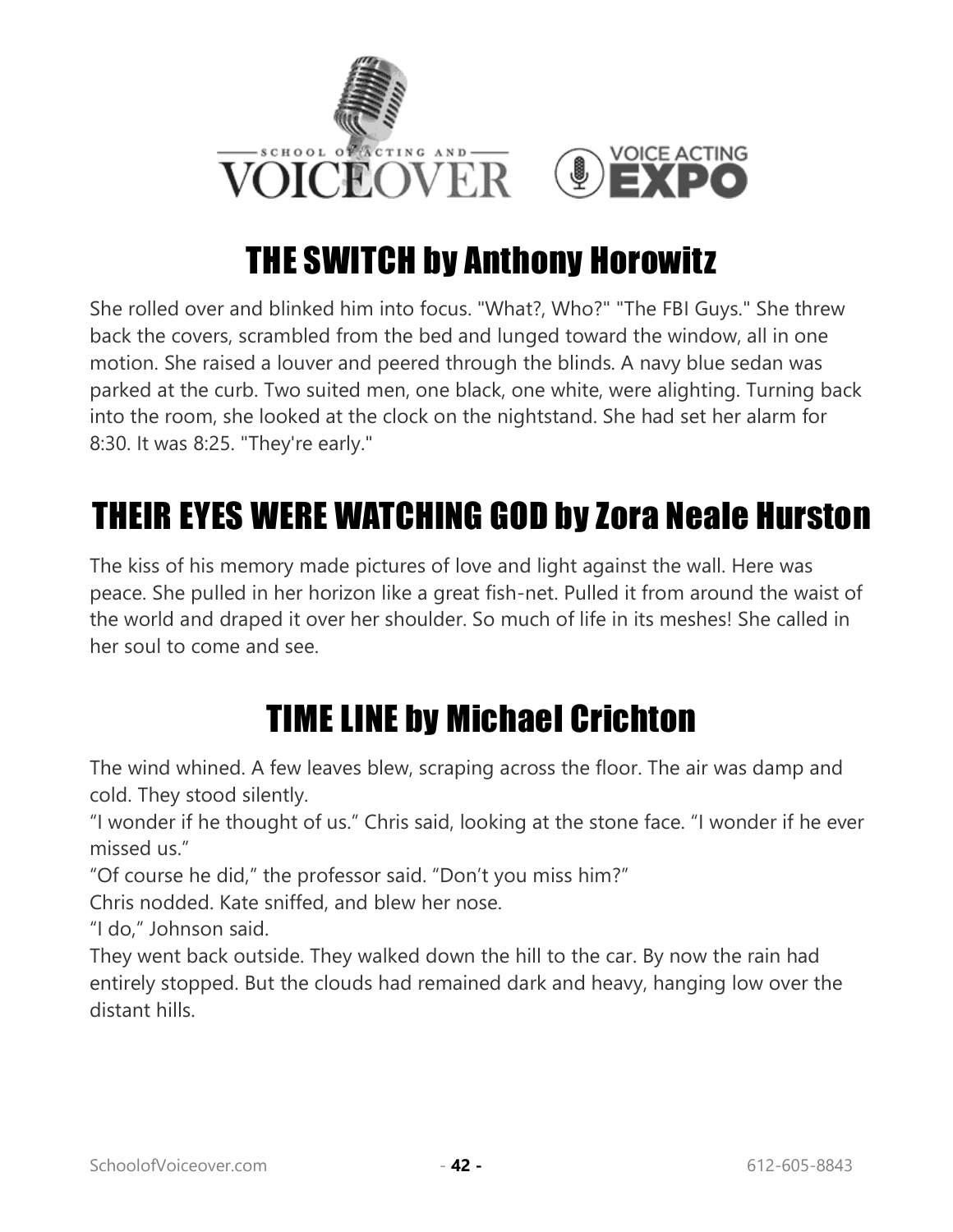

#### THE SWITCH by Anthony Horowitz

She rolled over and blinked him into focus. "What?, Who?" "The FBI Guys." She threw back the covers, scrambled from the bed and lunged toward the window, all in one motion. She raised a louver and peered through the blinds. A navy blue sedan was parked at the curb. Two suited men, one black, one white, were alighting. Turning back into the room, she looked at the clock on the nightstand. She had set her alarm for 8:30. It was 8:25. "They're early."

## THEIR EYES WERE WATCHING GOD by Zora Neale Hurston

The kiss of his memory made pictures of love and light against the wall. Here was peace. She pulled in her horizon like a great fish-net. Pulled it from around the waist of the world and draped it over her shoulder. So much of life in its meshes! She called in her soul to come and see.

#### TIME LINE by Michael Crichton

The wind whined. A few leaves blew, scraping across the floor. The air was damp and cold. They stood silently.

"I wonder if he thought of us." Chris said, looking at the stone face. "I wonder if he ever missed us."

"Of course he did," the professor said. "Don't you miss him?"

Chris nodded. Kate sniffed, and blew her nose.

"I do," Johnson said.

They went back outside. They walked down the hill to the car. By now the rain had entirely stopped. But the clouds had remained dark and heavy, hanging low over the distant hills.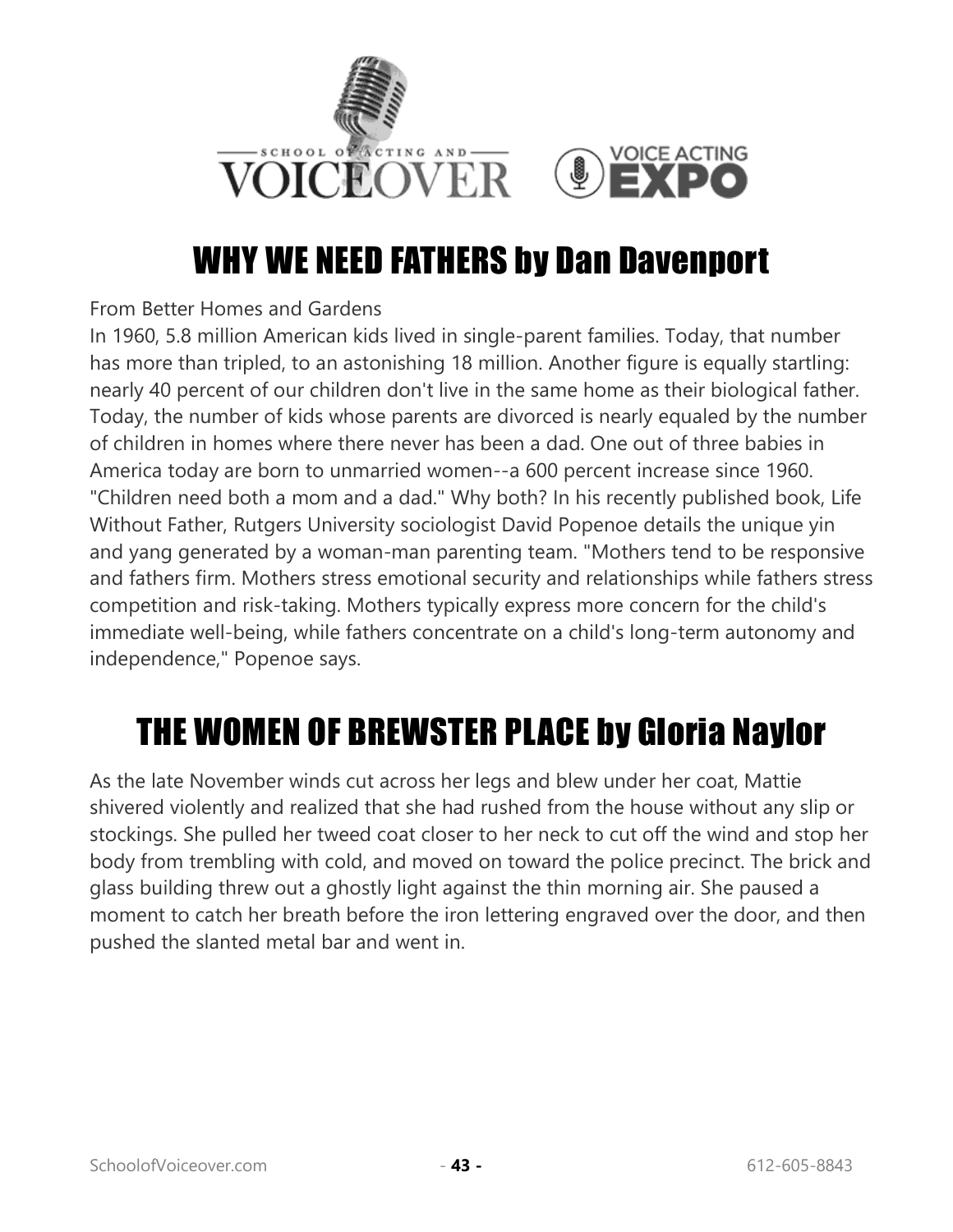

#### WHY WE NEED FATHERS by Dan Davenport

#### From Better Homes and Gardens

In 1960, 5.8 million American kids lived in single-parent families. Today, that number has more than tripled, to an astonishing 18 million. Another figure is equally startling: nearly 40 percent of our children don't live in the same home as their biological father. Today, the number of kids whose parents are divorced is nearly equaled by the number of children in homes where there never has been a dad. One out of three babies in America today are born to unmarried women--a 600 percent increase since 1960. "Children need both a mom and a dad." Why both? In his recently published book, Life Without Father, Rutgers University sociologist David Popenoe details the unique yin and yang generated by a woman-man parenting team. "Mothers tend to be responsive and fathers firm. Mothers stress emotional security and relationships while fathers stress competition and risk-taking. Mothers typically express more concern for the child's immediate well-being, while fathers concentrate on a child's long-term autonomy and independence," Popenoe says.

## THE WOMEN OF BREWSTER PLACE by Gloria Naylor

As the late November winds cut across her legs and blew under her coat, Mattie shivered violently and realized that she had rushed from the house without any slip or stockings. She pulled her tweed coat closer to her neck to cut off the wind and stop her body from trembling with cold, and moved on toward the police precinct. The brick and glass building threw out a ghostly light against the thin morning air. She paused a moment to catch her breath before the iron lettering engraved over the door, and then pushed the slanted metal bar and went in.